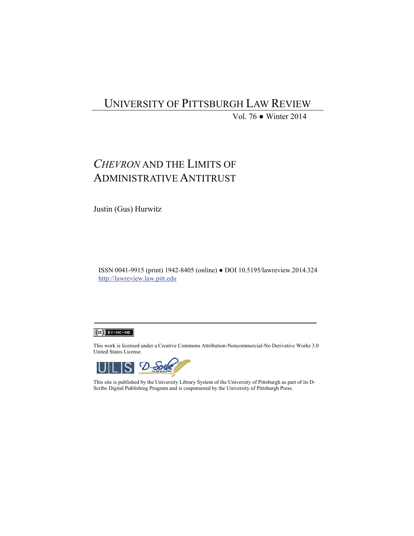## UNIVERSITY OF PITTSBURGH LAW REVIEW

Vol. 76 ● Winter 2014

# *CHEVRON* AND THE LIMITS OF ADMINISTRATIVE ANTITRUST

Justin (Gus) Hurwitz

ISSN 0041-9915 (print) 1942-8405 (online) ● DOI 10.5195/lawreview.2014.324 http://lawreview.law.pitt.edu



This work is licensed under a Creative Commons Attribution-Noncommercial-No Derivative Works 3.0 United States License.



This site is published by the University Library System of the University of Pittsburgh as part of its D-Scribe Digital Publishing Program and is cosponsored by the University of Pittsburgh Press.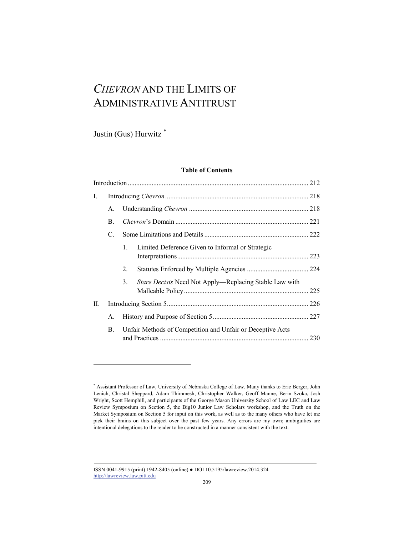# *CHEVRON* AND THE LIMITS OF ADMINISTRATIVE ANTITRUST

Justin (Gus) Hurwitz \*

l

## **Table of Contents**

| I. |    |                                                            |                                                               |     |  |
|----|----|------------------------------------------------------------|---------------------------------------------------------------|-----|--|
|    | А. |                                                            |                                                               |     |  |
|    | B. |                                                            |                                                               |     |  |
|    | C. |                                                            |                                                               |     |  |
|    |    | $1_{-}$                                                    | Limited Deference Given to Informal or Strategic              |     |  |
|    |    | 2.                                                         |                                                               |     |  |
|    |    | 3.                                                         | <i>Stare Decisis</i> Need Not Apply—Replacing Stable Law with |     |  |
| Н. |    |                                                            |                                                               |     |  |
|    | А. |                                                            |                                                               |     |  |
|    | В. | Unfair Methods of Competition and Unfair or Deceptive Acts |                                                               | 230 |  |
|    |    |                                                            |                                                               |     |  |

<sup>\*</sup> Assistant Professor of Law, University of Nebraska College of Law. Many thanks to Eric Berger, John Lenich, Christal Sheppard, Adam Thimmesh, Christopher Walker, Geoff Manne, Berin Szoka, Josh Wright, Scott Hemphill, and participants of the George Mason University School of Law LEC and Law Review Symposium on Section 5, the Big10 Junior Law Scholars workshop, and the Truth on the Market Symposium on Section 5 for input on this work, as well as to the many others who have let me pick their brains on this subject over the past few years. Any errors are my own; ambiguities are intentional delegations to the reader to be constructed in a manner consistent with the text.

ISSN 0041-9915 (print) 1942-8405 (online) ● DOI 10.5195/lawreview.2014.324 http://lawreview.law.pitt.edu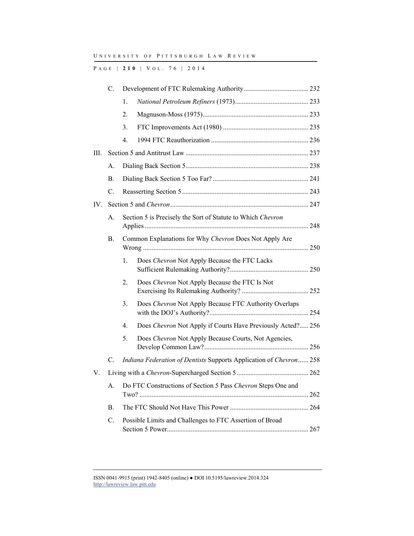P AGE | **210** | V O L . 7 6 | 2014

|     | $\mathcal{C}$ . |                                                                    |                                                             |  |  |
|-----|-----------------|--------------------------------------------------------------------|-------------------------------------------------------------|--|--|
|     |                 | 1.                                                                 |                                                             |  |  |
|     |                 | 2.                                                                 |                                                             |  |  |
|     |                 | 3.                                                                 |                                                             |  |  |
|     |                 | 4.                                                                 |                                                             |  |  |
| Ш.  |                 |                                                                    |                                                             |  |  |
|     | А.              |                                                                    |                                                             |  |  |
|     | $\mathbf{B}$ .  |                                                                    |                                                             |  |  |
|     | C.              |                                                                    |                                                             |  |  |
| IV. |                 |                                                                    |                                                             |  |  |
|     | А.              | Section 5 is Precisely the Sort of Statute to Which Chevron        |                                                             |  |  |
|     | В.              | Common Explanations for Why Chevron Does Not Apply Are             |                                                             |  |  |
|     |                 | 1.                                                                 | Does Chevron Not Apply Because the FTC Lacks                |  |  |
|     |                 | 2.                                                                 | Does Chevron Not Apply Because the FTC Is Not               |  |  |
|     |                 | 3.                                                                 | Does Chevron Not Apply Because FTC Authority Overlaps       |  |  |
|     |                 | 4.                                                                 | Does Chevron Not Apply if Courts Have Previously Acted? 256 |  |  |
|     |                 | 5.                                                                 | Does Chevron Not Apply Because Courts, Not Agencies,        |  |  |
|     | C.              | Indiana Federation of Dentists Supports Application of Chevron 258 |                                                             |  |  |
| V.  |                 |                                                                    |                                                             |  |  |
|     | А.              | Do FTC Constructions of Section 5 Pass Chevron Steps One and       |                                                             |  |  |
|     | В.              |                                                                    |                                                             |  |  |
|     | C.              |                                                                    | Possible Limits and Challenges to FTC Assertion of Broad    |  |  |

ISSN 0041-9915 (print) 1942-8405 (online) ● DOI 10.5195/lawreview.2014.324 http://lawreview.law.pitt.edu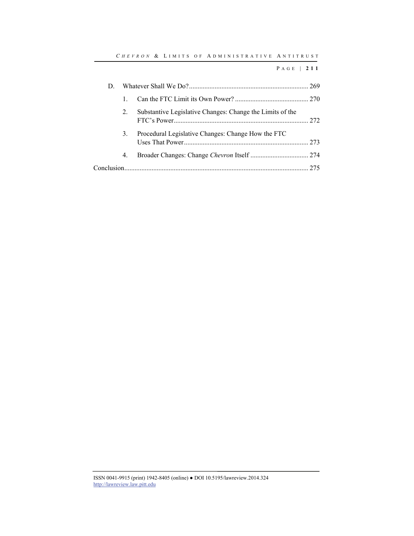| D. |    |                                                           |  |
|----|----|-----------------------------------------------------------|--|
|    |    |                                                           |  |
|    | 2. | Substantive Legislative Changes: Change the Limits of the |  |
|    | 3. | Procedural Legislative Changes: Change How the FTC        |  |
|    | 4. |                                                           |  |
|    |    |                                                           |  |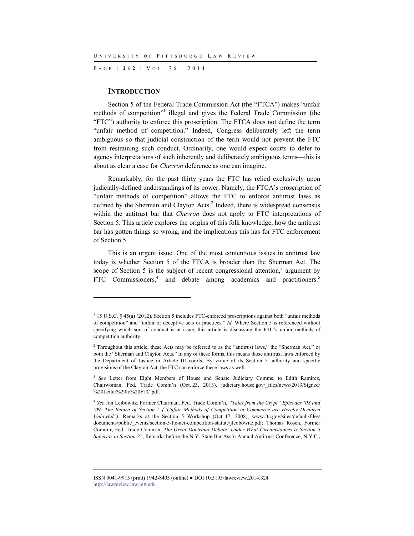P AGE | **212** | V O L . 7 6 | 2014

#### **INTRODUCTION**

l

Section 5 of the Federal Trade Commission Act (the "FTCA") makes "unfair methods of competition"<sup>1</sup> illegal and gives the Federal Trade Commission (the "FTC") authority to enforce this proscription. The FTCA does not define the term "unfair method of competition." Indeed, Congress deliberately left the term ambiguous so that judicial construction of the term would not prevent the FTC from restraining such conduct. Ordinarily, one would expect courts to defer to agency interpretations of such inherently and deliberately ambiguous terms—this is about as clear a case for *Chevron* deference as one can imagine.

Remarkably, for the past thirty years the FTC has relied exclusively upon judicially-defined understandings of its power. Namely, the FTCA's proscription of "unfair methods of competition" allows the FTC to enforce antitrust laws as defined by the Sherman and Clayton Acts.<sup>2</sup> Indeed, there is widespread consensus within the antitrust bar that *Chevron* does not apply to FTC interpretations of Section 5. This article explores the origins of this folk knowledge, how the antitrust bar has gotten things so wrong, and the implications this has for FTC enforcement of Section 5.

This is an urgent issue. One of the most contentious issues in antitrust law today is whether Section 5 of the FTCA is broader than the Sherman Act. The scope of Section 5 is the subject of recent congressional attention,<sup>3</sup> argument by FTC Commissioners,<sup>4</sup> and debate among academics and practitioners.<sup>5</sup>

<sup>&</sup>lt;sup>1</sup> 15 U.S.C. § 45(a) (2012). Section 5 includes FTC-enforced proscriptions against both "unfair methods" of competition" and "unfair or deceptive acts or practices." *Id.* Where Section 5 is referenced without specifying which sort of conduct is at issue, this article is discussing the FTC's unfair methods of competition authority.

<sup>&</sup>lt;sup>2</sup> Throughout this article, these Acts may be referred to as the "antitrust laws," the "Sherman Act," or both the "Sherman and Clayton Acts." In any of these forms, this means those antitrust laws enforced by the Department of Justice in Article III courts. By virtue of its Section 5 authority and specific provisions of the Clayton Act, the FTC can enforce these laws as well.

<sup>&</sup>lt;sup>3</sup> See Letter from Eight Members of House and Senate Judiciary Comms. to Edith Ramirez, Chairwoman, Fed. Trade Comm'n (Oct. 23, 2013), judiciary.house.gov/\_files/news/2013/Signed/ %20Letter%20to%20FTC.pdf.

<sup>4</sup> *See* Jon Leibowitz, Former Chairman, Fed. Trade Comm'n, *"Tales from the Crypt" Episodes '08 and '09: The Return of Section 5 ("Unfair Methods of Competition in Commerce are Hereby Declared Unlawful")*, Remarks at the Section 5 Workshop (Oct. 17, 2008), www.ftc.gov/sites/default/files/ documents/public\_events/section-5-ftc-act-competition-statute/jleobowitz.pdf; Thomas Rosch, Former Comm'r, Fed. Trade Comm'n, *The Great Doctrinal Debate: Under What Circumstances is Section 5 Superior to Section 2?*, Remarks before the N.Y. State Bar Ass'n Annual Antitrust Conference, N.Y.C.,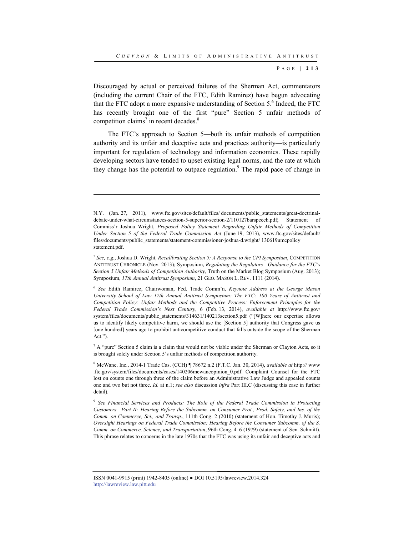Discouraged by actual or perceived failures of the Sherman Act, commentators (including the current Chair of the FTC, Edith Ramirez) have begun advocating that the FTC adopt a more expansive understanding of Section 5.<sup>6</sup> Indeed, the FTC has recently brought one of the first "pure" Section 5 unfair methods of competition claims<sup>7</sup> in recent decades. $8$ 

The FTC's approach to Section 5—both its unfair methods of competition authority and its unfair and deceptive acts and practices authority—is particularly important for regulation of technology and information economies. These rapidly developing sectors have tended to upset existing legal norms, and the rate at which they change has the potential to outpace regulation.<sup>9</sup> The rapid pace of change in

l

 $^7$  A "pure" Section 5 claim is a claim that would not be viable under the Sherman or Clayton Acts, so it is brought solely under Section 5's unfair methods of competition authority.

8 McWane, Inc., 2014-1 Trade Cas. (CCH) ¶ 78672 n.2 (F.T.C. Jan. 30, 2014), *available at* http:// www .ftc.gov/system/files/documents/cases/140206mcwaneopinion\_0.pdf. Complaint Counsel for the FTC lost on counts one through three of the claim before an Administrative Law Judge and appealed counts one and two but not three. *Id.* at n.1; *see also* discussion *infra* Part III.C (discussing this case in further detail).

<sup>9</sup> *See Financial Services and Products: The Role of the Federal Trade Commission in Protecting Customers—Part II: Hearing Before the Subcomm. on Consumer Prot., Prod. Safety, and Ins. of the Comm. on Commerce, Sci., and Transp.*, 111th Cong. 2 (2010) (statement of Hon. Timothy J. Muris); *Oversight Hearings on Federal Trade Commission: Hearing Before the Consumer Subcomm. of the S. Comm. on Commerce, Science, and Transportation*, 96th Cong. 4–6 (1979) (statement of Sen. Schmitt). This phrase relates to concerns in the late 1970s that the FTC was using its unfair and deceptive acts and

N.Y. (Jan. 27, 2011), www.ftc.gov/sites/default/files/ documents/public\_statements/great-doctrinaldebate-under-what-circumstances-section-5-superior-section-2/110127barspeech.pdf; Statement of Commiss'r Joshua Wright, *Proposed Policy Statement Regarding Unfair Methods of Competition Under Section 5 of the Federal Trade Commission Act* (June 19, 2013), www.ftc.gov/sites/default/ files/documents/public\_statements/statement-commissioner-joshua-d.wright/ 130619umcpolicy statement.pdf.

<sup>5</sup> *See, e.g.*, Joshua D. Wright, *Recalibrating Section 5: A Response to the CPI Symposium*, COMPETITION ANTITRUST CHRONICLE (Nov. 2013); Symposium, *Regulating the Regulators—Guidance for the FTC's Section 5 Unfair Methods of Competition Authority*, Truth on the Market Blog Symposium (Aug. 2013); Symposium, *17th Annual Antitrust Symposium*, 21 GEO. MASON L. REV. 1111 (2014).

<sup>6</sup> *See* Edith Ramirez, Chairwoman, Fed. Trade Comm'n, *Keynote Address at the George Mason University School of Law 17th Annual Antitrust Symposium: The FTC: 100 Years of Antitrust and Competition Policy: Unfair Methods and the Competitive Process: Enforcement Principles for the Federal Trade Commission's Next Century*, 6 (Feb. 13, 2014), *available at* http://www.ftc.gov/ system/files/documents/public\_statements/314631/140213section5.pdf ("[W]here our expertise allows us to identify likely competitive harm, we should use the [Section 5] authority that Congress gave us [one hundred] years ago to prohibit anticompetitive conduct that falls outside the scope of the Sherman  $Act."$ ).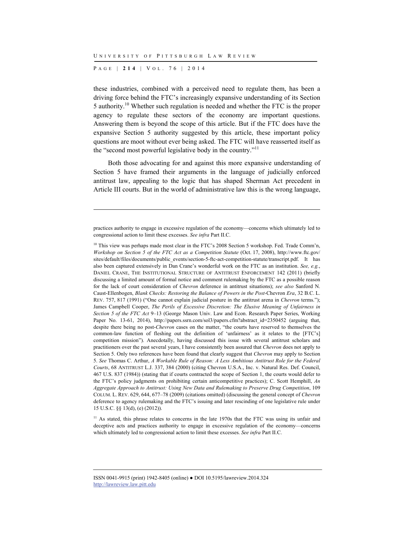P AGE | **214** | V O L . 7 6 | 2014

l

these industries, combined with a perceived need to regulate them, has been a driving force behind the FTC's increasingly expansive understanding of its Section 5 authority.10 Whether such regulation is needed and whether the FTC is the proper agency to regulate these sectors of the economy are important questions. Answering them is beyond the scope of this article. But if the FTC does have the expansive Section 5 authority suggested by this article, these important policy questions are moot without ever being asked. The FTC will have reasserted itself as the "second most powerful legislative body in the country."11

Both those advocating for and against this more expansive understanding of Section 5 have framed their arguments in the language of judicially enforced antitrust law, appealing to the logic that has shaped Sherman Act precedent in Article III courts. But in the world of administrative law this is the wrong language,

practices authority to engage in excessive regulation of the economy—concerns which ultimately led to congressional action to limit these excesses. *See infra* Part II.C.

<sup>&</sup>lt;sup>10</sup> This view was perhaps made most clear in the FTC's 2008 Section 5 workshop. Fed. Trade Comm'n, *Workshop on Section 5 of the FTC Act as a Competition Statute* (Oct. 17, 2008), http://www.ftc.gov/ sites/default/files/documents/public\_events/section-5-ftc-act-competition-statute/transcript.pdf. It has also been captured extensively in Dan Crane's wonderful work on the FTC as an institution. *See, e.g.*, DANIEL CRANE, THE INSTITUTIONAL STRUCTURE OF ANTITRUST ENFORCEMENT 142 (2011) (briefly discussing a limited amount of formal notice and comment rulemaking by the FTC as a possible reason for the lack of court consideration of *Chevron* deference in antitrust situations); *see also* Sanford N. Caust-Ellenbogen, *Blank Checks: Restoring the Balance of Powers in the Post-*Chevron *Era*, 32 B.C. L. REV. 757, 817 (1991) ("One cannot explain judicial posture in the antitrust arena in *Chevron* terms."); James Campbell Cooper, *The Perils of Excessive Discretion: The Elusive Meaning of Unfairness in Section 5 of the FTC Act* 9–13 (George Mason Univ. Law and Econ. Research Paper Series, Working Paper No. 13-61, 2014), http://papers.ssrn.com/sol3/papers.cfm?abstract\_id=2350452 (arguing that, despite there being no post-*Chevron* cases on the matter, "the courts have reserved to themselves the common-law function of fleshing out the definition of 'unfairness' as it relates to the [FTC's] competition mission"). Anecdotally, having discussed this issue with several antitrust scholars and practitioners over the past several years, I have consistently been assured that *Chevron* does not apply to Section 5. Only two references have been found that clearly suggest that *Chevron* may apply to Section 5. *See* Thomas C. Arthur, *A Workable Rule of Reason: A Less Ambitious Antitrust Role for the Federal Courts*, 68 ANTITRUST L.J. 337, 384 (2000) (citing Chevron U.S.A., Inc. v. Natural Res. Def. Council, 467 U.S. 837 (1984)) (stating that if courts contracted the scope of Section 1, the courts would defer to the FTC's policy judgments on prohibiting certain anticompetitive practices); C. Scott Hemphill, *An Aggregate Approach to Antitrust: Using New Data and Rulemaking to Preserve Drug Competition*, 109 COLUM. L. REV. 629, 644, 677–78 (2009) (citations omitted) (discussing the general concept of *Chevron* deference to agency rulemaking and the FTC's issuing and later rescinding of one legislative rule under 15 U.S.C. §§ 13(d), (e) (2012)).

<sup>&</sup>lt;sup>11</sup> As stated, this phrase relates to concerns in the late 1970s that the FTC was using its unfair and deceptive acts and practices authority to engage in excessive regulation of the economy—concerns which ultimately led to congressional action to limit these excesses. *See infra* Part II.C.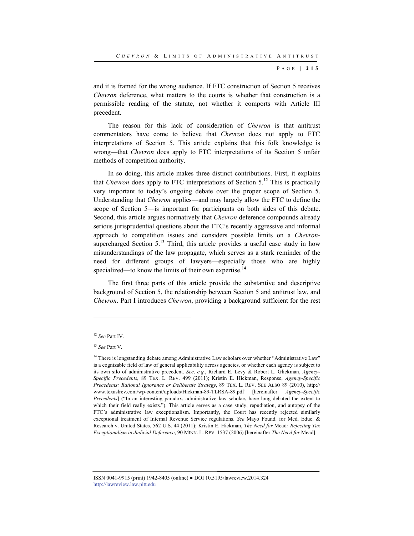and it is framed for the wrong audience. If FTC construction of Section 5 receives *Chevron* deference, what matters to the courts is whether that construction is a permissible reading of the statute, not whether it comports with Article III precedent.

The reason for this lack of consideration of *Chevron* is that antitrust commentators have come to believe that *Chevron* does not apply to FTC interpretations of Section 5. This article explains that this folk knowledge is wrong—that *Chevron* does apply to FTC interpretations of its Section 5 unfair methods of competition authority.

In so doing, this article makes three distinct contributions. First, it explains that *Chevron* does apply to FTC interpretations of Section  $5^{12}$ . This is practically very important to today's ongoing debate over the proper scope of Section 5. Understanding that *Chevron* applies—and may largely allow the FTC to define the scope of Section 5—is important for participants on both sides of this debate. Second, this article argues normatively that *Chevron* deference compounds already serious jurisprudential questions about the FTC's recently aggressive and informal approach to competition issues and considers possible limits on a *Chevron*supercharged Section  $5^{13}$ . Third, this article provides a useful case study in how misunderstandings of the law propagate, which serves as a stark reminder of the need for different groups of lawyers—especially those who are highly specialized—to know the limits of their own expertise.<sup>14</sup>

The first three parts of this article provide the substantive and descriptive background of Section 5, the relationship between Section 5 and antitrust law, and *Chevron*. Part I introduces *Chevron*, providing a background sufficient for the rest

l

<sup>12</sup> *See* Part IV.

<sup>13</sup> *See* Part V.

<sup>&</sup>lt;sup>14</sup> There is longstanding debate among Administrative Law scholars over whether "Administrative Law" is a cognizable field of law of general applicability across agencies, or whether each agency is subject to its own silo of administrative precedent. *See, e.g.*, Richard E. Levy & Robert L. Glickman, *Agency-Specific Precedents*, 89 TEX. L. REV. 499 (2011); Kristin E. Hickman, Response, *Agency-Specific Precedents: Rational Ignorance or Deliberate Strategy*, 89 TEX. L. REV. SEE ALSO 89 (2010), http:// www.texaslrev.com/wp-content/uploads/Hickman-89-TLRSA-89.pdf [hereinafter *Agency-Specific Precedents*] ("In an interesting paradox, administrative law scholars have long debated the extent to which their field really exists."). This article serves as a case study, repudiation, and autopsy of the FTC's administrative law exceptionalism. Importantly, the Court has recently rejected similarly exceptional treatment of Internal Revenue Service regulations. *See* Mayo Found. for Med. Educ. & Research v. United States, 562 U.S. 44 (2011); Kristin E. Hickman, *The Need for* Mead*: Rejecting Tax Exceptionalism in Judicial Deference*, 90 MINN. L. REV. 1537 (2006) [hereinafter *The Need for* Mead].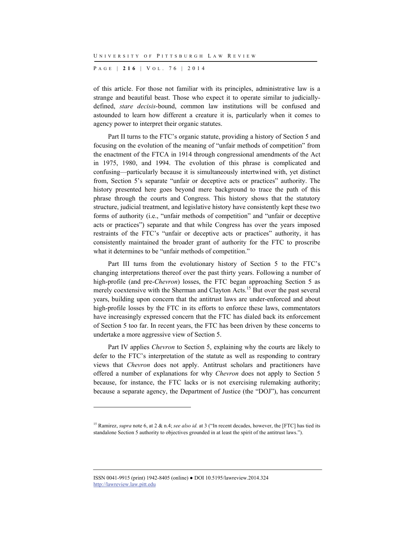P AGE | **216** | V O L . 7 6 | 2014

of this article. For those not familiar with its principles, administrative law is a strange and beautiful beast. Those who expect it to operate similar to judiciallydefined, *stare decisis*-bound, common law institutions will be confused and astounded to learn how different a creature it is, particularly when it comes to agency power to interpret their organic statutes.

Part II turns to the FTC's organic statute, providing a history of Section 5 and focusing on the evolution of the meaning of "unfair methods of competition" from the enactment of the FTCA in 1914 through congressional amendments of the Act in 1975, 1980, and 1994. The evolution of this phrase is complicated and confusing—particularly because it is simultaneously intertwined with, yet distinct from, Section 5's separate "unfair or deceptive acts or practices" authority. The history presented here goes beyond mere background to trace the path of this phrase through the courts and Congress. This history shows that the statutory structure, judicial treatment, and legislative history have consistently kept these two forms of authority (i.e., "unfair methods of competition" and "unfair or deceptive acts or practices") separate and that while Congress has over the years imposed restraints of the FTC's "unfair or deceptive acts or practices" authority, it has consistently maintained the broader grant of authority for the FTC to proscribe what it determines to be "unfair methods of competition."

Part III turns from the evolutionary history of Section 5 to the FTC's changing interpretations thereof over the past thirty years. Following a number of high-profile (and pre-*Chevron*) losses, the FTC began approaching Section 5 as merely coextensive with the Sherman and Clayton Acts.<sup>15</sup> But over the past several years, building upon concern that the antitrust laws are under-enforced and about high-profile losses by the FTC in its efforts to enforce these laws, commentators have increasingly expressed concern that the FTC has dialed back its enforcement of Section 5 too far. In recent years, the FTC has been driven by these concerns to undertake a more aggressive view of Section 5.

Part IV applies *Chevron* to Section 5, explaining why the courts are likely to defer to the FTC's interpretation of the statute as well as responding to contrary views that *Chevron* does not apply. Antitrust scholars and practitioners have offered a number of explanations for why *Chevron* does not apply to Section 5 because, for instance, the FTC lacks or is not exercising rulemaking authority; because a separate agency, the Department of Justice (the "DOJ"), has concurrent

ISSN 0041-9915 (print) 1942-8405 (online) ● DOI 10.5195/lawreview.2014.324 http://lawreview.law.pitt.edu

<sup>15</sup> Ramirez, *supra* note 6, at 2 & n.4; *see also id.* at 3 ("In recent decades, however, the [FTC] has tied its standalone Section 5 authority to objectives grounded in at least the spirit of the antitrust laws.").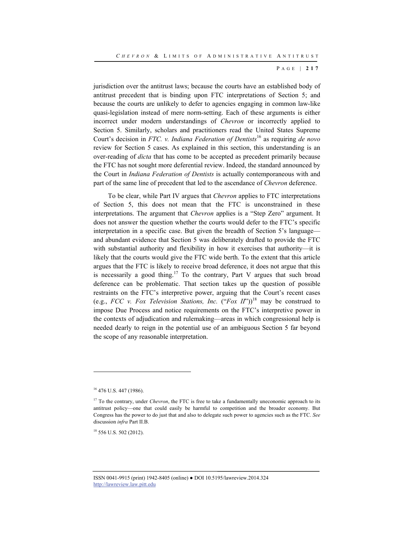jurisdiction over the antitrust laws; because the courts have an established body of antitrust precedent that is binding upon FTC interpretations of Section 5; and because the courts are unlikely to defer to agencies engaging in common law-like quasi-legislation instead of mere norm-setting. Each of these arguments is either incorrect under modern understandings of *Chevron* or incorrectly applied to Section 5. Similarly, scholars and practitioners read the United States Supreme Court's decision in *FTC. v. Indiana Federation of Dentists*16 as requiring *de novo* review for Section 5 cases. As explained in this section, this understanding is an over-reading of *dicta* that has come to be accepted as precedent primarily because the FTC has not sought more deferential review. Indeed, the standard announced by the Court in *Indiana Federation of Dentists* is actually contemporaneous with and part of the same line of precedent that led to the ascendance of *Chevron* deference.

To be clear, while Part IV argues that *Chevron* applies to FTC interpretations of Section 5, this does not mean that the FTC is unconstrained in these interpretations. The argument that *Chevron* applies is a "Step Zero" argument. It does not answer the question whether the courts would defer to the FTC's specific interpretation in a specific case. But given the breadth of Section 5's language and abundant evidence that Section 5 was deliberately drafted to provide the FTC with substantial authority and flexibility in how it exercises that authority—it is likely that the courts would give the FTC wide berth. To the extent that this article argues that the FTC is likely to receive broad deference, it does not argue that this is necessarily a good thing.<sup>17</sup> To the contrary, Part V argues that such broad deference can be problematic. That section takes up the question of possible restraints on the FTC's interpretive power, arguing that the Court's recent cases (e.g., *FCC v. Fox Television Stations, Inc.*  $("Fox II")$ <sup>18</sup> may be construed to impose Due Process and notice requirements on the FTC's interpretive power in the contexts of adjudication and rulemaking—areas in which congressional help is needed dearly to reign in the potential use of an ambiguous Section 5 far beyond the scope of any reasonable interpretation.

<sup>&</sup>lt;sup>16</sup> 476 U.S. 447 (1986).

<sup>&</sup>lt;sup>17</sup> To the contrary, under *Chevron*, the FTC is free to take a fundamentally uneconomic approach to its antitrust policy—one that could easily be harmful to competition and the broader economy. But Congress has the power to do just that and also to delegate such power to agencies such as the FTC. *See* discussion *infra* Part II.B.

<sup>&</sup>lt;sup>18</sup> 556 U.S. 502 (2012).

ISSN 0041-9915 (print) 1942-8405 (online) ● DOI 10.5195/lawreview.2014.324 http://lawreview.law.pitt.edu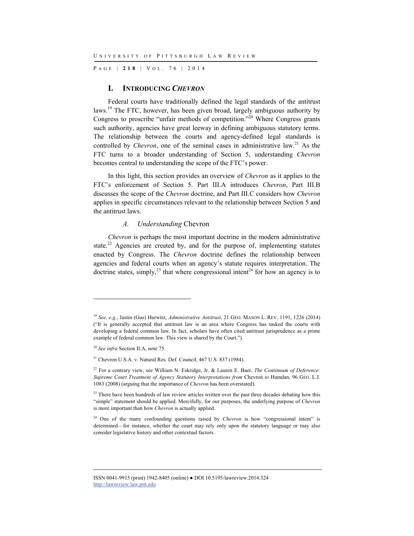P AGE | **218** | V O L . 7 6 | 2014

#### **I. INTRODUCING** *CHEVRON*

Federal courts have traditionally defined the legal standards of the antitrust laws.<sup>19</sup> The FTC, however, has been given broad, largely ambiguous authority by Congress to proscribe "unfair methods of competition."20 Where Congress grants such authority, agencies have great leeway in defining ambiguous statutory terms. The relationship between the courts and agency-defined legal standards is controlled by *Chevron*, one of the seminal cases in administrative law.<sup>21</sup> As the FTC turns to a broader understanding of Section 5, understanding *Chevron* becomes central to understanding the scope of the FTC's power.

In this light, this section provides an overview of *Chevron* as it applies to the FTC's enforcement of Section 5. Part III.A introduces *Chevron*, Part III.B discusses the scope of the *Chevron* doctrine, and Part III.C considers how *Chevron* applies in specific circumstances relevant to the relationship between Section 5 and the antitrust laws.

#### *A. Understanding* Chevron

*Chevron* is perhaps the most important doctrine in the modern administrative state.<sup>22</sup> Agencies are created by, and for the purpose of, implementing statutes enacted by Congress. The *Chevron* doctrine defines the relationship between agencies and federal courts when an agency's statute requires interpretation. The doctrine states, simply,<sup>23</sup> that where congressional intent<sup>24</sup> for how an agency is to

<sup>19</sup> *See, e.g.*, Justin (Gus) Hurwitz, *Administrative Antitrust*, 21 GEO. MASON L. REV. 1191, 1226 (2014) ("It is generally accepted that antitrust law is an area where Congress has tasked the courts with developing a federal common law. In fact, scholars have often cited antitrust jurisprudence as a prime example of federal common law. This view is shared by the Court.").

<sup>20</sup> *See infra* Section II.A, note 75.

 $^{21}$  Chevron U.S.A. v. Natural Res. Def. Council, 467 U.S. 837 (1984).

<sup>&</sup>lt;sup>22</sup> For a contrary view, see William N. Eskridge, Jr. & Lauren E. Baer, *The Continuum of Deference*: *Supreme Court Treatment of Agency Statutory Interpretations from* Chevron *to* Hamdan, 96 GEO. L.J. 1083 (2008) (arguing that the importance of *Chevron* has been overstated).

<sup>&</sup>lt;sup>23</sup> There have been hundreds of law review articles written over the past three decades debating how this "simple" statement should be applied. Mercifully, for our purposes, the underlying purpose of *Chevron* is more important than how *Chevron* is actually applied.

<sup>&</sup>lt;sup>24</sup> One of the many confounding questions raised by *Chevron* is how "congressional intent" is determined—for instance, whether the court may rely only upon the statutory language or may also consider legislative history and other contextual factors.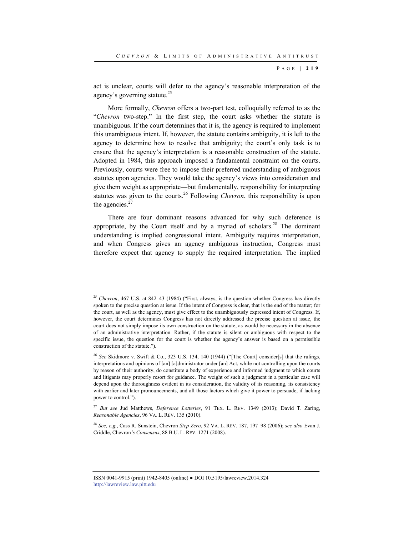act is unclear, courts will defer to the agency's reasonable interpretation of the agency's governing statute.<sup>25</sup>

More formally, *Chevron* offers a two-part test, colloquially referred to as the "*Chevron* two-step." In the first step, the court asks whether the statute is unambiguous. If the court determines that it is, the agency is required to implement this unambiguous intent. If, however, the statute contains ambiguity, it is left to the agency to determine how to resolve that ambiguity; the court's only task is to ensure that the agency's interpretation is a reasonable construction of the statute. Adopted in 1984, this approach imposed a fundamental constraint on the courts. Previously, courts were free to impose their preferred understanding of ambiguous statutes upon agencies. They would take the agency's views into consideration and give them weight as appropriate—but fundamentally, responsibility for interpreting statutes was given to the courts.26 Following *Chevron*, this responsibility is upon the agencies. $27$ 

There are four dominant reasons advanced for why such deference is appropriate, by the Court itself and by a myriad of scholars.<sup>28</sup> The dominant understanding is implied congressional intent. Ambiguity requires interpretation, and when Congress gives an agency ambiguous instruction, Congress must therefore expect that agency to supply the required interpretation. The implied

l

<sup>&</sup>lt;sup>25</sup> *Chevron*, 467 U.S. at 842–43 (1984) ("First, always, is the question whether Congress has directly spoken to the precise question at issue. If the intent of Congress is clear, that is the end of the matter; for the court, as well as the agency, must give effect to the unambiguously expressed intent of Congress. If, however, the court determines Congress has not directly addressed the precise question at issue, the court does not simply impose its own construction on the statute, as would be necessary in the absence of an administrative interpretation. Rather, if the statute is silent or ambiguous with respect to the specific issue, the question for the court is whether the agency's answer is based on a permissible construction of the statute.").

<sup>&</sup>lt;sup>26</sup> See Skidmore v. Swift & Co., 323 U.S. 134, 140 (1944) ("[The Court] consider[s] that the rulings, interpretations and opinions of [an] [a]dministrator under [an] Act, while not controlling upon the courts by reason of their authority, do constitute a body of experience and informed judgment to which courts and litigants may properly resort for guidance. The weight of such a judgment in a particular case will depend upon the thoroughness evident in its consideration, the validity of its reasoning, its consistency with earlier and later pronouncements, and all those factors which give it power to persuade, if lacking power to control.").

<sup>27</sup> *But see* Jud Matthews, *Deference Lotteries*, 91 TEX. L. REV. 1349 (2013); David T. Zaring, *Reasonable Agencies*, 96 VA. L. REV. 135 (2010).

<sup>28</sup> *See, e.g.*, Cass R. Sunstein, Chevron *Step Zero*, 92 VA. L. REV. 187, 197–98 (2006); *see also* Evan J. Criddle, Chevron*'s Consensus*, 88 B.U. L. REV. 1271 (2008).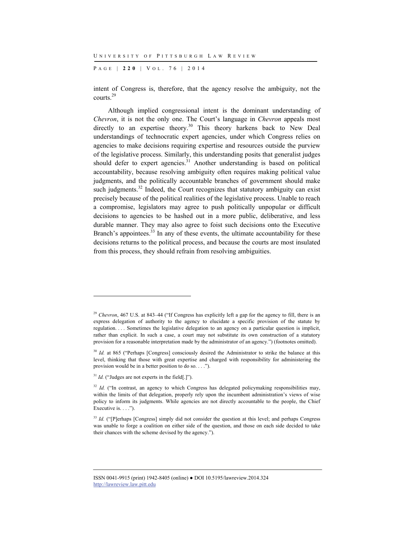P AGE | **220** | V O L . 7 6 | 2014

intent of Congress is, therefore, that the agency resolve the ambiguity, not the courts.29

Although implied congressional intent is the dominant understanding of *Chevron*, it is not the only one. The Court's language in *Chevron* appeals most directly to an expertise theory.<sup>30</sup> This theory harkens back to New Deal understandings of technocratic expert agencies, under which Congress relies on agencies to make decisions requiring expertise and resources outside the purview of the legislative process. Similarly, this understanding posits that generalist judges should defer to expert agencies.<sup>31</sup> Another understanding is based on political accountability, because resolving ambiguity often requires making political value judgments, and the politically accountable branches of government should make such judgments. $32$  Indeed, the Court recognizes that statutory ambiguity can exist precisely because of the political realities of the legislative process. Unable to reach a compromise, legislators may agree to push politically unpopular or difficult decisions to agencies to be hashed out in a more public, deliberative, and less durable manner. They may also agree to foist such decisions onto the Executive Branch's appointees. $33$  In any of these events, the ultimate accountability for these decisions returns to the political process, and because the courts are most insulated from this process, they should refrain from resolving ambiguities.

 $31$  *Id.* ("Judges are not experts in the field[.]").

l

<sup>&</sup>lt;sup>29</sup> *Chevron*, 467 U.S. at 843–44 ("If Congress has explicitly left a gap for the agency to fill, there is an express delegation of authority to the agency to elucidate a specific provision of the statute by regulation. . . . Sometimes the legislative delegation to an agency on a particular question is implicit, rather than explicit. In such a case, a court may not substitute its own construction of a statutory provision for a reasonable interpretation made by the administrator of an agency.") (footnotes omitted).

<sup>&</sup>lt;sup>30</sup> *Id.* at 865 ("Perhaps [Congress] consciously desired the Administrator to strike the balance at this level, thinking that those with great expertise and charged with responsibility for administering the provision would be in a better position to do so. . . .").

<sup>&</sup>lt;sup>32</sup> *Id.* ("In contrast, an agency to which Congress has delegated policymaking responsibilities may, within the limits of that delegation, properly rely upon the incumbent administration's views of wise policy to inform its judgments. While agencies are not directly accountable to the people, the Chief Executive is. . . .").

<sup>&</sup>lt;sup>33</sup> *Id.* ("[P]erhaps [Congress] simply did not consider the question at this level; and perhaps Congress was unable to forge a coalition on either side of the question, and those on each side decided to take their chances with the scheme devised by the agency.").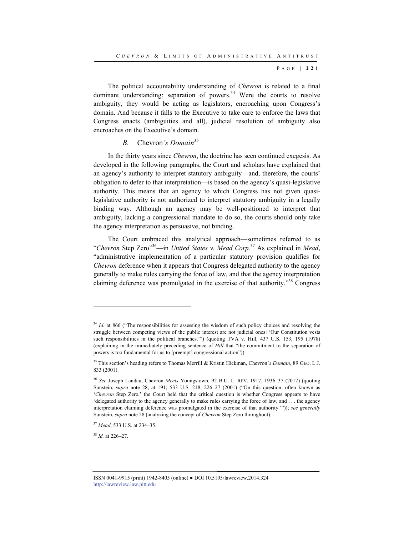The political accountability understanding of *Chevron* is related to a final dominant understanding: separation of powers. $34$  Were the courts to resolve ambiguity, they would be acting as legislators, encroaching upon Congress's domain. And because it falls to the Executive to take care to enforce the laws that Congress enacts (ambiguities and all), judicial resolution of ambiguity also encroaches on the Executive's domain.

## *B.* Chevron*'s Domain*<sup>35</sup>

In the thirty years since *Chevron*, the doctrine has seen continued exegesis. As developed in the following paragraphs, the Court and scholars have explained that an agency's authority to interpret statutory ambiguity—and, therefore, the courts' obligation to defer to that interpretation—is based on the agency's quasi-legislative authority. This means that an agency to which Congress has not given quasilegislative authority is not authorized to interpret statutory ambiguity in a legally binding way. Although an agency may be well-positioned to interpret that ambiguity, lacking a congressional mandate to do so, the courts should only take the agency interpretation as persuasive, not binding.

The Court embraced this analytical approach—sometimes referred to as "*Chevron* Step Zero"36—in *United States v. Mead Corp.*37 As explained in *Mead*, "administrative implementation of a particular statutory provision qualifies for *Chevron* deference when it appears that Congress delegated authority to the agency generally to make rules carrying the force of law, and that the agency interpretation claiming deference was promulgated in the exercise of that authority."38 Congress

<sup>38</sup> *Id.* at 226–27.

<sup>&</sup>lt;sup>34</sup> *Id.* at 866 ("The responsibilities for assessing the wisdom of such policy choices and resolving the struggle between competing views of the public interest are not judicial ones: 'Our Constitution vests such responsibilities in the political branches."") (quoting TVA v. Hill, 437 U.S. 153, 195 (1978) (explaining in the immediately preceding sentence of *Hill* that "the commitment to the separation of powers is too fundamental for us to [preempt] congressional action")).

<sup>35</sup> This section's heading refers to Thomas Merrill & Kristin Hickman, Chevron*'s Domain*, 89 GEO. L.J. 833 (2001).

<sup>36</sup> *See* Joseph Landau, Chevron *Meets* Youngstown, 92 B.U. L. REV. 1917, 1936–37 (2012) (quoting Sunstein, *supra* note 28, at 191; 533 U.S. 218, 226–27 (2001) ("On this question, often known as '*Chevron* Step Zero,' the Court held that the critical question is whether Congress appears to have 'delegated authority to the agency generally to make rules carrying the force of law, and . . . the agency interpretation claiming deference was promulgated in the exercise of that authority.'")); *see generally* Sunstein, *supra* note 28 (analyzing the concept of *Chevron* Step Zero throughout).

<sup>37</sup> *Mead*, 533 U.S. at 234–35.

ISSN 0041-9915 (print) 1942-8405 (online) ● DOI 10.5195/lawreview.2014.324 http://lawreview.law.pitt.edu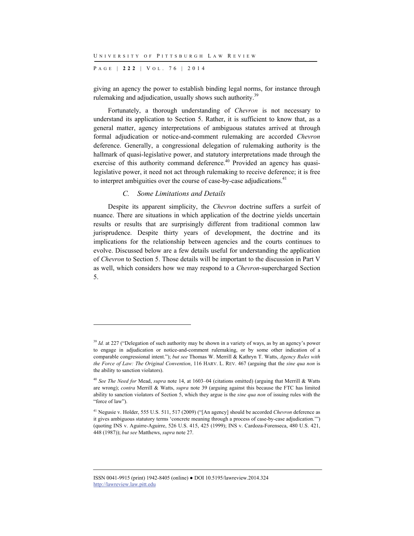P AGE | **222** | V O L . 7 6 | 2014

giving an agency the power to establish binding legal norms, for instance through rulemaking and adjudication, usually shows such authority.<sup>39</sup>

Fortunately, a thorough understanding of *Chevron* is not necessary to understand its application to Section 5. Rather, it is sufficient to know that, as a general matter, agency interpretations of ambiguous statutes arrived at through formal adjudication or notice-and-comment rulemaking are accorded *Chevron* deference. Generally, a congressional delegation of rulemaking authority is the hallmark of quasi-legislative power, and statutory interpretations made through the exercise of this authority command deference.<sup>40</sup> Provided an agency has quasilegislative power, it need not act through rulemaking to receive deference; it is free to interpret ambiguities over the course of case-by-case adjudications.<sup>41</sup>

## *C. Some Limitations and Details*

l

Despite its apparent simplicity, the *Chevron* doctrine suffers a surfeit of nuance. There are situations in which application of the doctrine yields uncertain results or results that are surprisingly different from traditional common law jurisprudence. Despite thirty years of development, the doctrine and its implications for the relationship between agencies and the courts continues to evolve. Discussed below are a few details useful for understanding the application of *Chevron* to Section 5. Those details will be important to the discussion in Part V as well, which considers how we may respond to a *Chevron*-supercharged Section 5.

<sup>&</sup>lt;sup>39</sup> *Id.* at 227 ("Delegation of such authority may be shown in a variety of ways, as by an agency's power to engage in adjudication or notice-and-comment rulemaking, or by some other indication of a comparable congressional intent."); *but see* Thomas W. Merrill & Kathryn T. Watts, *Agency Rules with the Force of Law: The Original Convention*, 116 HARV. L. REV. 467 (arguing that the *sine qua non* is the ability to sanction violators).

<sup>40</sup> *See The Need for* Mead, *supra* note 14, at 1603–04 (citations omitted) (arguing that Merrill & Watts are wrong); *contra* Merrill & Watts, *supra* note 39 (arguing against this because the FTC has limited ability to sanction violators of Section 5, which they argue is the *sine qua non* of issuing rules with the "force of law").

<sup>41</sup> Negusie v. Holder, 555 U.S. 511, 517 (2009) ("[An agency] should be accorded *Chevron* deference as it gives ambiguous statutory terms 'concrete meaning through a process of case-by-case adjudication.'") (quoting INS v. Aguirre-Aguirre, 526 U.S. 415, 425 (1999); INS v. Cardoza-Forenseca, 480 U.S. 421, 448 (1987)); *but see* Matthews, *supra* note 27.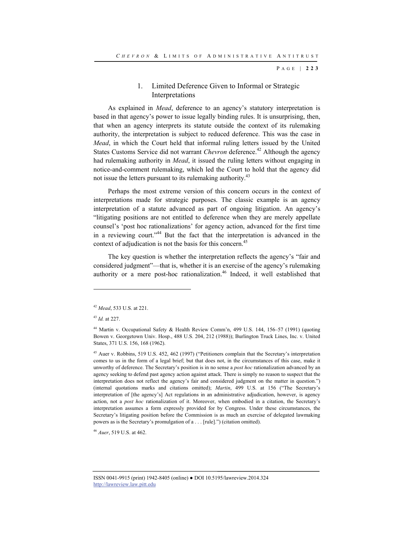## 1. Limited Deference Given to Informal or Strategic Interpretations

As explained in *Mead*, deference to an agency's statutory interpretation is based in that agency's power to issue legally binding rules. It is unsurprising, then, that when an agency interprets its statute outside the context of its rulemaking authority, the interpretation is subject to reduced deference. This was the case in *Mead*, in which the Court held that informal ruling letters issued by the United States Customs Service did not warrant *Chevron* deference.<sup>42</sup> Although the agency had rulemaking authority in *Mead*, it issued the ruling letters without engaging in notice-and-comment rulemaking, which led the Court to hold that the agency did not issue the letters pursuant to its rulemaking authority.<sup>43</sup>

Perhaps the most extreme version of this concern occurs in the context of interpretations made for strategic purposes. The classic example is an agency interpretation of a statute advanced as part of ongoing litigation. An agency's "litigating positions are not entitled to deference when they are merely appellate counsel's 'post hoc rationalizations' for agency action, advanced for the first time in a reviewing court."<sup>44</sup> But the fact that the interpretation is advanced in the context of adjudication is not the basis for this concern.<sup>45</sup>

The key question is whether the interpretation reflects the agency's "fair and considered judgment"—that is, whether it is an exercise of the agency's rulemaking authority or a mere post-hoc rationalization.<sup>46</sup> Indeed, it well established that

l

<sup>46</sup> *Auer*, 519 U.S. at 462.

<sup>42</sup> *Mead*, 533 U.S. at 221.

<sup>43</sup> *Id.* at 227.

<sup>44</sup> Martin v. Occupational Safety & Health Review Comm'n, 499 U.S. 144, 156–57 (1991) (quoting Bowen v. Georgetown Univ. Hosp., 488 U.S. 204, 212 (1988)); Burlington Truck Lines, Inc. v. United States, 371 U.S. 156, 168 (1962).

<sup>45</sup> Auer v. Robbins, 519 U.S. 452, 462 (1997) ("Petitioners complain that the Secretary's interpretation comes to us in the form of a legal brief; but that does not, in the circumstances of this case, make it unworthy of deference. The Secretary's position is in no sense a *post hoc* rationalization advanced by an agency seeking to defend past agency action against attack. There is simply no reason to suspect that the interpretation does not reflect the agency's fair and considered judgment on the matter in question.") (internal quotations marks and citations omitted); *Martin*, 499 U.S. at 156 ("The Secretary's interpretation of [the agency's] Act regulations in an administrative adjudication, however, is agency action, not a *post hoc* rationalization of it. Moreover, when embodied in a citation, the Secretary's interpretation assumes a form expressly provided for by Congress. Under these circumstances, the Secretary's litigating position before the Commission is as much an exercise of delegated lawmaking powers as is the Secretary's promulgation of a . . . [rule].") (citation omitted).

ISSN 0041-9915 (print) 1942-8405 (online) ● DOI 10.5195/lawreview.2014.324 http://lawreview.law.pitt.edu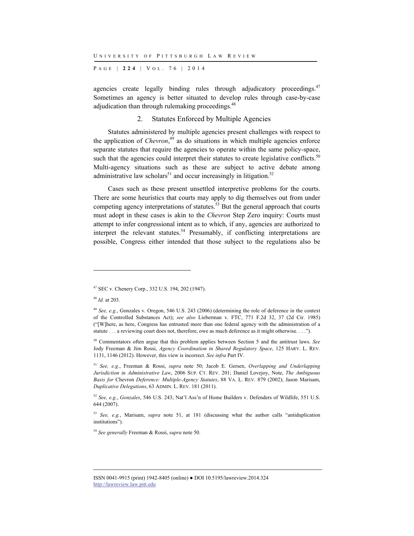P AGE | **224** | V O L . 7 6 | 2014

agencies create legally binding rules through adjudicatory proceedings.<sup>47</sup> Sometimes an agency is better situated to develop rules through case-by-case adjudication than through rulemaking proceedings.<sup>48</sup>

## 2. Statutes Enforced by Multiple Agencies

Statutes administered by multiple agencies present challenges with respect to the application of *Chevron*, 49 as do situations in which multiple agencies enforce separate statutes that require the agencies to operate within the same policy-space, such that the agencies could interpret their statutes to create legislative conflicts.<sup>50</sup> Multi-agency situations such as these are subject to active debate among administrative law scholars<sup>51</sup> and occur increasingly in litigation.<sup>52</sup>

Cases such as these present unsettled interpretive problems for the courts. There are some heuristics that courts may apply to dig themselves out from under competing agency interpretations of statutes.<sup>53</sup> But the general approach that courts must adopt in these cases is akin to the *Chevron* Step Zero inquiry: Courts must attempt to infer congressional intent as to which, if any, agencies are authorized to interpret the relevant statutes.<sup>54</sup> Presumably, if conflicting interpretations are possible, Congress either intended that those subject to the regulations also be

<sup>47</sup> SEC v. Chenery Corp., 332 U.S. 194, 202 (1947).

<sup>48</sup> *Id.* at 203.

<sup>49</sup> *See, e.g.*, Gonzales v. Oregon, 546 U.S. 243 (2006) (determining the role of deference in the context of the Controlled Substances Act); *see also* Lieberman v. FTC, 771 F.2d 32, 37 (2d Cir. 1985) ("[W]here, as here, Congress has entrusted more than one federal agency with the administration of a statute . . . a reviewing court does not, therefore, owe as much deference as it might otherwise. . . .").

<sup>50</sup> Commentators often argue that this problem applies between Section 5 and the antitrust laws. *See* Jody Freeman & Jim Rossi, *Agency Coordination in Shared Regulatory Space*, 125 HARV. L. REV. 1131, 1146 (2012). However, this view is incorrect. *See infra* Part IV.

<sup>51</sup> *See, e.g.*, Freeman & Rossi, *supra* note 50; Jacob E. Gersen, *Overlapping and Underlapping Jurisdiction in Administrative Law*, 2006 SUP. CT. REV. 201; Daniel Lovejoy, Note, *The Ambiguous Basis for* Chevron *Deference: Multiple-Agency Statutes*, 88 VA. L. REV. 879 (2002); Jason Marisam, *Duplicative Delegations*, 63 ADMIN. L. REV. 181 (2011).

<sup>52</sup> *See, e.g.*, *Gonzales*, 546 U.S. 243; Nat'l Ass'n of Home Builders v. Defenders of Wildlife, 551 U.S. 644 (2007).

<sup>53</sup> *See, e.g.*, Marisam, *supra* note 51, at 181 (discussing what the author calls "antiduplication institutions").

<sup>54</sup> *See generally* Freeman & Rossi, *supra* note 50.

ISSN 0041-9915 (print) 1942-8405 (online) ● DOI 10.5195/lawreview.2014.324 http://lawreview.law.pitt.edu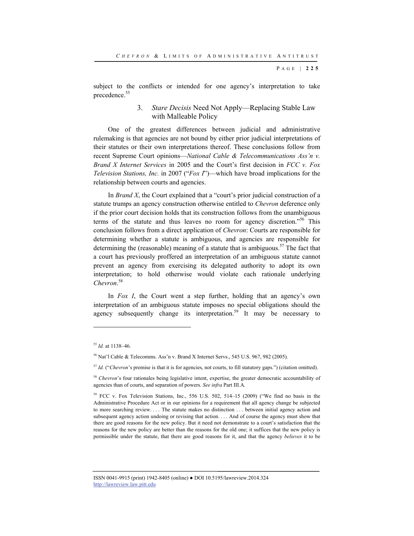subject to the conflicts or intended for one agency's interpretation to take precedence.<sup>55</sup>

## 3. *Stare Decisis* Need Not Apply—Replacing Stable Law with Malleable Policy

One of the greatest differences between judicial and administrative rulemaking is that agencies are not bound by either prior judicial interpretations of their statutes or their own interpretations thereof. These conclusions follow from recent Supreme Court opinions—*National Cable & Telecommunications Ass'n v. Brand X Internet Services* in 2005 and the Court's first decision in *FCC v. Fox Television Stations, Inc.* in 2007 ("*Fox I*")—which have broad implications for the relationship between courts and agencies.

In *Brand X*, the Court explained that a "court's prior judicial construction of a statute trumps an agency construction otherwise entitled to *Chevron* deference only if the prior court decision holds that its construction follows from the unambiguous terms of the statute and thus leaves no room for agency discretion."56 This conclusion follows from a direct application of *Chevron*: Courts are responsible for determining whether a statute is ambiguous, and agencies are responsible for determining the (reasonable) meaning of a statute that is ambiguous.<sup>57</sup> The fact that a court has previously proffered an interpretation of an ambiguous statute cannot prevent an agency from exercising its delegated authority to adopt its own interpretation; to hold otherwise would violate each rationale underlying *Chevron*. 58

In *Fox I*, the Court went a step further, holding that an agency's own interpretation of an ambiguous statute imposes no special obligations should the agency subsequently change its interpretation.<sup>59</sup> It may be necessary to

l

<sup>55</sup> *Id.* at 1138–46.

<sup>56</sup> Nat'l Cable & Telecomms. Ass'n v. Brand X Internet Servs., 545 U.S. 967, 982 (2005).

<sup>57</sup> *Id.* ("*Chevron*'s premise is that it is for agencies, not courts, to fill statutory gaps.") (citation omitted).

<sup>&</sup>lt;sup>58</sup> *Chevron*'s four rationales being legislative intent, expertise, the greater democratic accountability of agencies than of courts, and separation of powers. *See infra* Part III.A.

<sup>59</sup> FCC v. Fox Television Stations, Inc., 556 U.S. 502, 514–15 (2009) ("We find no basis in the Administrative Procedure Act or in our opinions for a requirement that all agency change be subjected to more searching review. . . . The statute makes no distinction . . . between initial agency action and subsequent agency action undoing or revising that action. . . . And of course the agency must show that there are good reasons for the new policy. But it need not demonstrate to a court's satisfaction that the reasons for the new policy are better than the reasons for the old one; it suffices that the new policy is permissible under the statute, that there are good reasons for it, and that the agency *believes* it to be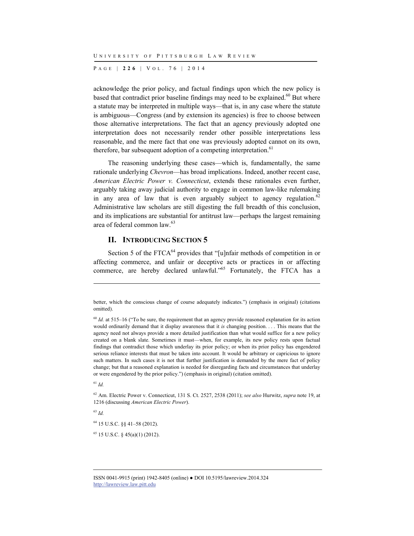P AGE | **226** | V O L . 7 6 | 2014

acknowledge the prior policy, and factual findings upon which the new policy is based that contradict prior baseline findings may need to be explained. $60$  But where a statute may be interpreted in multiple ways—that is, in any case where the statute is ambiguous—Congress (and by extension its agencies) is free to choose between those alternative interpretations. The fact that an agency previously adopted one interpretation does not necessarily render other possible interpretations less reasonable, and the mere fact that one was previously adopted cannot on its own, therefore, bar subsequent adoption of a competing interpretation.<sup>61</sup>

The reasoning underlying these cases—which is, fundamentally, the same rationale underlying *Chevron*—has broad implications. Indeed, another recent case, *American Electric Power v. Connecticut*, extends these rationales even further, arguably taking away judicial authority to engage in common law-like rulemaking in any area of law that is even arguably subject to agency regulation.<sup>62</sup> Administrative law scholars are still digesting the full breadth of this conclusion, and its implications are substantial for antitrust law—perhaps the largest remaining area of federal common law.<sup>63</sup>

## **II. INTRODUCING SECTION 5**

Section 5 of the FTCA<sup>64</sup> provides that "[u]nfair methods of competition in or affecting commerce, and unfair or deceptive acts or practices in or affecting commerce, are hereby declared unlawful."<sup>65</sup> Fortunately, the FTCA has a

<sup>61</sup> *Id.*

l

62 Am. Electric Power v. Connecticut, 131 S. Ct. 2527, 2538 (2011); *see also* Hurwitz, *supra* note 19, at 1216 (discussing *American Electric Power*).

<sup>63</sup> *Id.*

64 15 U.S.C. §§ 41–58 (2012).

65 15 U.S.C. § 45(a)(1) (2012).

better, which the conscious change of course adequately indicates.") (emphasis in original) (citations omitted).

<sup>&</sup>lt;sup>60</sup> *Id.* at 515–16 ("To be sure, the requirement that an agency provide reasoned explanation for its action would ordinarily demand that it display awareness that it *is* changing position. . . . This means that the agency need not always provide a more detailed justification than what would suffice for a new policy created on a blank slate. Sometimes it must—when, for example, its new policy rests upon factual findings that contradict those which underlay its prior policy; or when its prior policy has engendered serious reliance interests that must be taken into account. It would be arbitrary or capricious to ignore such matters. In such cases it is not that further justification is demanded by the mere fact of policy change; but that a reasoned explanation is needed for disregarding facts and circumstances that underlay or were engendered by the prior policy.") (emphasis in original) (citation omitted).

ISSN 0041-9915 (print) 1942-8405 (online) ● DOI 10.5195/lawreview.2014.324 http://lawreview.law.pitt.edu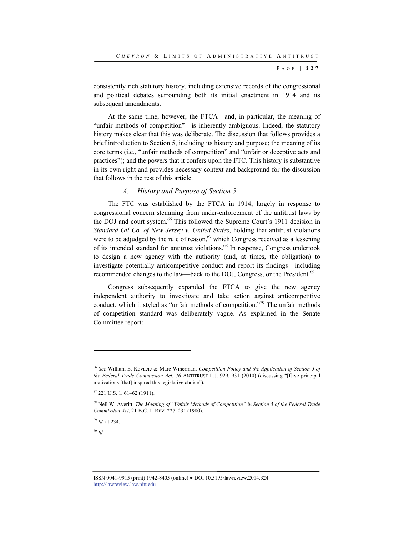consistently rich statutory history, including extensive records of the congressional and political debates surrounding both its initial enactment in 1914 and its subsequent amendments.

At the same time, however, the FTCA—and, in particular, the meaning of "unfair methods of competition"—is inherently ambiguous. Indeed, the statutory history makes clear that this was deliberate. The discussion that follows provides a brief introduction to Section 5, including its history and purpose; the meaning of its core terms (i.e., "unfair methods of competition" and "unfair or deceptive acts and practices"); and the powers that it confers upon the FTC. This history is substantive in its own right and provides necessary context and background for the discussion that follows in the rest of this article.

#### *A. History and Purpose of Section 5*

The FTC was established by the FTCA in 1914, largely in response to congressional concern stemming from under-enforcement of the antitrust laws by the DOJ and court system.<sup>66</sup> This followed the Supreme Court's 1911 decision in *Standard Oil Co. of New Jersey v. United States*, holding that antitrust violations were to be adjudged by the rule of reason,<sup>67</sup> which Congress received as a lessening of its intended standard for antitrust violations.68 In response, Congress undertook to design a new agency with the authority (and, at times, the obligation) to investigate potentially anticompetitive conduct and report its findings—including recommended changes to the law—back to the DOJ, Congress, or the President.<sup>69</sup>

Congress subsequently expanded the FTCA to give the new agency independent authority to investigate and take action against anticompetitive conduct, which it styled as "unfair methods of competition."70 The unfair methods of competition standard was deliberately vague. As explained in the Senate Committee report:

<sup>69</sup> *Id.* at 234.

<sup>70</sup> *Id.*

<sup>66</sup> *See* William E. Kovacic & Marc Winerman, *Competition Policy and the Application of Section 5 of the Federal Trade Commission Act*, 76 ANTITRUST L.J. 929, 931 (2010) (discussing "[f]ive principal motivations [that] inspired this legislative choice").

<sup>67 221</sup> U.S. 1, 61–62 (1911).

<sup>68</sup> Neil W. Averitt, *The Meaning of "Unfair Methods of Competition" in Section 5 of the Federal Trade Commission Act*, 21 B.C. L. REV. 227, 231 (1980).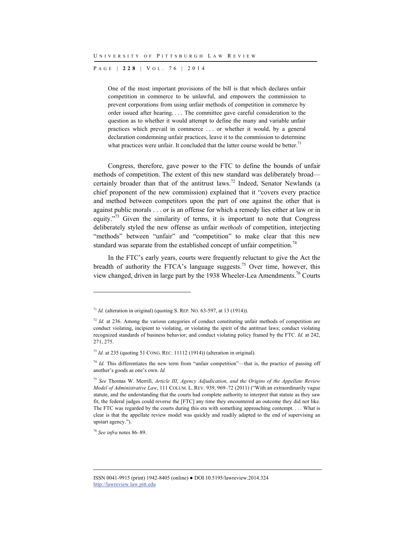P AGE | **228** | V O L . 7 6 | 2014

One of the most important provisions of the bill is that which declares unfair competition in commerce to be unlawful, and empowers the commission to prevent corporations from using unfair methods of competition in commerce by order issued after hearing. . . . The committee gave careful consideration to the question as to whether it would attempt to define the many and variable unfair practices which prevail in commerce . . . or whether it would, by a general declaration condemning unfair practices, leave it to the commission to determine what practices were unfair. It concluded that the latter course would be better.<sup>71</sup>

Congress, therefore, gave power to the FTC to define the bounds of unfair methods of competition. The extent of this new standard was deliberately broad certainly broader than that of the antitrust laws.<sup>72</sup> Indeed, Senator Newlands (a chief proponent of the new commission) explained that it "covers every practice and method between competitors upon the part of one against the other that is against public morals . . . or is an offense for which a remedy lies either at law or in equity."<sup>73</sup> Given the similarity of terms, it is important to note that Congress deliberately styled the new offense as unfair *methods* of competition, interjecting "methods" between "unfair" and "competition" to make clear that this new standard was separate from the established concept of unfair competition.<sup>74</sup>

In the FTC's early years, courts were frequently reluctant to give the Act the breadth of authority the FTCA's language suggests.<sup>75</sup> Over time, however, this view changed, driven in large part by the 1938 Wheeler-Lea Amendments.76 Courts

<sup>76</sup> *See infra* notes 86–89.

<sup>&</sup>lt;sup>71</sup> *Id.* (alteration in original) (quoting S. REP. NO. 63-597, at 13 (1914)).

<sup>&</sup>lt;sup>72</sup> *Id.* at 236. Among the various categories of conduct constituting unfair methods of competition are conduct violating, incipient to violating, or violating the spirit of the antitrust laws; conduct violating recognized standards of business behavior; and conduct violating policy framed by the FTC. *Id.* at 242, 271, 275.

<sup>73</sup> *Id.* at 235 (quoting 51 CONG. REC. 11112 (1914)) (alteration in original).

<sup>&</sup>lt;sup>74</sup> *Id.* This differentiates the new term from "unfair competition"—that is, the practice of passing off another's goods as one's own. *Id.*

<sup>75</sup> *See* Thomas W. Merrill, *Article III, Agency Adjudication, and the Origins of the Appellate Review Model of Administrative Law*, 111 COLUM. L. REV. 939, 969–72 (2011) ("With an extraordinarily vague statute, and the understanding that the courts had complete authority to interpret that statute as they saw fit, the federal judges could reverse the [FTC] any time they encountered an outcome they did not like. The FTC was regarded by the courts during this era with something approaching contempt. . . . What is clear is that the appellate review model was quickly and readily adapted to the end of supervising an upstart agency.").

ISSN 0041-9915 (print) 1942-8405 (online) ● DOI 10.5195/lawreview.2014.324 http://lawreview.law.pitt.edu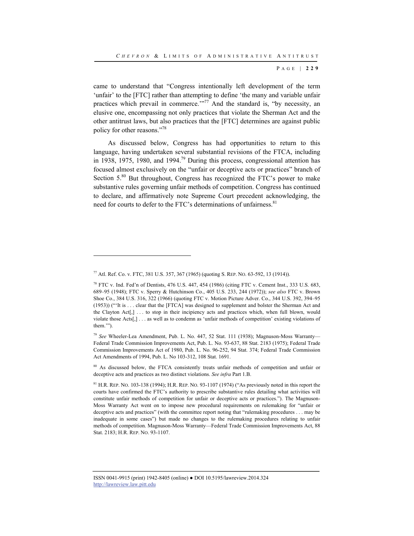came to understand that "Congress intentionally left development of the term 'unfair' to the [FTC] rather than attempting to define 'the many and variable unfair practices which prevail in commerce. $1.77$  And the standard is, "by necessity, an elusive one, encompassing not only practices that violate the Sherman Act and the other antitrust laws, but also practices that the [FTC] determines are against public policy for other reasons."78

As discussed below, Congress has had opportunities to return to this language, having undertaken several substantial revisions of the FTCA, including in 1938, 1975, 1980, and 1994.<sup>79</sup> During this process, congressional attention has focused almost exclusively on the "unfair or deceptive acts or practices" branch of Section  $5<sup>80</sup>$  But throughout, Congress has recognized the FTC's power to make substantive rules governing unfair methods of competition. Congress has continued to declare, and affirmatively note Supreme Court precedent acknowledging, the need for courts to defer to the FTC's determinations of unfairness.<sup>81</sup>

l

<sup>77</sup> Atl. Ref. Co. v. FTC, 381 U.S. 357, 367 (1965) (quoting S. REP. NO. 63-592, 13 (1914)).

<sup>78</sup> FTC v. Ind. Fed'n of Dentists, 476 U.S. 447, 454 (1986) (citing FTC v. Cement Inst., 333 U.S. 683, 689–95 (1948); FTC v. Sperry & Hutchinson Co., 405 U.S. 233, 244 (1972)); *see also* FTC v. Brown Shoe Co., 384 U.S. 316, 322 (1966) (quoting FTC v. Motion Picture Adver. Co., 344 U.S. 392, 394–95 (1953)) ("'It is . . . clear that the [FTCA] was designed to supplement and bolster the Sherman Act and the Clayton Act[,] . . . to stop in their incipiency acts and practices which, when full blown, would violate those Acts[,] . . . as well as to condemn as 'unfair methods of competition' existing violations of them.'").

<sup>79</sup> *See* Wheeler-Lea Amendment, Pub. L. No. 447, 52 Stat. 111 (1938); Magnuson-Moss Warranty— Federal Trade Commission Improvements Act, Pub. L. No. 93-637, 88 Stat. 2183 (1975); Federal Trade Commission Improvements Act of 1980, Pub. L. No. 96-252, 94 Stat. 374; Federal Trade Commission Act Amendments of 1994, Pub. L. No 103-312, 108 Stat. 1691.

<sup>&</sup>lt;sup>80</sup> As discussed below, the FTCA consistently treats unfair methods of competition and unfair or deceptive acts and practices as two distinct violations. *See infra* Part 1.B.

 $81$  H.R. REP. NO. 103-138 (1994); H.R. REP. NO. 93-1107 (1974) ("As previously noted in this report the courts have confirmed the FTC's authority to prescribe substantive rules detailing what activities will constitute unfair methods of competition for unfair or deceptive acts or practices."). The Magnuson-Moss Warranty Act went on to impose new procedural requirements on rulemaking for "unfair or deceptive acts and practices" (with the committee report noting that "rulemaking procedures . . . may be inadequate in some cases") but made no changes to the rulemaking procedures relating to unfair methods of competition. Magnuson-Moss Warranty—Federal Trade Commission Improvements Act, 88 Stat. 2183; H.R. REP. NO. 93-1107.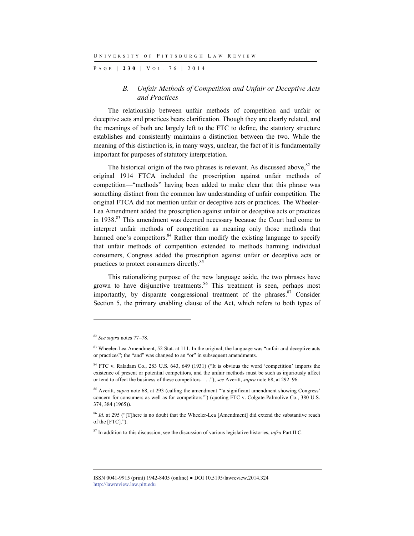P AGE | **230** | V O L . 7 6 | 2014

## *B. Unfair Methods of Competition and Unfair or Deceptive Acts and Practices*

The relationship between unfair methods of competition and unfair or deceptive acts and practices bears clarification. Though they are clearly related, and the meanings of both are largely left to the FTC to define, the statutory structure establishes and consistently maintains a distinction between the two. While the meaning of this distinction is, in many ways, unclear, the fact of it is fundamentally important for purposes of statutory interpretation.

The historical origin of the two phrases is relevant. As discussed above,  $82$  the original 1914 FTCA included the proscription against unfair methods of competition—"methods" having been added to make clear that this phrase was something distinct from the common law understanding of unfair competition. The original FTCA did not mention unfair or deceptive acts or practices. The Wheeler-Lea Amendment added the proscription against unfair or deceptive acts or practices in 1938.<sup>83</sup> This amendment was deemed necessary because the Court had come to interpret unfair methods of competition as meaning only those methods that harmed one's competitors.<sup>84</sup> Rather than modify the existing language to specify that unfair methods of competition extended to methods harming individual consumers, Congress added the proscription against unfair or deceptive acts or practices to protect consumers directly.85

This rationalizing purpose of the new language aside, the two phrases have grown to have disjunctive treatments.<sup>86</sup> This treatment is seen, perhaps most importantly, by disparate congressional treatment of the phrases. $87$  Consider Section 5, the primary enabling clause of the Act, which refers to both types of

<sup>82</sup> *See supra* notes 77–78.

<sup>&</sup>lt;sup>83</sup> Wheeler-Lea Amendment, 52 Stat. at 111. In the original, the language was "unfair and deceptive acts" or practices"; the "and" was changed to an "or" in subsequent amendments.

<sup>&</sup>lt;sup>84</sup> FTC v. Raladam Co., 283 U.S. 643, 649 (1931) ("It is obvious the word 'competition' imports the existence of present or potential competitors, and the unfair methods must be such as injuriously affect or tend to affect the business of these competitors. . . ."); *see* Averitt, *supra* note 68, at 292–96.

<sup>&</sup>lt;sup>85</sup> Averitt, *supra* note 68, at 293 (calling the amendment "a significant amendment showing Congress' concern for consumers as well as for competitors'") (quoting FTC v. Colgate-Palmolive Co., 380 U.S. 374, 384 (1965)).

<sup>&</sup>lt;sup>86</sup> *Id.* at 295 ("There is no doubt that the Wheeler-Lea [Amendment] did extend the substantive reach of the [FTC].").

<sup>87</sup> In addition to this discussion, see the discussion of various legislative histories, *infra* Part II.C.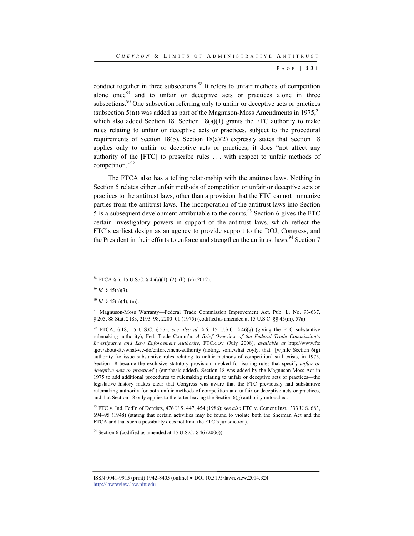conduct together in three subsections.<sup>88</sup> It refers to unfair methods of competition alone once<sup>89</sup> and to unfair or deceptive acts or practices alone in three subsections.<sup>90</sup> One subsection referring only to unfair or deceptive acts or practices (subsection 5(n)) was added as part of the Magnuson-Moss Amendments in 1975.<sup>91</sup> which also added Section 18. Section 18(a)(1) grants the FTC authority to make rules relating to unfair or deceptive acts or practices, subject to the procedural requirements of Section 18(b). Section 18(a)(2) expressly states that Section 18 applies only to unfair or deceptive acts or practices; it does "not affect any authority of the [FTC] to prescribe rules . . . with respect to unfair methods of competition."92

The FTCA also has a telling relationship with the antitrust laws. Nothing in Section 5 relates either unfair methods of competition or unfair or deceptive acts or practices to the antitrust laws, other than a provision that the FTC cannot immunize parties from the antitrust laws. The incorporation of the antitrust laws into Section 5 is a subsequent development attributable to the courts.<sup>93</sup> Section 6 gives the FTC certain investigatory powers in support of the antitrust laws, which reflect the FTC's earliest design as an agency to provide support to the DOJ, Congress, and the President in their efforts to enforce and strengthen the antitrust laws.<sup>94</sup> Section 7

l

93 FTC v. Ind. Fed'n of Dentists, 476 U.S. 447, 454 (1986); *see also* FTC v. Cement Inst., 333 U.S. 683, 694–95 (1948) (stating that certain activities may be found to violate both the Sherman Act and the FTCA and that such a possibility does not limit the FTC's jurisdiction).

<sup>94</sup> Section 6 (codified as amended at 15 U.S.C. § 46 (2006)).

<sup>&</sup>lt;sup>88</sup> FTCA § 5, 15 U.S.C. § 45(a)(1)–(2), (b), (c) (2012).

 $89$  *Id.* § 45(a)(3).

<sup>90</sup> *Id.* § 45(a)(4), (m).

<sup>91</sup> Magnuson-Moss Warranty—Federal Trade Commission Improvement Act, Pub. L. No. 93-637, § 205, 88 Stat. 2183, 2193–98, 2200–01 (1975) (codified as amended at 15 U.S.C. §§ 45(m), 57a).

<sup>92</sup> FTCA, § 18, 15 U.S.C. § 57a; *see also id.* § 6, 15 U.S.C. § 46(g) (giving the FTC substantive rulemaking authority); Fed. Trade Comm'n, *A Brief Overview of the Federal Trade Commission's Investigative and Law Enforcement Authority*, FTC.GOV (July 2008), *available at* http://www.ftc .gov/about-ftc/what-we-do/enforcement-authority (noting, somewhat coyly, that "[w]hile Section 6(g) authority [to issue substantive rules relating to unfair methods of competition] still exists, in 1975, Section 18 became the exclusive statutory provision invoked for issuing rules that specify *unfair or deceptive acts or practices*") (emphasis added). Section 18 was added by the Magnuson-Moss Act in 1975 to add additional procedures to rulemaking relating to unfair or deceptive acts or practices—the legislative history makes clear that Congress was aware that the FTC previously had substantive rulemaking authority for both unfair methods of competition and unfair or deceptive acts or practices, and that Section 18 only applies to the latter leaving the Section  $6(g)$  authority untouched.

ISSN 0041-9915 (print) 1942-8405 (online) ● DOI 10.5195/lawreview.2014.324 http://lawreview.law.pitt.edu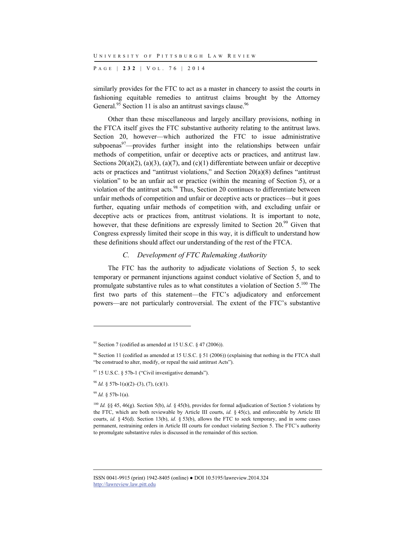P AGE | **232** | V O L . 7 6 | 2014

similarly provides for the FTC to act as a master in chancery to assist the courts in fashioning equitable remedies to antitrust claims brought by the Attorney General.<sup>95</sup> Section 11 is also an antitrust savings clause.<sup>96</sup>

Other than these miscellaneous and largely ancillary provisions, nothing in the FTCA itself gives the FTC substantive authority relating to the antitrust laws. Section 20, however—which authorized the FTC to issue administrative subpoenas $97$ —provides further insight into the relationships between unfair methods of competition, unfair or deceptive acts or practices, and antitrust law. Sections  $20(a)(2)$ ,  $(a)(3)$ ,  $(a)(7)$ , and  $(c)(1)$  differentiate between unfair or deceptive acts or practices and "antitrust violations," and Section 20(a)(8) defines "antitrust violation" to be an unfair act or practice (within the meaning of Section 5), or a violation of the antitrust acts.<sup>98</sup> Thus, Section 20 continues to differentiate between unfair methods of competition and unfair or deceptive acts or practices—but it goes further, equating unfair methods of competition with, and excluding unfair or deceptive acts or practices from, antitrust violations. It is important to note, however, that these definitions are expressly limited to Section 20.<sup>99</sup> Given that Congress expressly limited their scope in this way, it is difficult to understand how these definitions should affect our understanding of the rest of the FTCA.

#### *C. Development of FTC Rulemaking Authority*

The FTC has the authority to adjudicate violations of Section 5, to seek temporary or permanent injunctions against conduct violative of Section 5, and to promulgate substantive rules as to what constitutes a violation of Section 5.100 The first two parts of this statement—the FTC's adjudicatory and enforcement powers—are not particularly controversial. The extent of the FTC's substantive

<sup>99</sup> *Id.* § 57b-1(a).

l

<sup>&</sup>lt;sup>95</sup> Section 7 (codified as amended at 15 U.S.C.  $\frac{6}{5}$  47 (2006)).

<sup>96</sup> Section 11 (codified as amended at 15 U.S.C. § 51 (2006)) (explaining that nothing in the FTCA shall "be construed to alter, modify, or repeal the said antitrust Acts").

 $97$  15 U.S.C. § 57b-1 ("Civil investigative demands").

<sup>&</sup>lt;sup>98</sup> *Id.* § 57b-1(a)(2)–(3), (7), (c)(1).

<sup>100</sup> *Id.* §§ 45, 46(g). Section 5(b), *id.* § 45(b), provides for formal adjudication of Section 5 violations by the FTC, which are both reviewable by Article III courts, *id.* § 45(c), and enforceable by Article III courts, *id.* § 45(d). Section 13(b), *id.* § 53(b), allows the FTC to seek temporary, and in some cases permanent, restraining orders in Article III courts for conduct violating Section 5. The FTC's authority to promulgate substantive rules is discussed in the remainder of this section.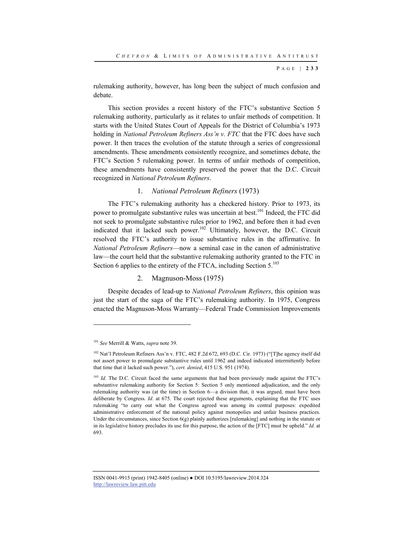rulemaking authority, however, has long been the subject of much confusion and debate.

This section provides a recent history of the FTC's substantive Section 5 rulemaking authority, particularly as it relates to unfair methods of competition. It starts with the United States Court of Appeals for the District of Columbia's 1973 holding in *National Petroleum Refiners Ass'n v. FTC* that the FTC does have such power. It then traces the evolution of the statute through a series of congressional amendments. These amendments consistently recognize, and sometimes debate, the FTC's Section 5 rulemaking power. In terms of unfair methods of competition, these amendments have consistently preserved the power that the D.C. Circuit recognized in *National Petroleum Refiners*.

## 1. *National Petroleum Refiners* (1973)

The FTC's rulemaking authority has a checkered history. Prior to 1973, its power to promulgate substantive rules was uncertain at best.<sup>101</sup> Indeed, the FTC did not seek to promulgate substantive rules prior to 1962, and before then it had even indicated that it lacked such power.<sup>102</sup> Ultimately, however, the D.C. Circuit resolved the FTC's authority to issue substantive rules in the affirmative. In *National Petroleum Refiners*—now a seminal case in the canon of administrative law—the court held that the substantive rulemaking authority granted to the FTC in Section 6 applies to the entirety of the FTCA, including Section 5.<sup>103</sup>

## 2. Magnuson-Moss (1975)

Despite decades of lead-up to *National Petroleum Refiners*, this opinion was just the start of the saga of the FTC's rulemaking authority. In 1975, Congress enacted the Magnuson-Moss Warranty—Federal Trade Commission Improvements

l

<sup>101</sup> *See* Merrill & Watts, *supra* note 39.

<sup>102</sup> Nat'l Petroleum Refiners Ass'n v. FTC, 482 F.2d 672, 693 (D.C. Cir. 1973) ("[T]he agency itself did not assert power to promulgate substantive rules until 1962 and indeed indicated intermittently before that time that it lacked such power."), *cert. denied*, 415 U.S. 951 (1974).

<sup>&</sup>lt;sup>103</sup> *Id.* The D.C. Circuit faced the same arguments that had been previously made against the FTC's substantive rulemaking authority for Section 5: Section 5 only mentioned adjudication, and the only rulemaking authority was (at the time) in Section 6—a division that, it was argued, must have been deliberate by Congress. *Id.* at 675. The court rejected these arguments, explaining that the FTC uses rulemaking "to carry out what the Congress agreed was among its central purposes: expedited administrative enforcement of the national policy against monopolies and unfair business practices. Under the circumstances, since Section  $6(g)$  plainly authorizes [rulemaking] and nothing in the statute or in its legislative history precludes its use for this purpose, the action of the [FTC] must be upheld." *Id.* at 693.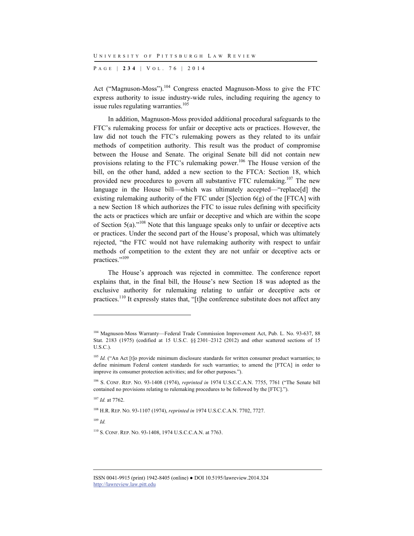P AGE | **234** | V O L . 7 6 | 2014

Act ("Magnuson-Moss").<sup>104</sup> Congress enacted Magnuson-Moss to give the FTC express authority to issue industry-wide rules, including requiring the agency to issue rules regulating warranties.<sup>105</sup>

In addition, Magnuson-Moss provided additional procedural safeguards to the FTC's rulemaking process for unfair or deceptive acts or practices. However, the law did not touch the FTC's rulemaking powers as they related to its unfair methods of competition authority. This result was the product of compromise between the House and Senate. The original Senate bill did not contain new provisions relating to the FTC's rulemaking power.106 The House version of the bill, on the other hand, added a new section to the FTCA: Section 18, which provided new procedures to govern all substantive FTC rulemaking.<sup>107</sup> The new language in the House bill—which was ultimately accepted—"replace[d] the existing rulemaking authority of the FTC under [S]ection 6(g) of the [FTCA] with a new Section 18 which authorizes the FTC to issue rules defining with specificity the acts or practices which are unfair or deceptive and which are within the scope of Section  $5(a)$ ."<sup>108</sup> Note that this language speaks only to unfair or deceptive acts or practices. Under the second part of the House's proposal, which was ultimately rejected, "the FTC would not have rulemaking authority with respect to unfair methods of competition to the extent they are not unfair or deceptive acts or practices."109

The House's approach was rejected in committee. The conference report explains that, in the final bill, the House's new Section 18 was adopted as the exclusive authority for rulemaking relating to unfair or deceptive acts or practices.<sup>110</sup> It expressly states that, "[t]he conference substitute does not affect any

<sup>107</sup> *Id.* at 7762.

108 H.R. REP. NO. 93-1107 (1974), *reprinted in* 1974 U.S.C.C.A.N. 7702, 7727.

<sup>109</sup> *Id.*

<sup>104</sup> Magnuson-Moss Warranty—Federal Trade Commission Improvement Act, Pub. L. No. 93-637, 88 Stat. 2183 (1975) (codified at 15 U.S.C. §§ 2301–2312 (2012) and other scattered sections of 15 U.S.C.).

<sup>&</sup>lt;sup>105</sup> *Id.* ("An Act [t]o provide minimum disclosure standards for written consumer product warranties; to define minimum Federal content standards for such warranties; to amend the [FTCA] in order to improve its consumer protection activities; and for other purposes.").

<sup>106</sup> S. CONF. REP. NO. 93-1408 (1974), *reprinted in* 1974 U.S.C.C.A.N. 7755, 7761 ("The Senate bill contained no provisions relating to rulemaking procedures to be followed by the [FTC].").

<sup>110</sup> S. CONF. REP. NO. 93-1408, 1974 U.S.C.C.A.N. at 7763.

ISSN 0041-9915 (print) 1942-8405 (online) ● DOI 10.5195/lawreview.2014.324 http://lawreview.law.pitt.edu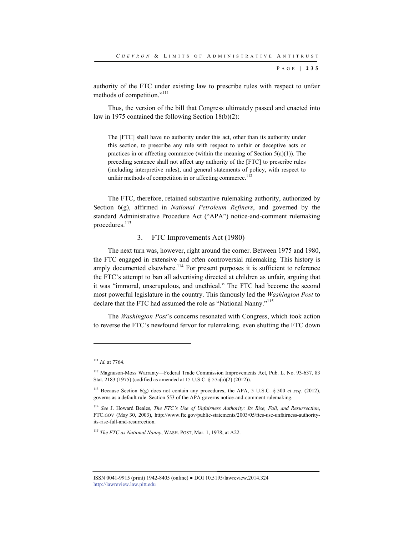authority of the FTC under existing law to prescribe rules with respect to unfair methods of competition."<sup>111</sup>

Thus, the version of the bill that Congress ultimately passed and enacted into law in 1975 contained the following Section 18(b)(2):

The [FTC] shall have no authority under this act, other than its authority under this section, to prescribe any rule with respect to unfair or deceptive acts or practices in or affecting commerce (within the meaning of Section  $5(a)(1)$ ). The preceding sentence shall not affect any authority of the [FTC] to prescribe rules (including interpretive rules), and general statements of policy, with respect to unfair methods of competition in or affecting commerce.<sup>112</sup>

The FTC, therefore, retained substantive rulemaking authority, authorized by Section 6(g), affirmed in *National Petroleum Refiners*, and governed by the standard Administrative Procedure Act ("APA") notice-and-comment rulemaking procedures.<sup>113</sup>

#### 3. FTC Improvements Act (1980)

The next turn was, however, right around the corner. Between 1975 and 1980, the FTC engaged in extensive and often controversial rulemaking. This history is amply documented elsewhere.<sup>114</sup> For present purposes it is sufficient to reference the FTC's attempt to ban all advertising directed at children as unfair, arguing that it was "immoral, unscrupulous, and unethical." The FTC had become the second most powerful legislature in the country. This famously led the *Washington Post* to declare that the FTC had assumed the role as "National Nanny."<sup>115</sup>

The *Washington Post*'s concerns resonated with Congress, which took action to reverse the FTC's newfound fervor for rulemaking, even shutting the FTC down

<sup>111</sup> *Id.* at 7764.

<sup>&</sup>lt;sup>112</sup> Magnuson-Moss Warranty—Federal Trade Commission Improvements Act, Pub. L. No. 93-637, 83 Stat. 2183 (1975) (codified as amended at 15 U.S.C. § 57a(a)(2) (2012)).

<sup>113</sup> Because Section 6(g) does not contain any procedures, the APA, 5 U.S.C. § 500 *et seq.* (2012), governs as a default rule. Section 553 of the APA governs notice-and-comment rulemaking.

<sup>114</sup> *See* J. Howard Beales, *The FTC's Use of Unfairness Authority: Its Rise, Fall, and Resurrection*, FTC.GOV (May 30, 2003), http://www.ftc.gov/public-statements/2003/05/ftcs-use-unfairness-authorityits-rise-fall-and-resurrection.

<sup>115</sup> *The FTC as National Nanny*, WASH. POST, Mar. 1, 1978, at A22.

ISSN 0041-9915 (print) 1942-8405 (online) ● DOI 10.5195/lawreview.2014.324 http://lawreview.law.pitt.edu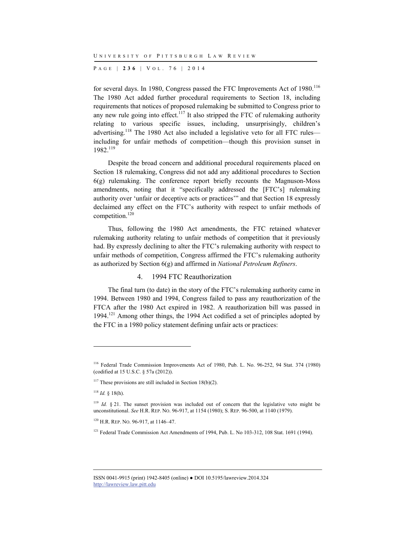P AGE | **236** | V O L . 7 6 | 2014

for several days. In 1980, Congress passed the FTC Improvements Act of 1980.<sup>116</sup> The 1980 Act added further procedural requirements to Section 18, including requirements that notices of proposed rulemaking be submitted to Congress prior to any new rule going into effect.<sup>117</sup> It also stripped the FTC of rulemaking authority relating to various specific issues, including, unsurprisingly, children's advertising.<sup>118</sup> The 1980 Act also included a legislative veto for all FTC rules including for unfair methods of competition—though this provision sunset in 1982<sup>119</sup>

Despite the broad concern and additional procedural requirements placed on Section 18 rulemaking, Congress did not add any additional procedures to Section 6(g) rulemaking. The conference report briefly recounts the Magnuson-Moss amendments, noting that it "specifically addressed the [FTC's] rulemaking authority over 'unfair or deceptive acts or practices'" and that Section 18 expressly declaimed any effect on the FTC's authority with respect to unfair methods of competition.120

Thus, following the 1980 Act amendments, the FTC retained whatever rulemaking authority relating to unfair methods of competition that it previously had. By expressly declining to alter the FTC's rulemaking authority with respect to unfair methods of competition, Congress affirmed the FTC's rulemaking authority as authorized by Section 6(g) and affirmed in *National Petroleum Refiners*.

## 4. 1994 FTC Reauthorization

The final turn (to date) in the story of the FTC's rulemaking authority came in 1994. Between 1980 and 1994, Congress failed to pass any reauthorization of the FTCA after the 1980 Act expired in 1982. A reauthorization bill was passed in 1994.121 Among other things, the 1994 Act codified a set of principles adopted by the FTC in a 1980 policy statement defining unfair acts or practices:

<sup>116</sup> Federal Trade Commission Improvements Act of 1980, Pub. L. No. 96-252, 94 Stat. 374 (1980) (codified at 15 U.S.C. § 57a (2012)).

<sup>&</sup>lt;sup>117</sup> These provisions are still included in Section 18(b)(2).

<sup>118</sup> *Id.* § 18(h).

<sup>&</sup>lt;sup>119</sup> *Id.* § 21. The sunset provision was included out of concern that the legislative veto might be unconstitutional. *See* H.R. REP. NO. 96-917, at 1154 (1980); S. REP. 96-500, at 1140 (1979).

<sup>&</sup>lt;sup>120</sup> H.R. REP. NO. 96-917, at 1146-47.

<sup>&</sup>lt;sup>121</sup> Federal Trade Commission Act Amendments of 1994, Pub. L. No 103-312, 108 Stat. 1691 (1994).

ISSN 0041-9915 (print) 1942-8405 (online) ● DOI 10.5195/lawreview.2014.324 http://lawreview.law.pitt.edu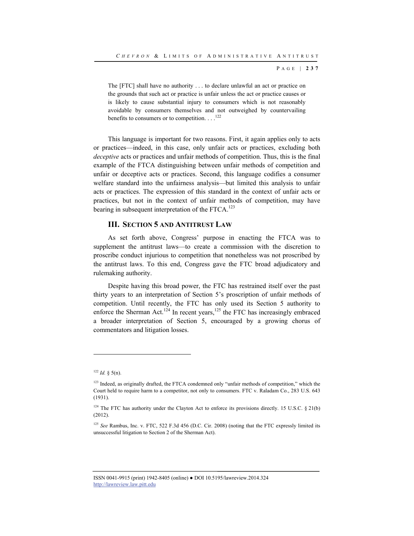The [FTC] shall have no authority . . . to declare unlawful an act or practice on the grounds that such act or practice is unfair unless the act or practice causes or is likely to cause substantial injury to consumers which is not reasonably avoidable by consumers themselves and not outweighed by countervailing benefits to consumers or to competition.  $\ldots$ <sup>122</sup>

This language is important for two reasons. First, it again applies only to acts or practices—indeed, in this case, only unfair acts or practices, excluding both *deceptive* acts or practices and unfair methods of competition. Thus, this is the final example of the FTCA distinguishing between unfair methods of competition and unfair or deceptive acts or practices. Second, this language codifies a consumer welfare standard into the unfairness analysis—but limited this analysis to unfair acts or practices. The expression of this standard in the context of unfair acts or practices, but not in the context of unfair methods of competition, may have bearing in subsequent interpretation of the FTCA.<sup>123</sup>

## **III. SECTION 5 AND ANTITRUST LAW**

As set forth above, Congress' purpose in enacting the FTCA was to supplement the antitrust laws—to create a commission with the discretion to proscribe conduct injurious to competition that nonetheless was not proscribed by the antitrust laws. To this end, Congress gave the FTC broad adjudicatory and rulemaking authority.

Despite having this broad power, the FTC has restrained itself over the past thirty years to an interpretation of Section 5's proscription of unfair methods of competition. Until recently, the FTC has only used its Section 5 authority to enforce the Sherman Act.<sup>124</sup> In recent years,<sup>125</sup> the FTC has increasingly embraced a broader interpretation of Section 5, encouraged by a growing chorus of commentators and litigation losses.

l

 $122$  *Id.* § 5(n).

<sup>&</sup>lt;sup>123</sup> Indeed, as originally drafted, the FTCA condemned only "unfair methods of competition," which the Court held to require harm to a competitor, not only to consumers. FTC v. Raladam Co., 283 U.S. 643 (1931).

<sup>&</sup>lt;sup>124</sup> The FTC has authority under the Clayton Act to enforce its provisions directly. 15 U.S.C. § 21(b) (2012).

<sup>125</sup> *See* Rambus, Inc. v. FTC, 522 F.3d 456 (D.C. Cir. 2008) (noting that the FTC expressly limited its unsuccessful litigation to Section 2 of the Sherman Act).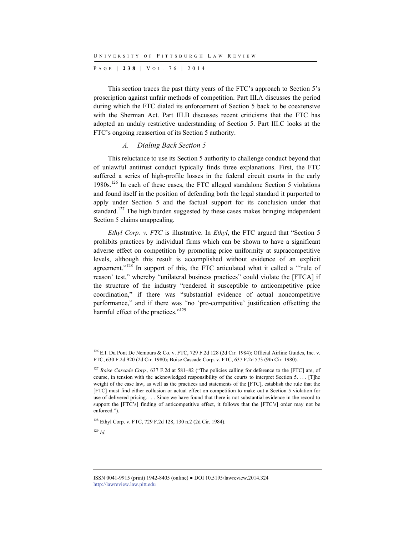P AGE | **238** | V O L . 7 6 | 2014

This section traces the past thirty years of the FTC's approach to Section 5's proscription against unfair methods of competition. Part III.A discusses the period during which the FTC dialed its enforcement of Section 5 back to be coextensive with the Sherman Act. Part III.B discusses recent criticisms that the FTC has adopted an unduly restrictive understanding of Section 5. Part III.C looks at the FTC's ongoing reassertion of its Section 5 authority.

#### *A. Dialing Back Section 5*

This reluctance to use its Section 5 authority to challenge conduct beyond that of unlawful antitrust conduct typically finds three explanations. First, the FTC suffered a series of high-profile losses in the federal circuit courts in the early 1980s.<sup>126</sup> In each of these cases, the FTC alleged standalone Section 5 violations and found itself in the position of defending both the legal standard it purported to apply under Section 5 and the factual support for its conclusion under that standard.<sup>127</sup> The high burden suggested by these cases makes bringing independent Section 5 claims unappealing.

*Ethyl Corp. v. FTC* is illustrative. In *Ethyl*, the FTC argued that "Section 5 prohibits practices by individual firms which can be shown to have a significant adverse effect on competition by promoting price uniformity at supracompetitive levels, although this result is accomplished without evidence of an explicit agreement."<sup>128</sup> In support of this, the FTC articulated what it called a "'rule of reason' test," whereby "unilateral business practices" could violate the [FTCA] if the structure of the industry "rendered it susceptible to anticompetitive price coordination," if there was "substantial evidence of actual noncompetitive performance," and if there was "no 'pro-competitive' justification offsetting the harmful effect of the practices."<sup>129</sup>

<sup>129</sup> *Id.*

 $126$  E.I. Du Pont De Nemours & Co. v. FTC, 729 F.2d 128 (2d Cir. 1984); Official Airline Guides, Inc. v. FTC, 630 F.2d 920 (2d Cir. 1980); Boise Cascade Corp. v. FTC, 637 F.2d 573 (9th Cir. 1980).

<sup>&</sup>lt;sup>127</sup> *Boise Cascade Corp.*, 637 F.2d at 581–82 ("The policies calling for deference to the [FTC] are, of course, in tension with the acknowledged responsibility of the courts to interpret Section 5. . . . [T]he weight of the case law, as well as the practices and statements of the [FTC], establish the rule that the [FTC] must find either collusion or actual effect on competition to make out a Section 5 violation for use of delivered pricing. . . . Since we have found that there is not substantial evidence in the record to support the [FTC's] finding of anticompetitive effect, it follows that the [FTC's] order may not be enforced.").

<sup>128</sup> Ethyl Corp. v. FTC, 729 F.2d 128, 130 n.2 (2d Cir. 1984).

ISSN 0041-9915 (print) 1942-8405 (online) ● DOI 10.5195/lawreview.2014.324 http://lawreview.law.pitt.edu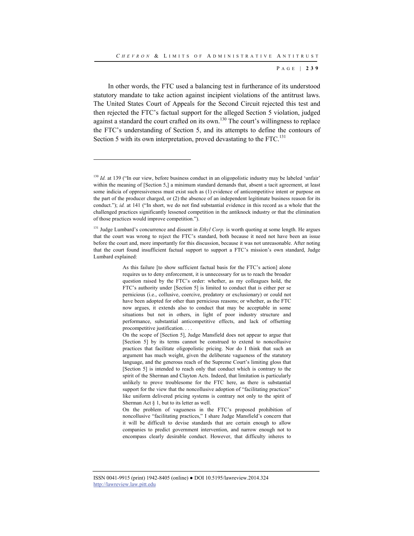In other words, the FTC used a balancing test in furtherance of its understood statutory mandate to take action against incipient violations of the antitrust laws. The United States Court of Appeals for the Second Circuit rejected this test and then rejected the FTC's factual support for the alleged Section 5 violation, judged against a standard the court crafted on its own.<sup>130</sup> The court's willingness to replace the FTC's understanding of Section 5, and its attempts to define the contours of Section 5 with its own interpretation, proved devastating to the FTC.<sup>131</sup>

<sup>&</sup>lt;sup>130</sup> *Id.* at 139 ("In our view, before business conduct in an oligopolistic industry may be labeled 'unfair' within the meaning of [Section 5,] a minimum standard demands that, absent a tacit agreement, at least some indicia of oppressiveness must exist such as (1) evidence of anticompetitive intent or purpose on the part of the producer charged, or (2) the absence of an independent legitimate business reason for its conduct."); *id.* at 141 ("In short, we do not find substantial evidence in this record as a whole that the challenged practices significantly lessened competition in the antiknock industry or that the elimination of those practices would improve competition.").

<sup>&</sup>lt;sup>131</sup> Judge Lumbard's concurrence and dissent in *Ethyl Corp*. is worth quoting at some length. He argues that the court was wrong to reject the FTC's standard, both because it need not have been an issue before the court and, more importantly for this discussion, because it was not unreasonable. After noting that the court found insufficient factual support to support a FTC's mission's own standard, Judge Lumbard explained:

As this failure [to show sufficient factual basis for the FTC's action] alone requires us to deny enforcement, it is unnecessary for us to reach the broader question raised by the FTC's order: whether, as my colleagues hold, the FTC's authority under [Section 5] is limited to conduct that is either per se pernicious (i.e., collusive, coercive, predatory or exclusionary) or could not have been adopted for other than pernicious reasons; or whether, as the FTC now argues, it extends also to conduct that may be acceptable in some situations but not in others, in light of poor industry structure and performance, substantial anticompetitive effects, and lack of offsetting procompetitive justification. . . .

On the scope of [Section 5], Judge Mansfield does not appear to argue that [Section 5] by its terms cannot be construed to extend to noncollusive practices that facilitate oligopolistic pricing. Nor do I think that such an argument has much weight, given the deliberate vagueness of the statutory language, and the generous reach of the Supreme Court's limiting gloss that [Section 5] is intended to reach only that conduct which is contrary to the spirit of the Sherman and Clayton Acts. Indeed, that limitation is particularly unlikely to prove troublesome for the FTC here, as there is substantial support for the view that the noncollusive adoption of "facilitating practices" like uniform delivered pricing systems is contrary not only to the spirit of Sherman Act  $\delta$  1, but to its letter as well.

On the problem of vagueness in the FTC's proposed prohibition of noncollusive "facilitating practices," I share Judge Mansfield's concern that it will be difficult to devise standards that are certain enough to allow companies to predict government intervention, and narrow enough not to encompass clearly desirable conduct. However, that difficulty inheres to

ISSN 0041-9915 (print) 1942-8405 (online) ● DOI 10.5195/lawreview.2014.324 http://lawreview.law.pitt.edu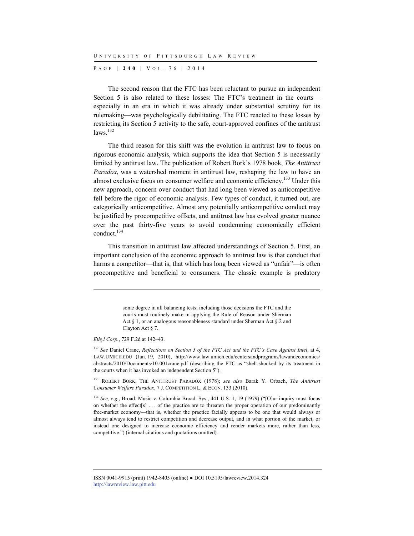P AGE | **240** | V O L . 7 6 | 2014

The second reason that the FTC has been reluctant to pursue an independent Section 5 is also related to these losses: The FTC's treatment in the courts especially in an era in which it was already under substantial scrutiny for its rulemaking—was psychologically debilitating. The FTC reacted to these losses by restricting its Section 5 activity to the safe, court-approved confines of the antitrust  $laws$ <sup>132</sup>

The third reason for this shift was the evolution in antitrust law to focus on rigorous economic analysis, which supports the idea that Section 5 is necessarily limited by antitrust law. The publication of Robert Bork's 1978 book, *The Antitrust Paradox*, was a watershed moment in antitrust law, reshaping the law to have an almost exclusive focus on consumer welfare and economic efficiency.<sup>133</sup> Under this new approach, concern over conduct that had long been viewed as anticompetitive fell before the rigor of economic analysis. Few types of conduct, it turned out, are categorically anticompetitive. Almost any potentially anticompetitive conduct may be justified by procompetitive offsets, and antitrust law has evolved greater nuance over the past thirty-five years to avoid condemning economically efficient conduct.<sup>134</sup>

This transition in antitrust law affected understandings of Section 5. First, an important conclusion of the economic approach to antitrust law is that conduct that harms a competitor—that is, that which has long been viewed as "unfair"—is often procompetitive and beneficial to consumers. The classic example is predatory

> some degree in all balancing tests, including those decisions the FTC and the courts must routinely make in applying the Rule of Reason under Sherman Act § 1, or an analogous reasonableness standard under Sherman Act § 2 and Clayton Act § 7.

*Ethyl Corp.*, 729 F.2d at 142–43.

l

<sup>132</sup> *See* Daniel Crane, *Reflections on Section 5 of the FTC Act and the FTC's Case Against Intel*, at 4, LAW.UMICH.EDU (Jan. 19, 2010), http://www.law.umich.edu/centersandprograms/lawandeconomics/ abstracts/2010/Documents/10-001crane.pdf (describing the FTC as "shell-shocked by its treatment in the courts when it has invoked an independent Section 5").

133 ROBERT BORK, THE ANTITRUST PARADOX (1978); *see also* Barak Y. Orbach, *The Antitrust Consumer Welfare Paradox*, 7 J. COMPETITION L. & ECON. 133 (2010).

<sup>134</sup> *See, e.g.*, Broad. Music v. Columbia Broad. Sys., 441 U.S. 1, 19 (1979) ("[O]ur inquiry must focus on whether the effect[s] . . . of the practice are to threaten the proper operation of our predominantly free-market economy—that is, whether the practice facially appears to be one that would always or almost always tend to restrict competition and decrease output, and in what portion of the market, or instead one designed to increase economic efficiency and render markets more, rather than less, competitive.") (internal citations and quotations omitted).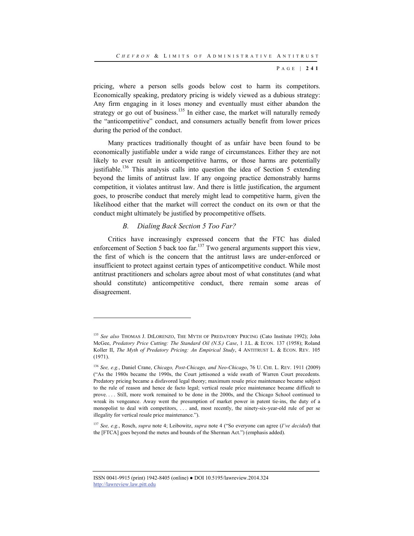pricing, where a person sells goods below cost to harm its competitors. Economically speaking, predatory pricing is widely viewed as a dubious strategy: Any firm engaging in it loses money and eventually must either abandon the strategy or go out of business.<sup>135</sup> In either case, the market will naturally remedy the "anticompetitive" conduct, and consumers actually benefit from lower prices during the period of the conduct.

Many practices traditionally thought of as unfair have been found to be economically justifiable under a wide range of circumstances. Either they are not likely to ever result in anticompetitive harms, or those harms are potentially justifiable.<sup>136</sup> This analysis calls into question the idea of Section 5 extending beyond the limits of antitrust law. If any ongoing practice demonstrably harms competition, it violates antitrust law. And there is little justification, the argument goes, to proscribe conduct that merely might lead to competitive harm, given the likelihood either that the market will correct the conduct on its own or that the conduct might ultimately be justified by procompetitive offsets.

### *B. Dialing Back Section 5 Too Far?*

l

Critics have increasingly expressed concern that the FTC has dialed enforcement of Section 5 back too far.<sup>137</sup> Two general arguments support this view, the first of which is the concern that the antitrust laws are under-enforced or insufficient to protect against certain types of anticompetitive conduct. While most antitrust practitioners and scholars agree about most of what constitutes (and what should constitute) anticompetitive conduct, there remain some areas of disagreement.

<sup>135</sup> *See also* THOMAS J. DILORENZO, THE MYTH OF PREDATORY PRICING (Cato Institute 1992); John McGee, *Predatory Price Cutting: The Standard Oil (N.S.) Case*, 1 J.L. & ECON. 137 (1958); Roland Koller II, *The Myth of Predatory Pricing: An Empirical Study*, 4 ANTITRUST L. & ECON. REV. 105 (1971).

<sup>136</sup> *See, e.g.*, Daniel Crane, *Chicago, Post-Chicago, and Neo-Chicago*, 76 U. CHI. L. REV. 1911 (2009) ("As the 1980s became the 1990s, the Court jettisoned a wide swath of Warren Court precedents. Predatory pricing became a disfavored legal theory; maximum resale price maintenance became subject to the rule of reason and hence de facto legal; vertical resale price maintenance became difficult to prove. . . . Still, more work remained to be done in the 2000s, and the Chicago School continued to wreak its vengeance. Away went the presumption of market power in patent tie-ins, the duty of a monopolist to deal with competitors, . . . and, most recently, the ninety-six-year-old rule of per se illegality for vertical resale price maintenance.").

<sup>137</sup> *See, e.g.*, Rosch, *supra* note 4; Leibowitz, *supra* note 4 ("So everyone can agree (*I've decided*) that the [FTCA] goes beyond the metes and bounds of the Sherman Act.") (emphasis added).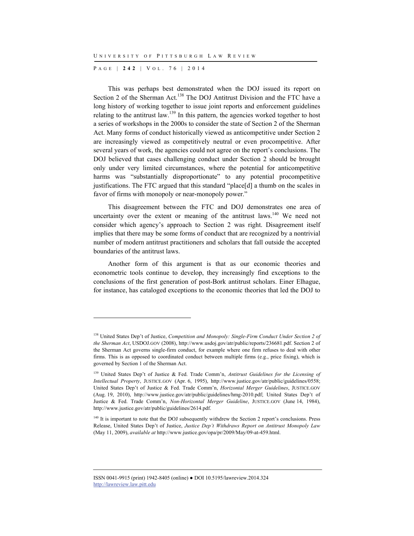P AGE | **242** | V O L . 7 6 | 2014

l

This was perhaps best demonstrated when the DOJ issued its report on Section 2 of the Sherman Act.<sup>138</sup> The DOJ Antitrust Division and the FTC have a long history of working together to issue joint reports and enforcement guidelines relating to the antitrust law.<sup>139</sup> In this pattern, the agencies worked together to host a series of workshops in the 2000s to consider the state of Section 2 of the Sherman Act. Many forms of conduct historically viewed as anticompetitive under Section 2 are increasingly viewed as competitively neutral or even procompetitive. After several years of work, the agencies could not agree on the report's conclusions. The DOJ believed that cases challenging conduct under Section 2 should be brought only under very limited circumstances, where the potential for anticompetitive harms was "substantially disproportionate" to any potential procompetitive justifications. The FTC argued that this standard "place[d] a thumb on the scales in favor of firms with monopoly or near-monopoly power."

This disagreement between the FTC and DOJ demonstrates one area of uncertainty over the extent or meaning of the antitrust laws.<sup>140</sup> We need not consider which agency's approach to Section 2 was right. Disagreement itself implies that there may be some forms of conduct that are recognized by a nontrivial number of modern antitrust practitioners and scholars that fall outside the accepted boundaries of the antitrust laws.

Another form of this argument is that as our economic theories and econometric tools continue to develop, they increasingly find exceptions to the conclusions of the first generation of post-Bork antitrust scholars. Einer Elhague, for instance, has cataloged exceptions to the economic theories that led the DOJ to

<sup>138</sup> United States Dep't of Justice, *Competition and Monopoly: Single-Firm Conduct Under Section 2 of the Sherman Act*, USDOJ.GOV (2008), http://www.usdoj.gov/atr/public/reports/236681.pdf. Section 2 of the Sherman Act governs single-firm conduct, for example where one firm refuses to deal with other firms. This is as opposed to coordinated conduct between multiple firms (e.g., price fixing), which is governed by Section 1 of the Sherman Act.

<sup>139</sup> United States Dep't of Justice & Fed. Trade Comm'n, *Antitrust Guidelines for the Licensing of Intellectual Property*, JUSTICE.GOV (Apr. 6, 1995), http://www.justice.gov/atr/public/guidelines/0558; United States Dep't of Justice & Fed. Trade Comm'n, *Horizontal Merger Guidelines*, JUSTICE.GOV (Aug. 19, 2010), http://www.justice.gov/atr/public/guidelines/hmg-2010.pdf; United States Dep't of Justice & Fed. Trade Comm'n, *Non-Horizontal Merger Guideline*, JUSTICE.GOV (June 14, 1984), http://www.justice.gov/atr/public/guidelines/2614.pdf.

<sup>&</sup>lt;sup>140</sup> It is important to note that the DOJ subsequently withdrew the Section 2 report's conclusions. Press Release, United States Dep't of Justice, *Justice Dep't Withdraws Report on Antitrust Monopoly Law* (May 11, 2009), *available at* http://www.justice.gov/opa/pr/2009/May/09-at-459.html.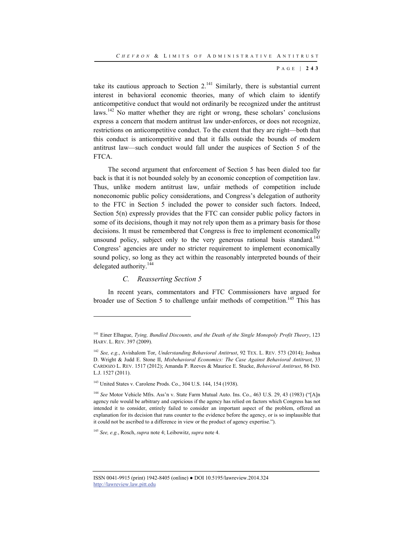take its cautious approach to Section  $2^{141}$  Similarly, there is substantial current interest in behavioral economic theories, many of which claim to identify anticompetitive conduct that would not ordinarily be recognized under the antitrust laws.<sup>142</sup> No matter whether they are right or wrong, these scholars' conclusions express a concern that modern antitrust law under-enforces, or does not recognize, restrictions on anticompetitive conduct. To the extent that they are right—both that this conduct is anticompetitive and that it falls outside the bounds of modern antitrust law—such conduct would fall under the auspices of Section 5 of the FTCA.

The second argument that enforcement of Section 5 has been dialed too far back is that it is not bounded solely by an economic conception of competition law. Thus, unlike modern antitrust law, unfair methods of competition include noneconomic public policy considerations, and Congress's delegation of authority to the FTC in Section 5 included the power to consider such factors. Indeed, Section 5(n) expressly provides that the FTC can consider public policy factors in some of its decisions, though it may not rely upon them as a primary basis for those decisions. It must be remembered that Congress is free to implement economically unsound policy, subject only to the very generous rational basis standard.<sup>143</sup> Congress' agencies are under no stricter requirement to implement economically sound policy, so long as they act within the reasonably interpreted bounds of their delegated authority.<sup>144</sup>

## *C. Reasserting Section 5*

l

In recent years, commentators and FTC Commissioners have argued for broader use of Section 5 to challenge unfair methods of competition.<sup>145</sup> This has

<sup>145</sup> *See, e.g.*, Rosch, *supra* note 4; Leibowitz, *supra* note 4.

<sup>141</sup> Einer Elhague, *Tying, Bundled Discounts, and the Death of the Single Monopoly Profit Theory*, 123 HARV. L. REV. 397 (2009).

<sup>142</sup> *See, e.g.*, Avishalom Tor, *Understanding Behavioral Antitrust*, 92 TEX. L. REV. 573 (2014); Joshua D. Wright & Judd E. Stone II, *Misbehavioral Economics: The Case Against Behavioral Antitrust*, 33 CARDOZO L. REV. 1517 (2012); Amanda P. Reeves & Maurice E. Stucke, *Behavioral Antitrust*, 86 IND. L.J. 1527 (2011).

<sup>&</sup>lt;sup>143</sup> United States v. Carolene Prods. Co., 304 U.S. 144, 154 (1938).

<sup>&</sup>lt;sup>144</sup> See Motor Vehicle Mfrs. Ass'n v. State Farm Mutual Auto. Ins. Co., 463 U.S. 29, 43 (1983) ("[A]n agency rule would be arbitrary and capricious if the agency has relied on factors which Congress has not intended it to consider, entirely failed to consider an important aspect of the problem, offered an explanation for its decision that runs counter to the evidence before the agency, or is so implausible that it could not be ascribed to a difference in view or the product of agency expertise.").

ISSN 0041-9915 (print) 1942-8405 (online) ● DOI 10.5195/lawreview.2014.324 http://lawreview.law.pitt.edu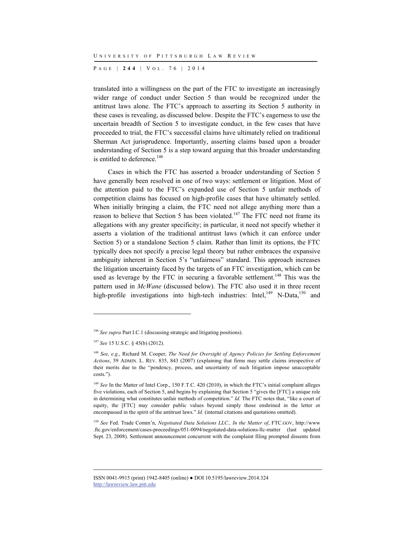P AGE | **244** | V O L . 7 6 | 2014

translated into a willingness on the part of the FTC to investigate an increasingly wider range of conduct under Section 5 than would be recognized under the antitrust laws alone. The FTC's approach to asserting its Section 5 authority in these cases is revealing, as discussed below. Despite the FTC's eagerness to use the uncertain breadth of Section 5 to investigate conduct, in the few cases that have proceeded to trial, the FTC's successful claims have ultimately relied on traditional Sherman Act jurisprudence. Importantly, asserting claims based upon a broader understanding of Section 5 is a step toward arguing that this broader understanding is entitled to deference.<sup>146</sup>

Cases in which the FTC has asserted a broader understanding of Section 5 have generally been resolved in one of two ways: settlement or litigation. Most of the attention paid to the FTC's expanded use of Section 5 unfair methods of competition claims has focused on high-profile cases that have ultimately settled. When initially bringing a claim, the FTC need not allege anything more than a reason to believe that Section 5 has been violated.<sup>147</sup> The FTC need not frame its allegations with any greater specificity; in particular, it need not specify whether it asserts a violation of the traditional antitrust laws (which it can enforce under Section 5) or a standalone Section 5 claim. Rather than limit its options, the FTC typically does not specify a precise legal theory but rather embraces the expansive ambiguity inherent in Section 5's "unfairness" standard. This approach increases the litigation uncertainty faced by the targets of an FTC investigation, which can be used as leverage by the FTC in securing a favorable settlement.<sup>148</sup> This was the pattern used in *McWane* (discussed below). The FTC also used it in three recent high-profile investigations into high-tech industries: Intel,  $^{149}$  N-Data,  $^{150}$  and

l

<sup>150</sup> *See* Fed. Trade Comm'n, *Negotiated Data Solutions LLC., In the Matter of*, FTC.GOV, http://www .ftc.gov/enforcement/cases-proceedings/051-0094/negotiated-data-solutions-llc-matter (last updated Sept. 23, 2008). Settlement announcement concurrent with the complaint filing prompted dissents from

<sup>146</sup> *See supra* Part I.C.1 (discussing strategic and litigating positions).

<sup>147</sup> *See* 15 U.S.C. § 45(b) (2012).

<sup>148</sup> *See, e.g.*, Richard M. Cooper, *The Need for Oversight of Agency Policies for Settling Enforcement Actions*, 59 ADMIN. L. REV. 835, 843 (2007) (explaining that firms may settle claims irrespective of their merits due to the "pendency, process, and uncertainty of such litigation impose unacceptable costs.").

<sup>&</sup>lt;sup>149</sup> *See* In the Matter of Intel Corp., 150 F.T.C. 420 (2010), in which the FTC's initial complaint alleges five violations, each of Section 5, and begins by explaining that Section 5 "gives the [FTC] a unique role in determining what constitutes unfair methods of competition." *Id.* The FTC notes that, "like a court of equity, the [FTC] may consider public values beyond simply those enshrined in the letter or encompassed in the spirit of the antitrust laws." *Id.* (internal citations and quotations omitted).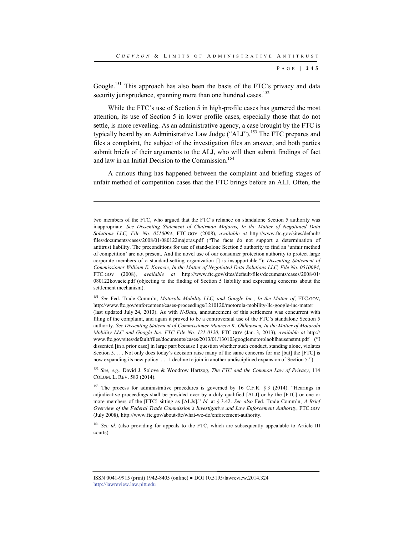Google.<sup>151</sup> This approach has also been the basis of the FTC's privacy and data security jurisprudence, spanning more than one hundred cases.<sup>152</sup>

While the FTC's use of Section 5 in high-profile cases has garnered the most attention, its use of Section 5 in lower profile cases, especially those that do not settle, is more revealing. As an administrative agency, a case brought by the FTC is typically heard by an Administrative Law Judge ("ALJ").<sup>153</sup> The FTC prepares and files a complaint, the subject of the investigation files an answer, and both parties submit briefs of their arguments to the ALJ, who will then submit findings of fact and law in an Initial Decision to the Commission.<sup>154</sup>

A curious thing has happened between the complaint and briefing stages of unfair method of competition cases that the FTC brings before an ALJ. Often, the

l

<sup>152</sup> *See, e.g.*, David J. Solove & Woodrow Hartzog, *The FTC and the Common Law of Privacy*, 114 COLUM. L. REV. 583 (2014).

<sup>153</sup> The process for administrative procedures is governed by 16 C.F.R. § 3 (2014). "Hearings in adjudicative proceedings shall be presided over by a duly qualified [ALJ] or by the [FTC] or one or more members of the [FTC] sitting as [ALJs]." *Id.* at § 3.42. *See also* Fed. Trade Comm'n, *A Brief Overview of the Federal Trade Commission's Investigative and Law Enforcement Authority*, FTC.GOV (July 2008), http://www.ftc.gov/about-ftc/what-we-do/enforcement-authority.

<sup>154</sup> See id. (also providing for appeals to the FTC, which are subsequently appealable to Article III courts).

two members of the FTC, who argued that the FTC's reliance on standalone Section 5 authority was inappropriate. *See Dissenting Statement of Chairman Majoras, In the Matter of Negotiated Data Solutions LLC, File No. 0510094*, FTC.GOV (2008), *available at* http://www.ftc.gov/sites/default/ files/documents/cases/2008/01/080122majoras.pdf ("The facts do not support a determination of antitrust liability. The preconditions for use of stand-alone Section 5 authority to find an 'unfair method of competition' are not present. And the novel use of our consumer protection authority to protect large corporate members of a standard-setting organization [] is insupportable."); *Dissenting Statement of Commissioner William E. Kovacic, In the Matter of Negotiated Data Solutions LLC, File No. 0510094*, FTC.GOV (2008), *available at* http://www.ftc.gov/sites/default/files/documents/cases/2008/01/ 080122kovacic.pdf (objecting to the finding of Section 5 liability and expressing concerns about the settlement mechanism).

<sup>151</sup> *See* Fed. Trade Comm'n, *Motorola Mobility LLC, and Google Inc., In the Matter of*, FTC.GOV, http://www.ftc.gov/enforcement/cases-proceedings/1210120/motorola-mobility-llc-google-inc-matter (last updated July 24, 2013). As with *N-Data*, announcement of this settlement was concurrent with filing of the complaint, and again it proved to be a controversial use of the FTC's standalone Section 5 authority. *See Dissenting Statement of Commissioner Maureen K. Ohlhausen, In the Matter of Motorola Mobility LLC and Google Inc. FTC File No. 121-0120*, FTC.GOV (Jan. 3, 2013), *available at* http:// www.ftc.gov/sites/default/files/documents/cases/2013/01/130103googlemotorolaohlhausenstmt.pdf ("I dissented [in a prior case] in large part because I question whether such conduct, standing alone, violates Section 5. . . . Not only does today's decision raise many of the same concerns for me [but] the [FTC] is now expanding its new policy. . . . I decline to join in another undisciplined expansion of Section 5.").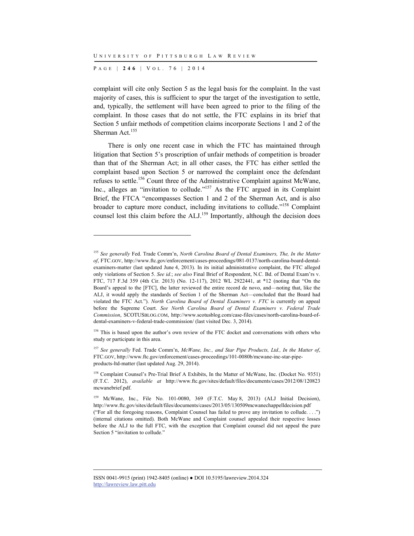P AGE | **246** | V O L . 7 6 | 2014

l

complaint will cite only Section 5 as the legal basis for the complaint. In the vast majority of cases, this is sufficient to spur the target of the investigation to settle, and, typically, the settlement will have been agreed to prior to the filing of the complaint. In those cases that do not settle, the FTC explains in its brief that Section 5 unfair methods of competition claims incorporate Sections 1 and 2 of the Sherman Act.<sup>155</sup>

There is only one recent case in which the FTC has maintained through litigation that Section 5's proscription of unfair methods of competition is broader than that of the Sherman Act; in all other cases, the FTC has either settled the complaint based upon Section 5 or narrowed the complaint once the defendant refuses to settle.156 Count three of the Administrative Complaint against McWane, Inc., alleges an "invitation to collude."<sup>157</sup> As the FTC argued in its Complaint Brief, the FTCA "encompasses Section 1 and 2 of the Sherman Act, and is also broader to capture more conduct, including invitations to collude."158 Complaint counsel lost this claim before the ALJ.<sup>159</sup> Importantly, although the decision does

<sup>157</sup> *See generally* Fed. Trade Comm'n, *McWane, Inc., and Star Pipe Products, Ltd., In the Matter of*, FTC.GOV, http://www.ftc.gov/enforcement/cases-proceedings/101-0080b/mcwane-inc-star-pipeproducts-ltd-matter (last updated Aug. 29, 2014).

<sup>155</sup> *See generally* Fed. Trade Comm'n, *North Carolina Board of Dental Examiners, The, In the Matter of*, FTC.GOV, http://www.ftc.gov/enforcement/cases-proceedings/081-0137/north-carolina-board-dentalexaminers-matter (last updated June 4, 2013). In its initial administrative complaint, the FTC alleged only violations of Section 5. *See id.*; *see also* Final Brief of Respondent, N.C. Bd. of Dental Exam'rs v. FTC, 717 F.3d 359 (4th Cir. 2013) (No. 12-117), 2012 WL 2922441, at \*12 (noting that "On the Board's appeal to the [FTC], the latter reviewed the entire record de novo, and—noting that, like the ALJ, it would apply the standards of Section 1 of the Sherman Act—concluded that the Board had violated the FTC Act."). *North Carolina Board of Dental Examiners v. FTC* is currently on appeal before the Supreme Court. *See North Carolina Board of Dental Examiners v. Federal Trade Commission*, SCOTUSBLOG.COM, http://www.scotusblog.com/case-files/cases/north-carolina-board-ofdental-examiners-v-federal-trade-commission/ (last visited Dec. 3, 2014).

<sup>&</sup>lt;sup>156</sup> This is based upon the author's own review of the FTC docket and conversations with others who study or participate in this area.

<sup>158</sup> Complaint Counsel's Pre-Trial Brief A Exhibits, In the Matter of McWane, Inc. (Docket No. 9351) (F.T.C. 2012), *available at* http://www.ftc.gov/sites/default/files/documents/cases/2012/08/120823 mcwanebrief.pdf.

<sup>159</sup> McWane, Inc., File No. 101-0080, 369 (F.T.C. May 8, 2013) (ALJ Initial Decision), http://www.ftc.gov/sites/default/files/documents/cases/2013/05/130509mcwanechappelldecision.pdf ("For all the foregoing reasons, Complaint Counsel has failed to prove any invitation to collude. . . .") (internal citations omitted). Both McWane and Complaint counsel appealed their respective losses before the ALJ to the full FTC, with the exception that Complaint counsel did not appeal the pure Section 5 "invitation to collude."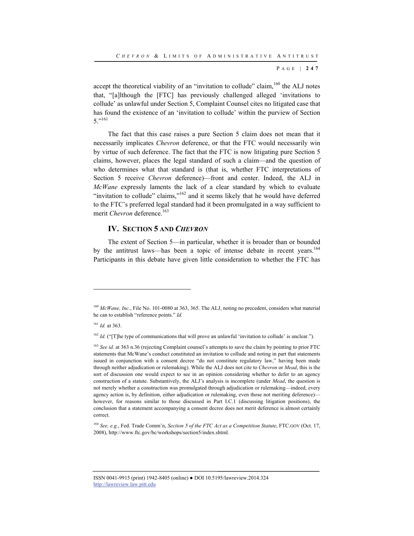accept the theoretical viability of an "invitation to collude" claim,<sup>160</sup> the ALJ notes that, "[a]lthough the [FTC] has previously challenged alleged 'invitations to collude' as unlawful under Section 5, Complaint Counsel cites no litigated case that has found the existence of an 'invitation to collude' within the purview of Section  $5.^{"161}$ 

The fact that this case raises a pure Section 5 claim does not mean that it necessarily implicates *Chevron* deference, or that the FTC would necessarily win by virtue of such deference. The fact that the FTC is now litigating pure Section 5 claims, however, places the legal standard of such a claim—and the question of who determines what that standard is (that is, whether FTC interpretations of Section 5 receive *Chevron* deference)—front and center. Indeed, the ALJ in *McWane* expressly laments the lack of a clear standard by which to evaluate "invitation to collude" claims," $162$  and it seems likely that he would have deferred to the FTC's preferred legal standard had it been promulgated in a way sufficient to merit *Chevron* deference.<sup>163</sup>

## **IV. SECTION 5 AND** *CHEVRON*

The extent of Section 5—in particular, whether it is broader than or bounded by the antitrust laws—has been a topic of intense debate in recent years.<sup>164</sup> Participants in this debate have given little consideration to whether the FTC has

l

<sup>164</sup> *See, e.g.*, Fed. Trade Comm'n, *Section 5 of the FTC Act as a Competition Statute*, FTC.GOV (Oct. 17, 2008), http://www.ftc.gov/bc/workshops/section5/index.shtml.

<sup>160</sup> *McWane, Inc.*, File No. 101-0080 at 363, 365. The ALJ, noting no precedent, considers what material he can to establish "reference points." *Id.*

<sup>161</sup> *Id.* at 363.

<sup>&</sup>lt;sup>162</sup> *Id.* ("[T]he type of communications that will prove an unlawful 'invitation to collude' is unclear.").

<sup>&</sup>lt;sup>163</sup> *See id.* at 363 n.36 (rejecting Complaint counsel's attempts to save the claim by pointing to prior FTC statements that McWane's conduct constituted an invitation to collude and noting in part that statements issued in conjunction with a consent decree "do not constitute regulatory law," having been made through neither adjudication or rulemaking). While the ALJ does not cite to *Chevron* or *Mead*, this is the sort of discussion one would expect to see in an opinion considering whether to defer to an agency construction of a statute. Substantively, the ALJ's analysis is incomplete (under *Mead*, the question is not merely whether a construction was promulgated through adjudication or rulemaking—indeed, every agency action is, by definition, either adjudication or rulemaking, even those not meriting deference) however, for reasons similar to those discussed in Part I.C.1 (discussing litigation positions), the conclusion that a statement accompanying a consent decree does not merit deference is almost certainly correct.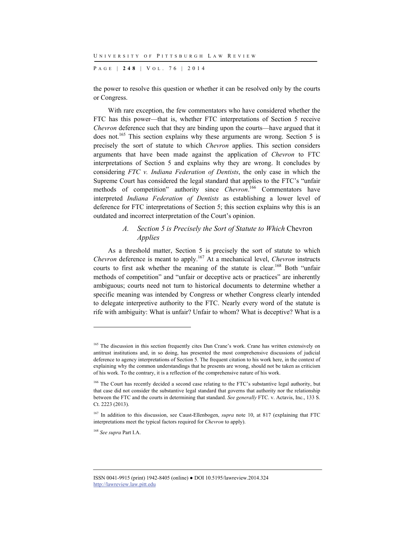P AGE | **248** | V O L . 7 6 | 2014

the power to resolve this question or whether it can be resolved only by the courts or Congress.

With rare exception, the few commentators who have considered whether the FTC has this power—that is, whether FTC interpretations of Section 5 receive *Chevron* deference such that they are binding upon the courts—have argued that it does not.165 This section explains why these arguments are wrong. Section 5 is precisely the sort of statute to which *Chevron* applies. This section considers arguments that have been made against the application of *Chevron* to FTC interpretations of Section 5 and explains why they are wrong. It concludes by considering *FTC v. Indiana Federation of Dentists*, the only case in which the Supreme Court has considered the legal standard that applies to the FTC's "unfair methods of competition" authority since *Chevron*. 166 Commentators have interpreted *Indiana Federation of Dentists* as establishing a lower level of deference for FTC interpretations of Section 5; this section explains why this is an outdated and incorrect interpretation of the Court's opinion.

## *A. Section 5 is Precisely the Sort of Statute to Which* Chevron *Applies*

As a threshold matter, Section 5 is precisely the sort of statute to which *Chevron* deference is meant to apply.<sup>167</sup> At a mechanical level, *Chevron* instructs courts to first ask whether the meaning of the statute is clear.<sup>168</sup> Both "unfair methods of competition" and "unfair or deceptive acts or practices" are inherently ambiguous; courts need not turn to historical documents to determine whether a specific meaning was intended by Congress or whether Congress clearly intended to delegate interpretive authority to the FTC. Nearly every word of the statute is rife with ambiguity: What is unfair? Unfair to whom? What is deceptive? What is a

<sup>&</sup>lt;sup>165</sup> The discussion in this section frequently cites Dan Crane's work. Crane has written extensively on antitrust institutions and, in so doing, has presented the most comprehensive discussions of judicial deference to agency interpretations of Section 5. The frequent citation to his work here, in the context of explaining why the common understandings that he presents are wrong, should not be taken as criticism of his work. To the contrary, it is a reflection of the comprehensive nature of his work.

<sup>&</sup>lt;sup>166</sup> The Court has recently decided a second case relating to the FTC's substantive legal authority, but that case did not consider the substantive legal standard that governs that authority nor the relationship between the FTC and the courts in determining that standard. *See generally* FTC. v. Actavis, Inc., 133 S. Ct. 2223 (2013).

<sup>&</sup>lt;sup>167</sup> In addition to this discussion, see Caust-Ellenbogen, *supra* note 10, at 817 (explaining that FTC interpretations meet the typical factors required for *Chevron* to apply).

<sup>168</sup> *See supra* Part I.A.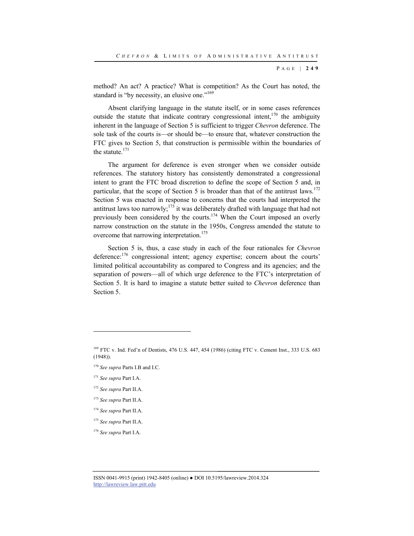method? An act? A practice? What is competition? As the Court has noted, the standard is "by necessity, an elusive one."<sup>169</sup>

Absent clarifying language in the statute itself, or in some cases references outside the statute that indicate contrary congressional intent,<sup>170</sup> the ambiguity inherent in the language of Section 5 is sufficient to trigger *Chevron* deference. The sole task of the courts is—or should be—to ensure that, whatever construction the FTC gives to Section 5, that construction is permissible within the boundaries of the statute.171

The argument for deference is even stronger when we consider outside references. The statutory history has consistently demonstrated a congressional intent to grant the FTC broad discretion to define the scope of Section 5 and, in particular, that the scope of Section 5 is broader than that of the antitrust laws.<sup>172</sup> Section 5 was enacted in response to concerns that the courts had interpreted the antitrust laws too narrowly;<sup>173</sup> it was deliberately drafted with language that had not previously been considered by the courts.174 When the Court imposed an overly narrow construction on the statute in the 1950s, Congress amended the statute to overcome that narrowing interpretation.<sup>175</sup>

Section 5 is, thus, a case study in each of the four rationales for *Chevron* deference:<sup>176</sup> congressional intent; agency expertise; concern about the courts' limited political accountability as compared to Congress and its agencies; and the separation of powers—all of which urge deference to the FTC's interpretation of Section 5. It is hard to imagine a statute better suited to *Chevron* deference than Section 5.

l

<sup>176</sup> *See supra* Part I.A.

<sup>169</sup> FTC v. Ind. Fed'n of Dentists, 476 U.S. 447, 454 (1986) (citing FTC v. Cement Inst., 333 U.S. 683 (1948)).

<sup>170</sup> *See supra* Parts I.B and I.C.

<sup>171</sup> *See supra* Part I.A.

<sup>172</sup> *See supra* Part II.A.

<sup>173</sup> *See supra* Part II.A.

<sup>174</sup> *See supra* Part II.A.

<sup>175</sup> *See supra* Part II.A.

ISSN 0041-9915 (print) 1942-8405 (online) ● DOI 10.5195/lawreview.2014.324 http://lawreview.law.pitt.edu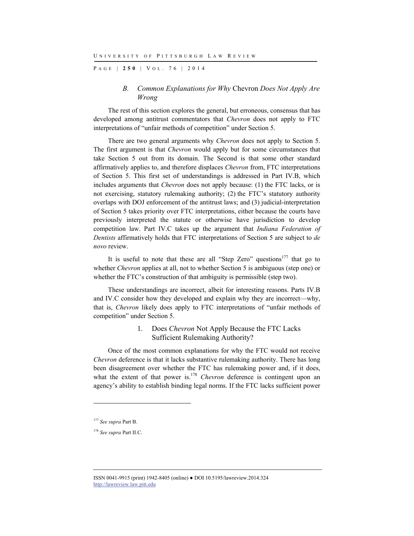P AGE | **250** | V O L . 7 6 | 2014

## *B. Common Explanations for Why* Chevron *Does Not Apply Are Wrong*

The rest of this section explores the general, but erroneous, consensus that has developed among antitrust commentators that *Chevron* does not apply to FTC interpretations of "unfair methods of competition" under Section 5.

There are two general arguments why *Chevron* does not apply to Section 5. The first argument is that *Chevron* would apply but for some circumstances that take Section 5 out from its domain. The Second is that some other standard affirmatively applies to, and therefore displaces *Chevron* from, FTC interpretations of Section 5. This first set of understandings is addressed in Part IV.B, which includes arguments that *Chevron* does not apply because: (1) the FTC lacks, or is not exercising, statutory rulemaking authority; (2) the FTC's statutory authority overlaps with DOJ enforcement of the antitrust laws; and (3) judicial-interpretation of Section 5 takes priority over FTC interpretations, either because the courts have previously interpreted the statute or otherwise have jurisdiction to develop competition law. Part IV.C takes up the argument that *Indiana Federation of Dentists* affirmatively holds that FTC interpretations of Section 5 are subject to *de novo* review.

It is useful to note that these are all "Step Zero" questions $177$  that go to whether *Chevron* applies at all, not to whether Section 5 is ambiguous (step one) or whether the FTC's construction of that ambiguity is permissible (step two).

These understandings are incorrect, albeit for interesting reasons. Parts IV.B and IV.C consider how they developed and explain why they are incorrect—why, that is, *Chevron* likely does apply to FTC interpretations of "unfair methods of competition" under Section 5.

## 1. Does *Chevron* Not Apply Because the FTC Lacks Sufficient Rulemaking Authority?

Once of the most common explanations for why the FTC would not receive *Chevron* deference is that it lacks substantive rulemaking authority. There has long been disagreement over whether the FTC has rulemaking power and, if it does, what the extent of that power is.<sup>178</sup> *Chevron* deference is contingent upon an agency's ability to establish binding legal norms. If the FTC lacks sufficient power

<sup>177</sup> *See supra* Part B.

<sup>178</sup> *See supra* Part II.C.

ISSN 0041-9915 (print) 1942-8405 (online) ● DOI 10.5195/lawreview.2014.324 http://lawreview.law.pitt.edu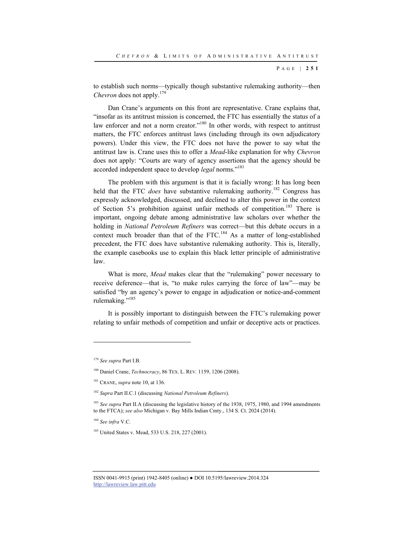to establish such norms—typically though substantive rulemaking authority—then *Chevron* does not apply.<sup>179</sup>

Dan Crane's arguments on this front are representative. Crane explains that, "insofar as its antitrust mission is concerned, the FTC has essentially the status of a law enforcer and not a norm creator."<sup>180</sup> In other words, with respect to antitrust matters, the FTC enforces antitrust laws (including through its own adjudicatory powers). Under this view, the FTC does not have the power to say what the antitrust law is. Crane uses this to offer a *Mead*-like explanation for why *Chevron* does not apply: "Courts are wary of agency assertions that the agency should be accorded independent space to develop *legal* norms."181

The problem with this argument is that it is facially wrong: It has long been held that the FTC *does* have substantive rulemaking authority.<sup>182</sup> Congress has expressly acknowledged, discussed, and declined to alter this power in the context of Section 5's prohibition against unfair methods of competition.<sup>183</sup> There is important, ongoing debate among administrative law scholars over whether the holding in *National Petroleum Refiners* was correct—but this debate occurs in a context much broader than that of the FTC.<sup>184</sup> As a matter of long-established precedent, the FTC does have substantive rulemaking authority. This is, literally, the example casebooks use to explain this black letter principle of administrative law.

What is more, *Mead* makes clear that the "rulemaking" power necessary to receive deference—that is, "to make rules carrying the force of law"—may be satisfied "by an agency's power to engage in adjudication or notice-and-comment rulemaking."<sup>185</sup>

It is possibly important to distinguish between the FTC's rulemaking power relating to unfair methods of competition and unfair or deceptive acts or practices.

l

<sup>184</sup> *See infra* V.C.

<sup>179</sup> *See supra* Part I.B.

<sup>180</sup> Daniel Crane, *Technocracy*, 86 TEX. L. REV. 1159, 1206 (2008).

<sup>181</sup> CRANE, *supra* note 10, at 136.

<sup>182</sup> *Supra* Part II.C.1 (discussing *National Petroleum Refiners*).

<sup>&</sup>lt;sup>183</sup> See supra Part II.A (discussing the legislative history of the 1938, 1975, 1980, and 1994 amendments to the FTCA); *see also* Michigan v. Bay Mills Indian Cmty., 134 S. Ct. 2024 (2014).

<sup>&</sup>lt;sup>185</sup> United States v. Mead, 533 U.S. 218, 227 (2001).

ISSN 0041-9915 (print) 1942-8405 (online) ● DOI 10.5195/lawreview.2014.324 http://lawreview.law.pitt.edu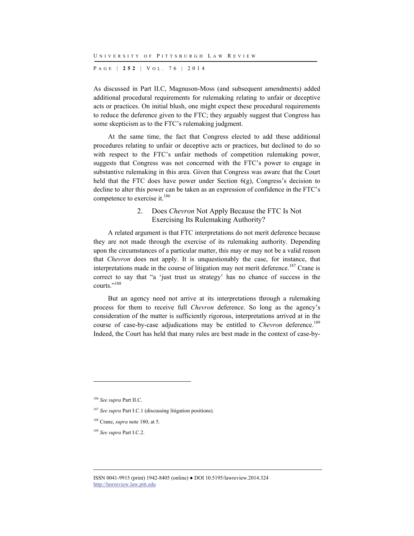P AGE | **252** | V O L . 7 6 | 2014

As discussed in Part II.C, Magnuson-Moss (and subsequent amendments) added additional procedural requirements for rulemaking relating to unfair or deceptive acts or practices. On initial blush, one might expect these procedural requirements to reduce the deference given to the FTC; they arguably suggest that Congress has some skepticism as to the FTC's rulemaking judgment.

At the same time, the fact that Congress elected to add these additional procedures relating to unfair or deceptive acts or practices, but declined to do so with respect to the FTC's unfair methods of competition rulemaking power, suggests that Congress was not concerned with the FTC's power to engage in substantive rulemaking in this area. Given that Congress was aware that the Court held that the FTC does have power under Section  $6(g)$ , Congress's decision to decline to alter this power can be taken as an expression of confidence in the FTC's competence to exercise it.<sup>186</sup>

## 2. Does *Chevron* Not Apply Because the FTC Is Not Exercising Its Rulemaking Authority?

A related argument is that FTC interpretations do not merit deference because they are not made through the exercise of its rulemaking authority. Depending upon the circumstances of a particular matter, this may or may not be a valid reason that *Chevron* does not apply. It is unquestionably the case, for instance, that interpretations made in the course of litigation may not merit deference.<sup>187</sup> Crane is correct to say that "a 'just trust us strategy' has no chance of success in the courts."188

But an agency need not arrive at its interpretations through a rulemaking process for them to receive full *Chevron* deference. So long as the agency's consideration of the matter is sufficiently rigorous, interpretations arrived at in the course of case-by-case adjudications may be entitled to *Chevron* deference.<sup>189</sup> Indeed, the Court has held that many rules are best made in the context of case-by-

<sup>186</sup> *See supra* Part II.C.

<sup>187</sup> *See supra* Part I.C.1 (discussing litigation positions).

<sup>188</sup> Crane, *supra* note 180, at 5.

<sup>189</sup> *See supra* Part I.C.2.

ISSN 0041-9915 (print) 1942-8405 (online) ● DOI 10.5195/lawreview.2014.324 http://lawreview.law.pitt.edu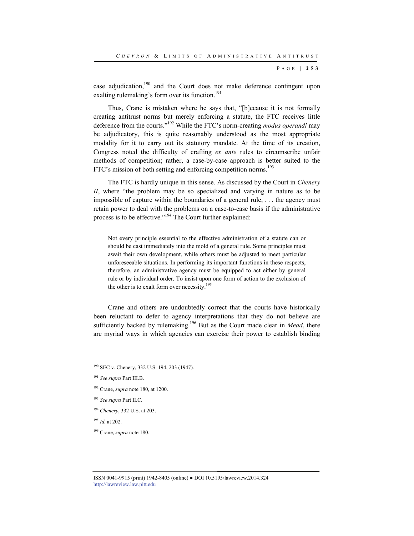case adjudication, $190$  and the Court does not make deference contingent upon exalting rulemaking's form over its function.<sup>191</sup>

Thus, Crane is mistaken where he says that, "[b]ecause it is not formally creating antitrust norms but merely enforcing a statute, the FTC receives little deference from the courts."192 While the FTC's norm-creating *modus operandi* may be adjudicatory, this is quite reasonably understood as the most appropriate modality for it to carry out its statutory mandate. At the time of its creation, Congress noted the difficulty of crafting *ex ante* rules to circumscribe unfair methods of competition; rather, a case-by-case approach is better suited to the FTC's mission of both setting and enforcing competition norms.<sup>193</sup>

The FTC is hardly unique in this sense. As discussed by the Court in *Chenery II*, where "the problem may be so specialized and varying in nature as to be impossible of capture within the boundaries of a general rule, . . . the agency must retain power to deal with the problems on a case-to-case basis if the administrative process is to be effective."194 The Court further explained:

Not every principle essential to the effective administration of a statute can or should be cast immediately into the mold of a general rule. Some principles must await their own development, while others must be adjusted to meet particular unforeseeable situations. In performing its important functions in these respects, therefore, an administrative agency must be equipped to act either by general rule or by individual order. To insist upon one form of action to the exclusion of the other is to exalt form over necessity.<sup>195</sup>

Crane and others are undoubtedly correct that the courts have historically been reluctant to defer to agency interpretations that they do not believe are sufficiently backed by rulemaking.<sup>196</sup> But as the Court made clear in *Mead*, there are myriad ways in which agencies can exercise their power to establish binding

<sup>194</sup> *Chenery*, 332 U.S. at 203.

<sup>195</sup> *Id.* at 202.

l

196 Crane, *supra* note 180.

<sup>190</sup> SEC v. Chenery, 332 U.S. 194, 203 (1947).

<sup>191</sup> *See supra* Part III.B.

<sup>192</sup> Crane, *supra* note 180, at 1200.

<sup>193</sup> *See supra* Part II.C.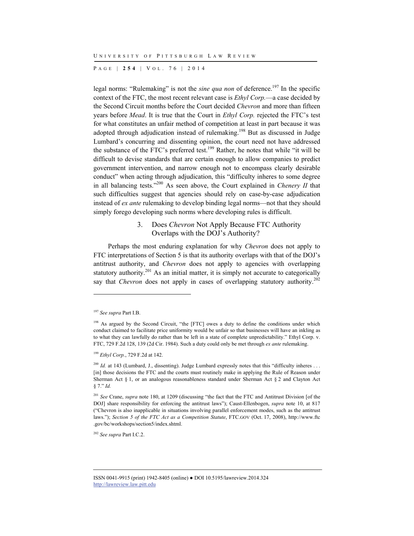P AGE | **254** | V O L . 7 6 | 2014

legal norms: "Rulemaking" is not the *sine qua non* of deference.<sup>197</sup> In the specific context of the FTC, the most recent relevant case is *Ethyl Corp.*—a case decided by the Second Circuit months before the Court decided *Chevron* and more than fifteen years before *Mead*. It is true that the Court in *Ethyl Corp.* rejected the FTC's test for what constitutes an unfair method of competition at least in part because it was adopted through adjudication instead of rulemaking.<sup>198</sup> But as discussed in Judge Lumbard's concurring and dissenting opinion, the court need not have addressed the substance of the FTC's preferred test.<sup>199</sup> Rather, he notes that while "it will be difficult to devise standards that are certain enough to allow companies to predict government intervention, and narrow enough not to encompass clearly desirable conduct" when acting through adjudication, this "difficulty inheres to some degree in all balancing tests."200 As seen above, the Court explained in *Chenery II* that such difficulties suggest that agencies should rely on case-by-case adjudication instead of *ex ante* rulemaking to develop binding legal norms—not that they should simply forego developing such norms where developing rules is difficult.

## 3. Does *Chevron* Not Apply Because FTC Authority Overlaps with the DOJ's Authority?

Perhaps the most enduring explanation for why *Chevron* does not apply to FTC interpretations of Section 5 is that its authority overlaps with that of the DOJ's antitrust authority, and *Chevron* does not apply to agencies with overlapping statutory authority.<sup>201</sup> As an initial matter, it is simply not accurate to categorically say that *Chevron* does not apply in cases of overlapping statutory authority.<sup>202</sup>

l

<sup>199</sup> *Ethyl Corp.*, 729 F.2d at 142.

<sup>197</sup> *See supra* Part I.B.

<sup>&</sup>lt;sup>198</sup> As argued by the Second Circuit, "the [FTC] owes a duty to define the conditions under which conduct claimed to facilitate price uniformity would be unfair so that businesses will have an inkling as to what they can lawfully do rather than be left in a state of complete unpredictability." Ethyl Corp. v. FTC, 729 F.2d 128, 139 (2d Cir. 1984). Such a duty could only be met through *ex ante* rulemaking.

<sup>&</sup>lt;sup>200</sup> *Id.* at 143 (Lumbard, J., dissenting). Judge Lumbard expressly notes that this "difficulty inheres . . . [in] those decisions the FTC and the courts must routinely make in applying the Rule of Reason under Sherman Act § 1, or an analogous reasonableness standard under Sherman Act § 2 and Clayton Act § 7." *Id.*

<sup>&</sup>lt;sup>201</sup> See Crane, *supra* note 180, at 1209 (discussing "the fact that the FTC and Antitrust Division [of the DOJ] share responsibility for enforcing the antitrust laws"); Caust-Ellenbogen, *supra* note 10, at 817 ("Chevron is also inapplicable in situations involving parallel enforcement modes, such as the antitrust laws."); *Section 5 of the FTC Act as a Competition Statute*, FTC.GOV (Oct. 17, 2008), http://www.ftc .gov/bc/workshops/section5/index.shtml.

<sup>202</sup> *See supra* Part I.C.2.

ISSN 0041-9915 (print) 1942-8405 (online) ● DOI 10.5195/lawreview.2014.324 http://lawreview.law.pitt.edu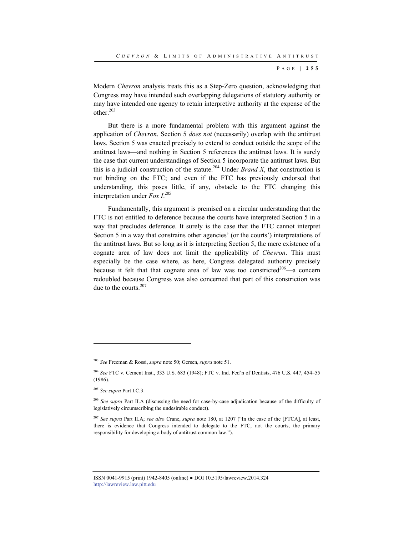Modern *Chevron* analysis treats this as a Step-Zero question, acknowledging that Congress may have intended such overlapping delegations of statutory authority or may have intended one agency to retain interpretive authority at the expense of the other.203

But there is a more fundamental problem with this argument against the application of *Chevron*. Section 5 *does not* (necessarily) overlap with the antitrust laws. Section 5 was enacted precisely to extend to conduct outside the scope of the antitrust laws—and nothing in Section 5 references the antitrust laws. It is surely the case that current understandings of Section 5 incorporate the antitrust laws. But this is a judicial construction of the statute.<sup>204</sup> Under *Brand X*, that construction is not binding on the FTC; and even if the FTC has previously endorsed that understanding, this poses little, if any, obstacle to the FTC changing this interpretation under *Fox I*. 205

Fundamentally, this argument is premised on a circular understanding that the FTC is not entitled to deference because the courts have interpreted Section 5 in a way that precludes deference. It surely is the case that the FTC cannot interpret Section 5 in a way that constrains other agencies' (or the courts') interpretations of the antitrust laws. But so long as it is interpreting Section 5, the mere existence of a cognate area of law does not limit the applicability of *Chevron*. This must especially be the case where, as here, Congress delegated authority precisely because it felt that that cognate area of law was too constricted<sup>206</sup>—a concern redoubled because Congress was also concerned that part of this constriction was due to the courts.<sup>207</sup>

<sup>203</sup> *See* Freeman & Rossi, *supra* note 50; Gersen, *supra* note 51.

<sup>204</sup> *See* FTC v. Cement Inst., 333 U.S. 683 (1948); FTC v. Ind. Fed'n of Dentists, 476 U.S. 447, 454–55 (1986).

<sup>205</sup> *See supra* Part I.C.3.

<sup>206</sup> *See supra* Part II.A (discussing the need for case-by-case adjudication because of the difficulty of legislatively circumscribing the undesirable conduct).

<sup>207</sup> *See supra* Part II.A; *see also* Crane, *supra* note 180, at 1207 ("In the case of the [FTCA], at least, there is evidence that Congress intended to delegate to the FTC, not the courts, the primary responsibility for developing a body of antitrust common law.").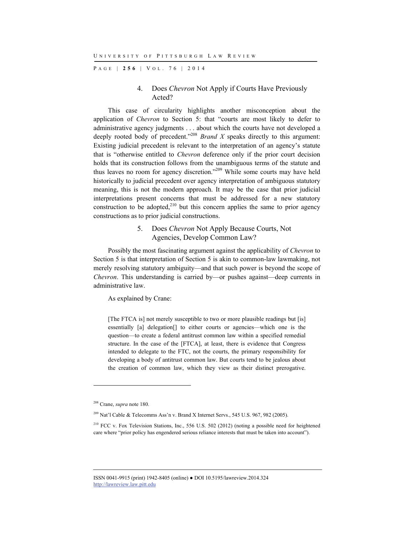P AGE | **256** | V O L . 7 6 | 2014

## 4. Does *Chevron* Not Apply if Courts Have Previously Acted?

This case of circularity highlights another misconception about the application of *Chevron* to Section 5: that "courts are most likely to defer to administrative agency judgments . . . about which the courts have not developed a deeply rooted body of precedent."<sup>208</sup> *Brand X* speaks directly to this argument: Existing judicial precedent is relevant to the interpretation of an agency's statute that is "otherwise entitled to *Chevron* deference only if the prior court decision holds that its construction follows from the unambiguous terms of the statute and thus leaves no room for agency discretion."<sup>209</sup> While some courts may have held historically to judicial precedent over agency interpretation of ambiguous statutory meaning, this is not the modern approach. It may be the case that prior judicial interpretations present concerns that must be addressed for a new statutory construction to be adopted, $2^{10}$  but this concern applies the same to prior agency constructions as to prior judicial constructions.

## 5. Does *Chevron* Not Apply Because Courts, Not Agencies, Develop Common Law?

Possibly the most fascinating argument against the applicability of *Chevron* to Section 5 is that interpretation of Section 5 is akin to common-law lawmaking, not merely resolving statutory ambiguity—and that such power is beyond the scope of *Chevron*. This understanding is carried by—or pushes against—deep currents in administrative law.

As explained by Crane:

[The FTCA is] not merely susceptible to two or more plausible readings but [is] essentially [a] delegation[] to either courts or agencies—which one is the question—to create a federal antitrust common law within a specified remedial structure. In the case of the [FTCA], at least, there is evidence that Congress intended to delegate to the FTC, not the courts, the primary responsibility for developing a body of antitrust common law. But courts tend to be jealous about the creation of common law, which they view as their distinct prerogative.

l

<sup>208</sup> Crane, *supra* note 180.

 $^{209}$  Nat'l Cable & Telecomms Ass'n v. Brand X Internet Servs., 545 U.S. 967, 982 (2005).

<sup>&</sup>lt;sup>210</sup> FCC v. Fox Television Stations, Inc., 556 U.S. 502 (2012) (noting a possible need for heightened care where "prior policy has engendered serious reliance interests that must be taken into account").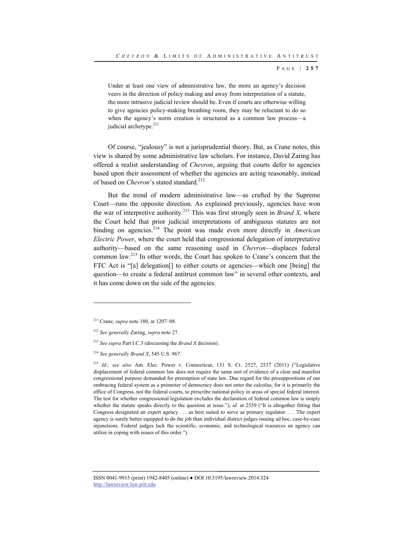Under at least one view of administrative law, the more an agency's decision veers in the direction of policy making and away from interpretation of a statute, the more intrusive judicial review should be. Even if courts are otherwise willing to give agencies policy-making breathing room, they may be reluctant to do so when the agency's norm creation is structured as a common law process—a judicial archetype.<sup>211</sup>

Of course, "jealousy" is not a jurisprudential theory. But, as Crane notes, this view is shared by some administrative law scholars. For instance, David Zaring has offered a realist understanding of *Chevron*, arguing that courts defer to agencies based upon their assessment of whether the agencies are acting reasonably, instead of based on *Chevron*'s stated standard.<sup>212</sup>

But the trend of modern administrative law—as crafted by the Supreme Court—runs the opposite direction. As explained previously, agencies have won the war of interpretive authority.213 This was first strongly seen in *Brand X*, where the Court held that prior judicial interpretations of ambiguous statutes are not binding on agencies.<sup>214</sup> The point was made even more directly in *American Electric Power*, where the court held that congressional delegation of interpretative authority—based on the same reasoning used in *Chevron*—displaces federal common law.215 In other words, the Court has spoken to Crane's concern that the FTC Act is "[a] delegation[] to either courts or agencies—which one [being] the question—to create a federal antitrust common law" in several other contexts, and it has come down on the side of the agencies.

l

<sup>211</sup> Crane, *supra* note 180, at 1207–08.

<sup>212</sup> *See generally* Zaring, *supra* note 27.

<sup>213</sup> *See supra* Part I.C.3 (discussing the *Brand X* decision).

<sup>214</sup> *See generally Brand X*, 545 U.S. 967.

<sup>215</sup> *Id.*; *see also* Am. Elec. Power v. Connecticut, 131 S. Ct. 2527, 2537 (2011) ("Legislative displacement of federal common law does not require the same sort of evidence of a clear and manifest congressional purpose demanded for preemption of state law. Due regard for the presuppositions of our embracing federal system as a promoter of democracy does not enter the calculus, for it is primarily the office of Congress, not the federal courts, to prescribe national policy in areas of special federal interest. The test for whether congressional legislation excludes the declaration of federal common law is simply whether the statute speaks directly to the question at issue."); *id.* at 2539 ("It is altogether fitting that Congress designated an expert agency . . . as best suited to serve as primary regulator. . . . The expert agency is surely better equipped to do the job than individual district judges issuing ad hoc, case-by-case injunctions. Federal judges lack the scientific, economic, and technological resources an agency can utilize in coping with issues of this order.").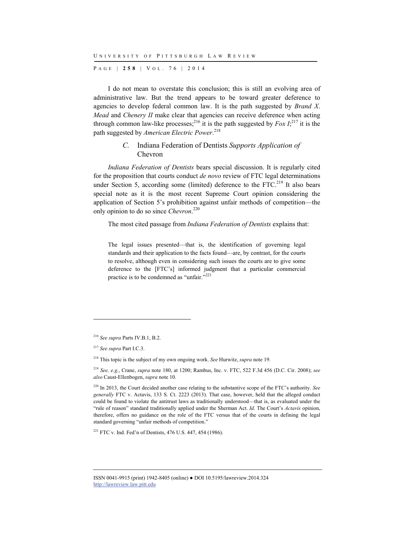P AGE | **258** | V O L . 7 6 | 2014

I do not mean to overstate this conclusion; this is still an evolving area of administrative law. But the trend appears to be toward greater deference to agencies to develop federal common law. It is the path suggested by *Brand X*. *Mead* and *Chenery II* make clear that agencies can receive deference when acting through common law-like processes;<sup>216</sup> it is the path suggested by  $Fox I<sub>1</sub><sup>217</sup>$  it is the path suggested by *American Electric Power*. 218

## *C.* Indiana Federation of Dentists *Supports Application of*  Chevron

*Indiana Federation of Dentists* bears special discussion. It is regularly cited for the proposition that courts conduct *de novo* review of FTC legal determinations under Section 5, according some (limited) deference to the  $\text{FTC}^{219}$  It also bears special note as it is the most recent Supreme Court opinion considering the application of Section 5's prohibition against unfair methods of competition—the only opinion to do so since *Chevron*. 220

The most cited passage from *Indiana Federation of Dentists* explains that:

The legal issues presented—that is, the identification of governing legal standards and their application to the facts found—are, by contrast, for the courts to resolve, although even in considering such issues the courts are to give some deference to the [FTC's] informed judgment that a particular commercial practice is to be condemned as "unfair."<sup>221</sup>

l

221 FTC v. Ind. Fed'n of Dentists, 476 U.S. 447, 454 (1986).

<sup>216</sup> *See supra* Parts IV.B.1, B.2.

<sup>217</sup> *See supra* Part I.C.3.

<sup>218</sup> This topic is the subject of my own ongoing work. *See* Hurwitz, *supra* note 19.

<sup>219</sup> *See, e.g.*, Crane, *supra* note 180, at 1200; Rambus, Inc. v. FTC, 522 F.3d 456 (D.C. Cir. 2008); *see also* Caust-Ellenbogen, *supra* note 10.

<sup>220</sup> In 2013, the Court decided another case relating to the substantive scope of the FTC's authority. *See generally* FTC v. Actavis, 133 S. Ct. 2223 (2013). That case, however, held that the alleged conduct could be found to violate the antitrust laws as traditionally understood—that is, as evaluated under the "rule of reason" standard traditionally applied under the Sherman Act. *Id.* The Court's *Actavis* opinion, therefore, offers no guidance on the role of the FTC versus that of the courts in defining the legal standard governing "unfair methods of competition."

ISSN 0041-9915 (print) 1942-8405 (online) ● DOI 10.5195/lawreview.2014.324 http://lawreview.law.pitt.edu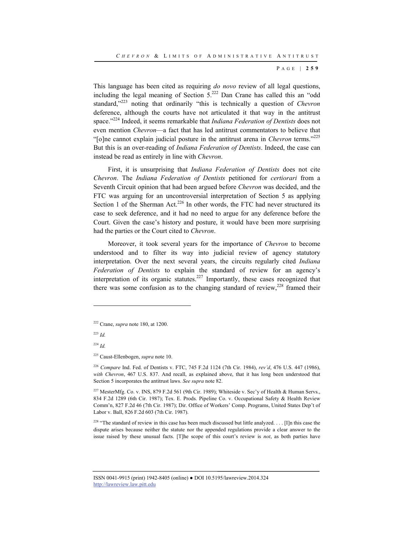This language has been cited as requiring *do novo* review of all legal questions, including the legal meaning of Section  $5^{222}$  Dan Crane has called this an "odd" standard,"223 noting that ordinarily "this is technically a question of *Chevron* deference, although the courts have not articulated it that way in the antitrust space."224 Indeed, it seems remarkable that *Indiana Federation of Dentists* does not even mention *Chevron*—a fact that has led antitrust commentators to believe that "[o]ne cannot explain judicial posture in the antitrust arena in *Chevron* terms."<sup>225</sup> But this is an over-reading of *Indiana Federation of Dentists*. Indeed, the case can instead be read as entirely in line with *Chevron*.

First, it is unsurprising that *Indiana Federation of Dentists* does not cite *Chevron*. The *Indiana Federation of Dentists* petitioned for *certiorari* from a Seventh Circuit opinion that had been argued before *Chevron* was decided, and the FTC was arguing for an uncontroversial interpretation of Section 5 as applying Section 1 of the Sherman Act.<sup>226</sup> In other words, the FTC had never structured its case to seek deference, and it had no need to argue for any deference before the Court. Given the case's history and posture, it would have been more surprising had the parties or the Court cited to *Chevron*.

Moreover, it took several years for the importance of *Chevron* to become understood and to filter its way into judicial review of agency statutory interpretation. Over the next several years, the circuits regularly cited *Indiana Federation of Dentists* to explain the standard of review for an agency's interpretation of its organic statutes.<sup>227</sup> Importantly, these cases recognized that there was some confusion as to the changing standard of review,  $228$  framed their

<sup>223</sup> *Id.*

l

<sup>226</sup> *Compare* Ind. Fed. of Dentists v. FTC, 745 F.2d 1124 (7th Cir. 1984), *rev'd*, 476 U.S. 447 (1986), *with Chevron*, 467 U.S. 837. And recall, as explained above, that it has long been understood that Section 5 incorporates the antitrust laws. *See supra* note 82.

<sup>227</sup> MesterMfg. Co. v. INS, 879 F.2d 561 (9th Cir. 1989); Whiteside v. Sec'y of Health & Human Servs., 834 F.2d 1289 (6th Cir. 1987); Tex. E. Prods. Pipeline Co. v. Occupational Safety & Health Review Comm'n, 827 F.2d 46 (7th Cir. 1987); Dir. Office of Workers' Comp. Programs, United States Dep't of Labor v. Ball, 826 F.2d 603 (7th Cir. 1987).

<sup>228</sup> "The standard of review in this case has been much discussed but little analyzed. . . . [I]n this case the dispute arises because neither the statute nor the appended regulations provide a clear answer to the issue raised by these unusual facts. [T]he scope of this court's review is *not*, as both parties have

<sup>222</sup> Crane, *supra* note 180, at 1200.

<sup>224</sup> *Id.*

<sup>225</sup> Caust-Ellenbogen, *supra* note 10.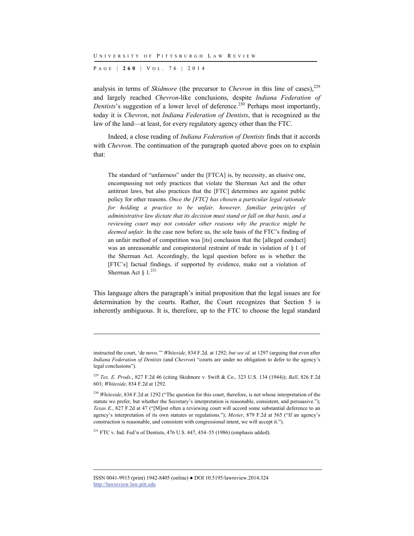P AGE | **260** | V O L . 7 6 | 2014

analysis in terms of *Skidmore* (the precursor to *Chevron* in this line of cases),<sup>229</sup> and largely reached *Chevron*-like conclusions, despite *Indiana Federation of Dentists*'s suggestion of a lower level of deference.<sup>230</sup> Perhaps most importantly, today it is *Chevron*, not *Indiana Federation of Dentists*, that is recognized as the law of the land—at least, for every regulatory agency other than the FTC.

Indeed, a close reading of *Indiana Federation of Dentists* finds that it accords with *Chevron*. The continuation of the paragraph quoted above goes on to explain that:

The standard of "unfairness" under the [FTCA] is, by necessity, an elusive one, encompassing not only practices that violate the Sherman Act and the other antitrust laws, but also practices that the [FTC] determines are against public policy for other reasons. *Once the [FTC] has chosen a particular legal rationale for holding a practice to be unfair, however, familiar principles of administrative law dictate that its decision must stand or fall on that basis, and a reviewing court may not consider other reasons why the practice might be deemed unfair.* In the case now before us, the sole basis of the FTC's finding of an unfair method of competition was [its] conclusion that the [alleged conduct] was an unreasonable and conspiratorial restraint of trade in violation of § 1 of the Sherman Act. Accordingly, the legal question before us is whether the [FTC's] factual findings, if supported by evidence, make out a violation of Sherman Act §  $1.^{231}$ 

This language alters the paragraph's initial proposition that the legal issues are for determination by the courts. Rather, the Court recognizes that Section 5 is inherently ambiguous. It is, therefore, up to the FTC to choose the legal standard

 $231$  FTC v. Ind. Fed'n of Dentists, 476 U.S. 447, 454–55 (1986) (emphasis added).

l

instructed the court, 'de novo.'" *Whiteside*, 834 F.2d. at 1292; *but see id.* at 1297 (arguing that even after *Indiana Federation of Dentists* (and *Chevron*) "courts are under no obligation to defer to the agency's legal conclusions").

<sup>229</sup> *Tex. E. Prods.*, 827 F.2d 46 (citing Skidmore v. Swift & Co., 323 U.S. 134 (1944)); *Ball*, 826 F.2d 603; *Whiteside*, 834 F.2d at 1292.

<sup>&</sup>lt;sup>230</sup> *Whiteside*, 834 F.2d at 1292 ("The question for this court, therefore, is not whose interpretation of the statute we prefer, but whether the Secretary's interpretation is reasonable, consistent, and persuasive."); *Texas E.*, 827 F.2d at 47 ("[M]ost often a reviewing court will accord some substantial deference to an agency's interpretation of its own statutes or regulations."); *Mester*, 879 F.2d at 565 ("If an agency's construction is reasonable, and consistent with congressional intent, we will accept it.").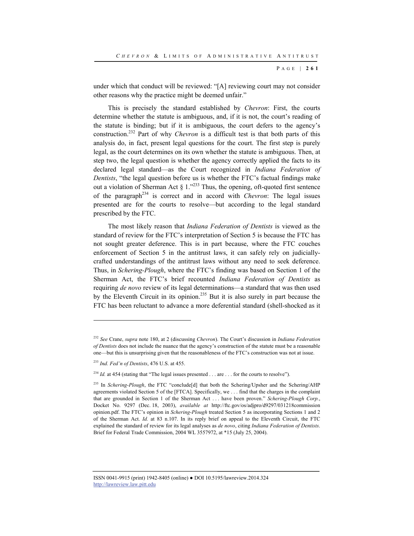under which that conduct will be reviewed: "[A] reviewing court may not consider other reasons why the practice might be deemed unfair."

This is precisely the standard established by *Chevron*: First, the courts determine whether the statute is ambiguous, and, if it is not, the court's reading of the statute is binding; but if it is ambiguous, the court defers to the agency's construction.232 Part of why *Chevron* is a difficult test is that both parts of this analysis do, in fact, present legal questions for the court. The first step is purely legal, as the court determines on its own whether the statute is ambiguous. Then, at step two, the legal question is whether the agency correctly applied the facts to its declared legal standard—as the Court recognized in *Indiana Federation of Dentists*, "the legal question before us is whether the FTC's factual findings make out a violation of Sherman Act  $\S 1.^{223}$  Thus, the opening, oft-quoted first sentence of the paragraph<sup>234</sup> is correct and in accord with *Chevron*: The legal issues presented are for the courts to resolve—but according to the legal standard prescribed by the FTC.

The most likely reason that *Indiana Federation of Dentists* is viewed as the standard of review for the FTC's interpretation of Section 5 is because the FTC has not sought greater deference. This is in part because, where the FTC couches enforcement of Section 5 in the antitrust laws, it can safely rely on judiciallycrafted understandings of the antitrust laws without any need to seek deference. Thus, in *Schering-Plough*, where the FTC's finding was based on Section 1 of the Sherman Act, the FTC's brief recounted *Indiana Federation of Dentists* as requiring *de novo* review of its legal determinations—a standard that was then used by the Eleventh Circuit in its opinion.235 But it is also surely in part because the FTC has been reluctant to advance a more deferential standard (shell-shocked as it

l

<sup>232</sup> *See* Crane, *supra* note 180, at 2 (discussing *Chevron*). The Court's discussion in *Indiana Federation of Dentists* does not include the nuance that the agency's construction of the statute must be a reasonable one—but this is unsurprising given that the reasonableness of the FTC's construction was not at issue.

<sup>233</sup> *Ind. Fed'n of Dentists*, 476 U.S. at 455.

<sup>&</sup>lt;sup>234</sup> *Id.* at 454 (stating that "The legal issues presented  $\ldots$  are  $\ldots$  for the courts to resolve").

<sup>&</sup>lt;sup>235</sup> In *Schering-Plough*, the FTC "conclude<sup>[d]</sup> that both the Schering/Upsher and the Schering/AHP agreements violated Section 5 of the [FTCA]. Specifically, we . . . find that the charges in the complaint that are grounded in Section 1 of the Sherman Act . . . have been proven." *Schering-Plough Corp.*, Docket No. 9297 (Dec. 18, 2003), *available at* http://ftc.gov/os/adjpro/d9297/031218commission opinion.pdf. The FTC's opinion in *Schering-Plough* treated Section 5 as incorporating Sections 1 and 2 of the Sherman Act. *Id.* at 83 n.107. In its reply brief on appeal to the Eleventh Circuit, the FTC explained the standard of review for its legal analyses as *de novo*, citing *Indiana Federation of Dentists*. Brief for Federal Trade Commission, 2004 WL 3557972, at \*15 (July 25, 2004).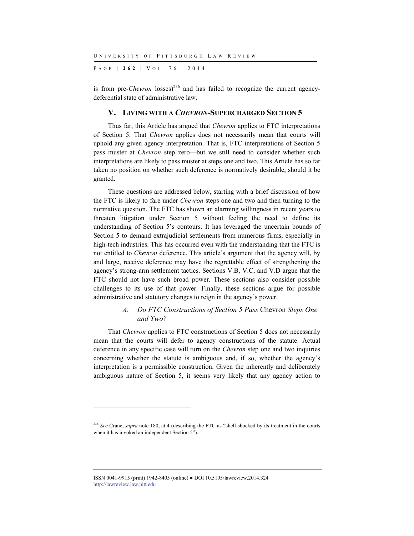P AGE | **262** | V O L . 7 6 | 2014

is from pre-*Chevron* losses)<sup>236</sup> and has failed to recognize the current agencydeferential state of administrative law.

#### **V. LIVING WITH A** *CHEVRON***-SUPERCHARGED SECTION 5**

Thus far, this Article has argued that *Chevron* applies to FTC interpretations of Section 5. That *Chevron* applies does not necessarily mean that courts will uphold any given agency interpretation. That is, FTC interpretations of Section 5 pass muster at *Chevron* step zero—but we still need to consider whether such interpretations are likely to pass muster at steps one and two. This Article has so far taken no position on whether such deference is normatively desirable, should it be granted.

These questions are addressed below, starting with a brief discussion of how the FTC is likely to fare under *Chevron* steps one and two and then turning to the normative question. The FTC has shown an alarming willingness in recent years to threaten litigation under Section 5 without feeling the need to define its understanding of Section 5's contours. It has leveraged the uncertain bounds of Section 5 to demand extrajudicial settlements from numerous firms, especially in high-tech industries. This has occurred even with the understanding that the FTC is not entitled to *Chevron* deference. This article's argument that the agency will, by and large, receive deference may have the regrettable effect of strengthening the agency's strong-arm settlement tactics. Sections V.B, V.C, and V.D argue that the FTC should not have such broad power. These sections also consider possible challenges to its use of that power. Finally, these sections argue for possible administrative and statutory changes to reign in the agency's power.

## *A. Do FTC Constructions of Section 5 Pass* Chevron *Steps One and Two?*

That *Chevron* applies to FTC constructions of Section 5 does not necessarily mean that the courts will defer to agency constructions of the statute. Actual deference in any specific case will turn on the *Chevron* step one and two inquiries concerning whether the statute is ambiguous and, if so, whether the agency's interpretation is a permissible construction. Given the inherently and deliberately ambiguous nature of Section 5, it seems very likely that any agency action to

ISSN 0041-9915 (print) 1942-8405 (online) ● DOI 10.5195/lawreview.2014.324 http://lawreview.law.pitt.edu

<sup>&</sup>lt;sup>236</sup> *See* Crane, *supra* note 180, at 4 (describing the FTC as "shell-shocked by its treatment in the courts when it has invoked an independent Section 5").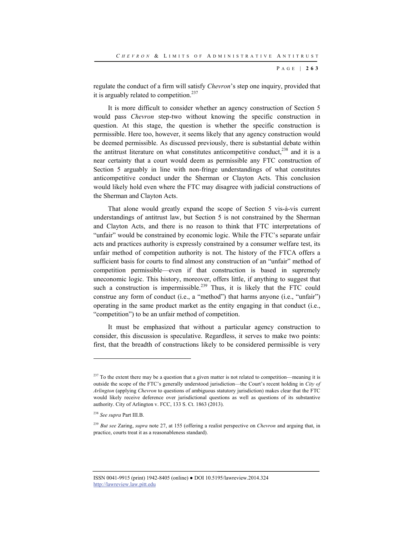regulate the conduct of a firm will satisfy *Chevron*'s step one inquiry, provided that it is arguably related to competition.<sup>237</sup>

It is more difficult to consider whether an agency construction of Section 5 would pass *Chevron* step-two without knowing the specific construction in question. At this stage, the question is whether the specific construction is permissible. Here too, however, it seems likely that any agency construction would be deemed permissible. As discussed previously, there is substantial debate within the antitrust literature on what constitutes anticompetitive conduct, $^{238}$  and it is a near certainty that a court would deem as permissible any FTC construction of Section 5 arguably in line with non-fringe understandings of what constitutes anticompetitive conduct under the Sherman or Clayton Acts. This conclusion would likely hold even where the FTC may disagree with judicial constructions of the Sherman and Clayton Acts.

That alone would greatly expand the scope of Section 5 vis-à-vis current understandings of antitrust law, but Section 5 is not constrained by the Sherman and Clayton Acts, and there is no reason to think that FTC interpretations of "unfair" would be constrained by economic logic. While the FTC's separate unfair acts and practices authority is expressly constrained by a consumer welfare test, its unfair method of competition authority is not. The history of the FTCA offers a sufficient basis for courts to find almost any construction of an "unfair" method of competition permissible—even if that construction is based in supremely uneconomic logic. This history, moreover, offers little, if anything to suggest that such a construction is impermissible.<sup>239</sup> Thus, it is likely that the FTC could construe any form of conduct (i.e., a "method") that harms anyone (i.e., "unfair") operating in the same product market as the entity engaging in that conduct (i.e., "competition") to be an unfair method of competition.

It must be emphasized that without a particular agency construction to consider, this discussion is speculative. Regardless, it serves to make two points: first, that the breadth of constructions likely to be considered permissible is very

 $237$  To the extent there may be a question that a given matter is not related to competition—meaning it is outside the scope of the FTC's generally understood jurisdiction—the Court's recent holding in *City of Arlington* (applying *Chevron* to questions of ambiguous statutory jurisdiction) makes clear that the FTC would likely receive deference over jurisdictional questions as well as questions of its substantive authority. City of Arlington v. FCC, 133 S. Ct. 1863 (2013).

<sup>238</sup> *See supra* Part III.B.

<sup>239</sup> *But see* Zaring, *supra* note 27, at 155 (offering a realist perspective on *Chevron* and arguing that, in practice, courts treat it as a reasonableness standard).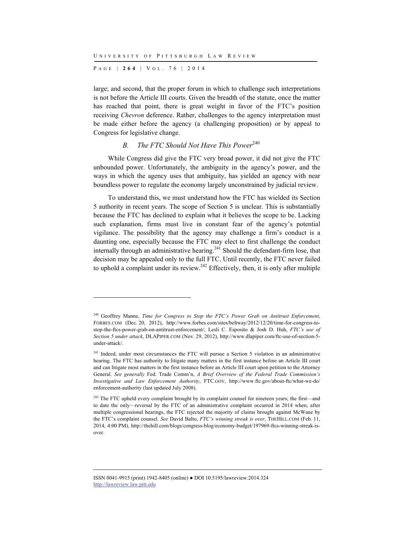P AGE | **264** | V O L . 7 6 | 2014

l

large; and second, that the proper forum in which to challenge such interpretations is not before the Article III courts. Given the breadth of the statute, once the matter has reached that point, there is great weight in favor of the FTC's position receiving *Chevron* deference. Rather, challenges to the agency interpretation must be made either before the agency (a challenging proposition) or by appeal to Congress for legislative change.

## *B. The FTC Should Not Have This Power*<sup>240</sup>

While Congress did give the FTC very broad power, it did not give the FTC unbounded power. Unfortunately, the ambiguity in the agency's power, and the ways in which the agency uses that ambiguity, has yielded an agency with near boundless power to regulate the economy largely unconstrained by judicial review.

To understand this, we must understand how the FTC has wielded its Section 5 authority in recent years. The scope of Section 5 is unclear. This is substantially because the FTC has declined to explain what it believes the scope to be. Lacking such explanation, firms must live in constant fear of the agency's potential vigilance. The possibility that the agency may challenge a firm's conduct is a daunting one, especially because the FTC may elect to first challenge the conduct internally through an administrative hearing.<sup>241</sup> Should the defendant-firm lose, that decision may be appealed only to the full FTC. Until recently, the FTC never failed to uphold a complaint under its review.<sup>242</sup> Effectively, then, it is only after multiple

<sup>240</sup> Geoffrey Manne, *Time for Congress to Stop the FTC's Power Grab on Antitrust Enforcement*, FORBES.COM (Dec. 20, 2012), http://www.forbes.com/sites/beltway/2012/12/20/time-for-congress-tostop-the-ftcs-power-grab-on-antitrust-enforcement/; Lesli C. Esposito & Josh D. Huh, *FTC's use of Section 5 under attack*, DLAPIPER.COM (Nov. 29, 2012), http://www.dlapiper.com/ftc-use-of-section-5 under-attack/.

<sup>&</sup>lt;sup>241</sup> Indeed, under most circumstances the FTC will pursue a Section 5 violation in an administrative hearing. The FTC has authority to litigate many matters in the first instance before an Article III court and can litigate most matters in the first instance before an Article III court upon petition to the Attorney General. *See generally* Fed. Trade Comm'n, *A Brief Overview of the Federal Trade Commission's Investigative and Law Enforcement Authority*, FTC.GOV, http://www.ftc.gov/about-ftc/what-we-do/ enforcement-authority (last updated July 2008).

<sup>&</sup>lt;sup>242</sup> The FTC upheld every complaint brought by its complaint counsel for nineteen years; the first—and to date the only—reversal by the FTC of an administrative complaint occurred in 2014 when, after multiple congressional hearings, the FTC rejected the majority of claims brought against McWane by the FTC's complaint counsel. *See* David Balto, *FTC's winning streak is over*, THEHILL.COM (Feb. 11, 2014, 4:00 PM), http://thehill.com/blogs/congress-blog/economy-budget/197969-ftcs-winning-streak-isover.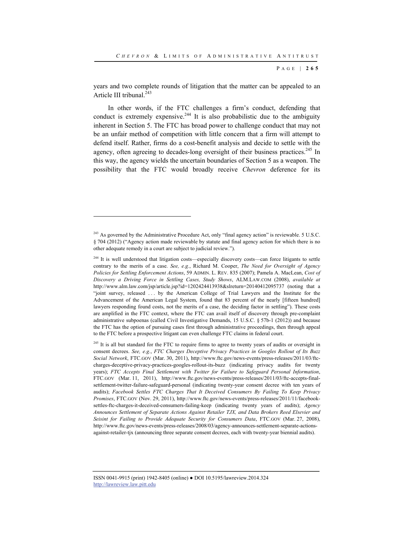years and two complete rounds of litigation that the matter can be appealed to an Article III tribunal.<sup>243</sup>

In other words, if the FTC challenges a firm's conduct, defending that conduct is extremely expensive.<sup>244</sup> It is also probabilistic due to the ambiguity inherent in Section 5. The FTC has broad power to challenge conduct that may not be an unfair method of competition with little concern that a firm will attempt to defend itself. Rather, firms do a cost-benefit analysis and decide to settle with the agency, often agreeing to decades-long oversight of their business practices.<sup>245</sup> In this way, the agency wields the uncertain boundaries of Section 5 as a weapon. The possibility that the FTC would broadly receive *Chevron* deference for its

l

<sup>&</sup>lt;sup>243</sup> As governed by the Administrative Procedure Act, only "final agency action" is reviewable. 5 U.S.C. § 704 (2012) ("Agency action made reviewable by statute and final agency action for which there is no other adequate remedy in a court are subject to judicial review.").

<sup>&</sup>lt;sup>244</sup> It is well understood that litigation costs—especially discovery costs—can force litigants to settle contrary to the merits of a case. *See, e.g.*, Richard M. Cooper, *The Need for Oversight of Agency Policies for Settling Enforcement Actions*, 59 ADMIN. L. REV. 835 (2007); Pamela A. MacLean, *Cost of Discovery a Driving Force in Settling Cases, Study Shows*, ALM.LAW.COM (2008), *available at* http://www.alm.law.com/jsp/article.jsp?id=1202424413938&slreturn=20140412095737 (noting that a "joint survey, released . . . by the American College of Trial Lawyers and the Institute for the Advancement of the American Legal System, found that 83 percent of the nearly [fifteen hundred] lawyers responding found costs, not the merits of a case, the deciding factor in settling"). These costs are amplified in the FTC context, where the FTC can avail itself of discovery through pre-complaint administrative subpoenas (called Civil Investigative Demands, 15 U.S.C. § 57b-1 (2012)) and because the FTC has the option of pursuing cases first through administrative proceedings, then through appeal to the FTC before a prospective litigant can even challenge FTC claims in federal court.

 $245$  It is all but standard for the FTC to require firms to agree to twenty years of audits or oversight in consent decrees. *See, e.g.*, *FTC Charges Deceptive Privacy Practices in Googles Rollout of Its Buzz Social Network*, FTC.GOV (Mar. 30, 2011), http://www.ftc.gov/news-events/press-releases/2011/03/ftccharges-deceptive-privacy-practices-googles-rollout-its-buzz (indicating privacy audits for twenty years); *FTC Accepts Final Settlement with Twitter for Failure to Safeguard Personal Information*, FTC.GOV (Mar. 11, 2011), http://www.ftc.gov/news-events/press-releases/2011/03/ftc-accepts-finalsettlement-twitter-failure-safeguard-personal (indicating twenty-year consent decree with ten years of audits); *Facebook Settles FTC Charges That It Deceived Consumers By Failing To Keep Privacy Promises*, FTC.GOV (Nov. 29, 2011), http://www.ftc.gov/news-events/press-releases/2011/11/facebooksettles-ftc-charges-it-deceived-consumers-failing-keep (indicating twenty years of audits); *Agency Announces Settlement of Separate Actions Against Retailer TJX, and Data Brokers Reed Elsevier and Seisint for Failing to Provide Adequate Security for Consumers Data*, FTC.GOV (Mar. 27, 2008), http://www.ftc.gov/news-events/press-releases/2008/03/agency-announces-settlement-separate-actionsagainst-retailer-tjx (announcing three separate consent decrees, each with twenty-year biennial audits).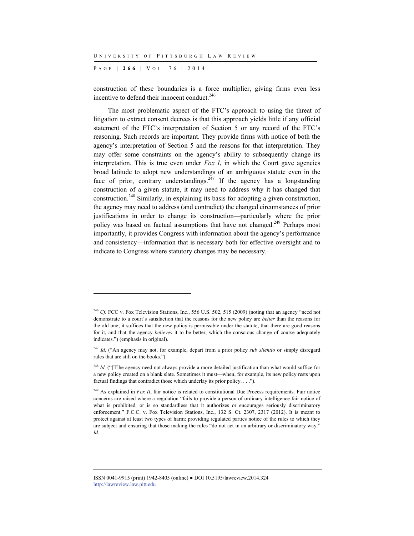P AGE | **266** | V O L . 7 6 | 2014

l

construction of these boundaries is a force multiplier, giving firms even less incentive to defend their innocent conduct.<sup>246</sup>

The most problematic aspect of the FTC's approach to using the threat of litigation to extract consent decrees is that this approach yields little if any official statement of the FTC's interpretation of Section 5 or any record of the FTC's reasoning. Such records are important. They provide firms with notice of both the agency's interpretation of Section 5 and the reasons for that interpretation. They may offer some constraints on the agency's ability to subsequently change its interpretation. This is true even under *Fox I*, in which the Court gave agencies broad latitude to adopt new understandings of an ambiguous statute even in the face of prior, contrary understandings.<sup>247</sup> If the agency has a longstanding construction of a given statute, it may need to address why it has changed that construction.248 Similarly, in explaining its basis for adopting a given construction, the agency may need to address (and contradict) the changed circumstances of prior justifications in order to change its construction—particularly where the prior policy was based on factual assumptions that have not changed.<sup>249</sup> Perhaps most importantly, it provides Congress with information about the agency's performance and consistency—information that is necessary both for effective oversight and to indicate to Congress where statutory changes may be necessary.

<sup>&</sup>lt;sup>246</sup> *Cf.* FCC v. Fox Television Stations, Inc., 556 U.S. 502, 515 (2009) (noting that an agency "need not demonstrate to a court's satisfaction that the reasons for the new policy are *better* than the reasons for the old one; it suffices that the new policy is permissible under the statute, that there are good reasons for it, and that the agency *believes* it to be better, which the conscious change of course adequately indicates.") (emphasis in original).

<sup>&</sup>lt;sup>247</sup> *Id.* ("An agency may not, for example, depart from a prior policy *sub silentio* or simply disregard rules that are still on the books.").

<sup>&</sup>lt;sup>248</sup> *Id.* ("[T]he agency need not always provide a more detailed justification than what would suffice for a new policy created on a blank slate. Sometimes it must—when, for example, its new policy rests upon factual findings that contradict those which underlay its prior policy. . . .").

<sup>&</sup>lt;sup>249</sup> As explained in *Fox II*, fair notice is related to constitutional Due Process requirements. Fair notice concerns are raised where a regulation "fails to provide a person of ordinary intelligence fair notice of what is prohibited, or is so standardless that it authorizes or encourages seriously discriminatory enforcement." F.C.C. v. Fox Television Stations, Inc., 132 S. Ct. 2307, 2317 (2012). It is meant to protect against at least two types of harm: providing regulated parties notice of the rules to which they are subject and ensuring that those making the rules "do not act in an arbitrary or discriminatory way." *Id.*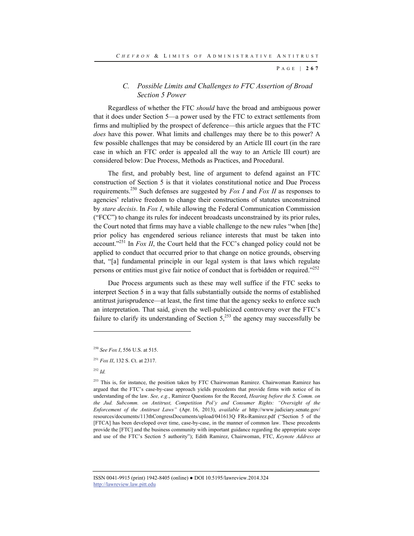## *C. Possible Limits and Challenges to FTC Assertion of Broad Section 5 Power*

Regardless of whether the FTC *should* have the broad and ambiguous power that it does under Section 5—a power used by the FTC to extract settlements from firms and multiplied by the prospect of deference—this article argues that the FTC *does* have this power. What limits and challenges may there be to this power? A few possible challenges that may be considered by an Article III court (in the rare case in which an FTC order is appealed all the way to an Article III court) are considered below: Due Process, Methods as Practices, and Procedural.

The first, and probably best, line of argument to defend against an FTC construction of Section 5 is that it violates constitutional notice and Due Process requirements.250 Such defenses are suggested by *Fox I* and *Fox II* as responses to agencies' relative freedom to change their constructions of statutes unconstrained by *stare decisis*. In *Fox I*, while allowing the Federal Communication Commission ("FCC") to change its rules for indecent broadcasts unconstrained by its prior rules, the Court noted that firms may have a viable challenge to the new rules "when [the] prior policy has engendered serious reliance interests that must be taken into account."251 In *Fox II*, the Court held that the FCC's changed policy could not be applied to conduct that occurred prior to that change on notice grounds, observing that, "[a] fundamental principle in our legal system is that laws which regulate persons or entities must give fair notice of conduct that is forbidden or required."<sup>252</sup>

Due Process arguments such as these may well suffice if the FTC seeks to interpret Section 5 in a way that falls substantially outside the norms of established antitrust jurisprudence—at least, the first time that the agency seeks to enforce such an interpretation. That said, given the well-publicized controversy over the FTC's failure to clarify its understanding of Section  $5$ ,<sup>253</sup> the agency may successfully be

l

<sup>250</sup> *See Fox I*, 556 U.S. at 515.

<sup>251</sup> *Fox II*, 132 S. Ct. at 2317.

<sup>252</sup> *Id.*

<sup>&</sup>lt;sup>253</sup> This is, for instance, the position taken by FTC Chairwoman Ramirez. Chairwoman Ramirez has argued that the FTC's case-by-case approach yields precedents that provide firms with notice of its understanding of the law. *See, e.g.*, Ramirez Questions for the Record, *Hearing before the S. Comm. on the Jud. Subcomm. on Antitrust, Competition Pol'y and Consumer Rights: "Oversight of the Enforcement of the Antitrust Laws"* (Apr. 16, 2013), *available at* http://www.judiciary.senate.gov/ resources/documents/113thCongressDocuments/upload/041613Q FRs-Ramirez.pdf ("Section 5 of the [FTCA] has been developed over time, case-by-case, in the manner of common law. These precedents provide the [FTC] and the business community with important guidance regarding the appropriate scope and use of the FTC's Section 5 authority"); Edith Ramirez, Chairwoman, FTC, *Keynote Address at*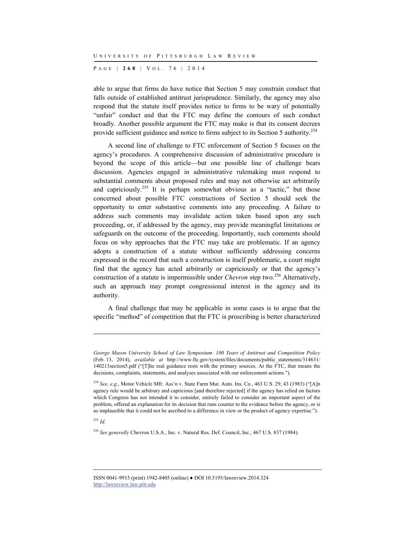P AGE | **268** | V O L . 7 6 | 2014

able to argue that firms do have notice that Section 5 may constrain conduct that falls outside of established antitrust jurisprudence. Similarly, the agency may also respond that the statute itself provides notice to firms to be wary of potentially "unfair" conduct and that the FTC may define the contours of such conduct broadly. Another possible argument the FTC may make is that its consent decrees provide sufficient guidance and notice to firms subject to its Section 5 authority.<sup>254</sup>

A second line of challenge to FTC enforcement of Section 5 focuses on the agency's procedures. A comprehensive discussion of administrative procedure is beyond the scope of this article—but one possible line of challenge bears discussion. Agencies engaged in administrative rulemaking must respond to substantial comments about proposed rules and may not otherwise act arbitrarily and capriciously.<sup>255</sup> It is perhaps somewhat obvious as a "tactic," but those concerned about possible FTC constructions of Section 5 should seek the opportunity to enter substantive comments into any proceeding. A failure to address such comments may invalidate action taken based upon any such proceeding, or, if addressed by the agency, may provide meaningful limitations or safeguards on the outcome of the proceeding. Importantly, such comments should focus on why approaches that the FTC may take are problematic. If an agency adopts a construction of a statute without sufficiently addressing concerns expressed in the record that such a construction is itself problematic, a court might find that the agency has acted arbitrarily or capriciously or that the agency's construction of a statute is impermissible under *Chevron* step two.<sup>256</sup> Alternatively, such an approach may prompt congressional interest in the agency and its authority.

A final challenge that may be applicable in some cases is to argue that the specific "method" of competition that the FTC is proscribing is better characterized

<sup>255</sup> *Id.*

*George Mason University School of Law Symposium: 100 Years of Antitrust and Competition Policy* (Feb. 13, 2014), *available at* http://www.ftc.gov/system/files/documents/public\_statements/314631/ 140213section5.pdf ("[T]he real guidance rests with the primary sources. At the FTC, that means the decisions, complaints, statements, and analyses associated with our enforcement actions.").

<sup>254</sup> *See, e.g.*, Motor Vehicle Mfr. Ass'n v. State Farm Mut. Auto. Ins. Co., 463 U.S. 29, 43 (1983) ("[A]n agency rule would be arbitrary and capricious [and therefore rejected] if the agency has relied on factors which Congress has not intended it to consider, entirely failed to consider an important aspect of the problem, offered an explanation for its decision that runs counter to the evidence before the agency, or is so implausible that it could not be ascribed to a difference in view or the product of agency expertise.").

<sup>256</sup> *See generally* Chevron U.S.A., Inc. v. Natural Res. Def. Council, Inc., 467 U.S. 837 (1984).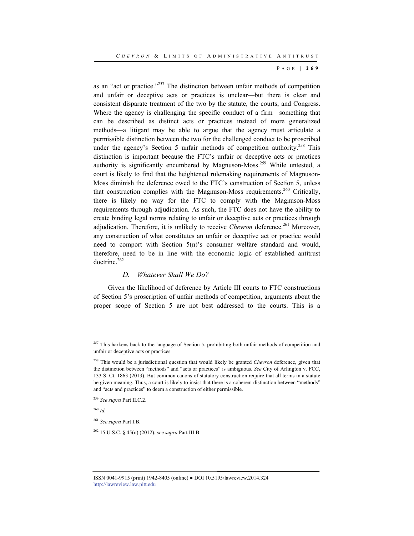as an "act or practice."<sup>257</sup> The distinction between unfair methods of competition and unfair or deceptive acts or practices is unclear—but there is clear and consistent disparate treatment of the two by the statute, the courts, and Congress. Where the agency is challenging the specific conduct of a firm—something that can be described as distinct acts or practices instead of more generalized methods—a litigant may be able to argue that the agency must articulate a permissible distinction between the two for the challenged conduct to be proscribed under the agency's Section 5 unfair methods of competition authority.<sup>258</sup> This distinction is important because the FTC's unfair or deceptive acts or practices authority is significantly encumbered by Magnuson-Moss.<sup>259</sup> While untested, a court is likely to find that the heightened rulemaking requirements of Magnuson-Moss diminish the deference owed to the FTC's construction of Section 5, unless that construction complies with the Magnuson-Moss requirements.<sup>260</sup> Critically, there is likely no way for the FTC to comply with the Magnuson-Moss requirements through adjudication. As such, the FTC does not have the ability to create binding legal norms relating to unfair or deceptive acts or practices through adjudication. Therefore, it is unlikely to receive *Chevron* deference.<sup>261</sup> Moreover, any construction of what constitutes an unfair or deceptive act or practice would need to comport with Section 5(n)'s consumer welfare standard and would, therefore, need to be in line with the economic logic of established antitrust doctrine.<sup>262</sup>

#### *D. Whatever Shall We Do?*

Given the likelihood of deference by Article III courts to FTC constructions of Section 5's proscription of unfair methods of competition, arguments about the proper scope of Section 5 are not best addressed to the courts. This is a

<sup>260</sup> *Id.*

 $257$  This harkens back to the language of Section 5, prohibiting both unfair methods of competition and unfair or deceptive acts or practices.

<sup>258</sup> This would be a jurisdictional question that would likely be granted *Chevron* deference, given that the distinction between "methods" and "acts or practices" is ambiguous. *See* City of Arlington v. FCC, 133 S. Ct. 1863 (2013). But common canons of statutory construction require that all terms in a statute be given meaning. Thus, a court is likely to insist that there is a coherent distinction between "methods" and "acts and practices" to deem a construction of either permissible.

<sup>259</sup> *See supra* Part II.C.2.

<sup>261</sup> *See supra* Part I.B.

<sup>262 15</sup> U.S.C. § 45(n) (2012); *see supra* Part III.B.

ISSN 0041-9915 (print) 1942-8405 (online) ● DOI 10.5195/lawreview.2014.324 http://lawreview.law.pitt.edu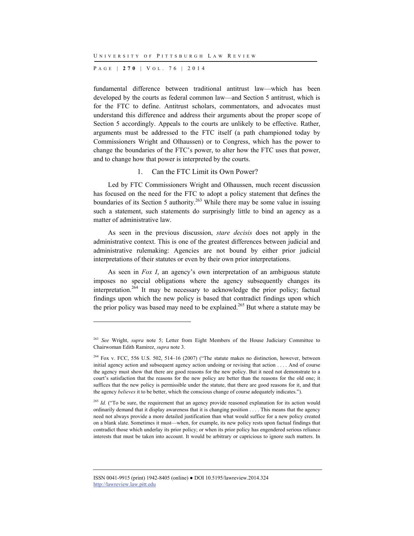P AGE | **270** | V O L . 7 6 | 2014

l

fundamental difference between traditional antitrust law—which has been developed by the courts as federal common law—and Section 5 antitrust, which is for the FTC to define. Antitrust scholars, commentators, and advocates must understand this difference and address their arguments about the proper scope of Section 5 accordingly. Appeals to the courts are unlikely to be effective. Rather, arguments must be addressed to the FTC itself (a path championed today by Commissioners Wright and Olhaussen) or to Congress, which has the power to change the boundaries of the FTC's power, to alter how the FTC uses that power, and to change how that power is interpreted by the courts.

#### 1. Can the FTC Limit its Own Power?

Led by FTC Commissioners Wright and Olhaussen, much recent discussion has focused on the need for the FTC to adopt a policy statement that defines the boundaries of its Section 5 authority.<sup>263</sup> While there may be some value in issuing such a statement, such statements do surprisingly little to bind an agency as a matter of administrative law.

As seen in the previous discussion, *stare decisis* does not apply in the administrative context. This is one of the greatest differences between judicial and administrative rulemaking: Agencies are not bound by either prior judicial interpretations of their statutes or even by their own prior interpretations.

As seen in *Fox I*, an agency's own interpretation of an ambiguous statute imposes no special obligations where the agency subsequently changes its interpretation.<sup>264</sup> It may be necessary to acknowledge the prior policy; factual findings upon which the new policy is based that contradict findings upon which the prior policy was based may need to be explained.<sup>265</sup> But where a statute may be

<sup>263</sup> *See* Wright, *supra* note 5; Letter from Eight Members of the House Judiciary Committee to Chairwoman Edith Ramirez, *supra* note 3.

<sup>264</sup> Fox v. FCC, 556 U.S. 502, 514–16 (2007) ("The statute makes no distinction, however, between initial agency action and subsequent agency action undoing or revising that action . . . . And of course the agency must show that there are good reasons for the new policy. But it need not demonstrate to a court's satisfaction that the reasons for the new policy are better than the reasons for the old one; it suffices that the new policy is permissible under the statute, that there are good reasons for it, and that the agency *believes* it to be better, which the conscious change of course adequately indicates.").

<sup>&</sup>lt;sup>265</sup> Id. ("To be sure, the requirement that an agency provide reasoned explanation for its action would ordinarily demand that it display awareness that it is changing position . . . . This means that the agency need not always provide a more detailed justification than what would suffice for a new policy created on a blank slate. Sometimes it must—when, for example, its new policy rests upon factual findings that contradict those which underlay its prior policy; or when its prior policy has engendered serious reliance interests that must be taken into account. It would be arbitrary or capricious to ignore such matters. In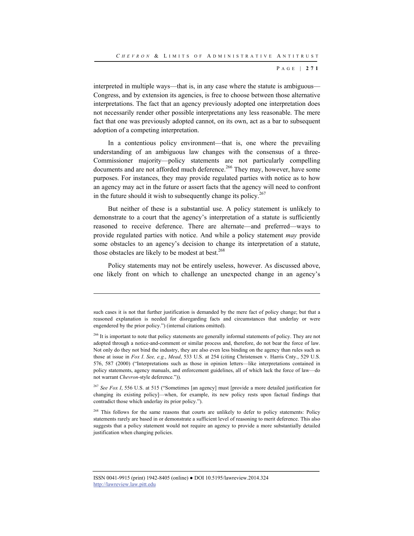interpreted in multiple ways—that is, in any case where the statute is ambiguous— Congress, and by extension its agencies, is free to choose between those alternative interpretations. The fact that an agency previously adopted one interpretation does not necessarily render other possible interpretations any less reasonable. The mere fact that one was previously adopted cannot, on its own, act as a bar to subsequent adoption of a competing interpretation.

In a contentious policy environment—that is, one where the prevailing understanding of an ambiguous law changes with the consensus of a three-Commissioner majority—policy statements are not particularly compelling documents and are not afforded much deference.<sup>266</sup> They may, however, have some purposes. For instances, they may provide regulated parties with notice as to how an agency may act in the future or assert facts that the agency will need to confront in the future should it wish to subsequently change its policy.<sup>267</sup>

But neither of these is a substantial use. A policy statement is unlikely to demonstrate to a court that the agency's interpretation of a statute is sufficiently reasoned to receive deference. There are alternate—and preferred—ways to provide regulated parties with notice. And while a policy statement *may* provide some obstacles to an agency's decision to change its interpretation of a statute, those obstacles are likely to be modest at best. $268$ 

Policy statements may not be entirely useless, however. As discussed above, one likely front on which to challenge an unexpected change in an agency's

l

<sup>267</sup> *See Fox I*, 556 U.S. at 515 ("Sometimes [an agency] must [provide a more detailed justification for changing its existing policy]—when, for example, its new policy rests upon factual findings that contradict those which underlay its prior policy.").

<sup>268</sup> This follows for the same reasons that courts are unlikely to defer to policy statements: Policy statements rarely are based in or demonstrate a sufficient level of reasoning to merit deference. This also suggests that a policy statement would not require an agency to provide a more substantially detailed justification when changing policies.

such cases it is not that further justification is demanded by the mere fact of policy change; but that a reasoned explanation is needed for disregarding facts and circumstances that underlay or were engendered by the prior policy.") (internal citations omitted).

<sup>&</sup>lt;sup>266</sup> It is important to note that policy statements are generally informal statements of policy. They are not adopted through a notice-and-comment or similar process and, therefore, do not bear the force of law. Not only do they not bind the industry, they are also even less binding on the agency than rules such as those at issue in *Fox I*. *See, e.g.*, *Mead*, 533 U.S. at 254 (citing Christensen v. Harris Cnty., 529 U.S. 576, 587 (2000) ("Interpretations such as those in opinion letters—like interpretations contained in policy statements, agency manuals, and enforcement guidelines, all of which lack the force of law—do not warrant *Chevron*-style deference.")).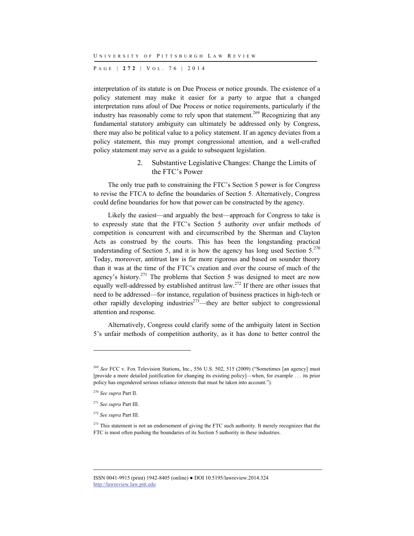P AGE | **272** | V O L . 7 6 | 2014

interpretation of its statute is on Due Process or notice grounds. The existence of a policy statement may make it easier for a party to argue that a changed interpretation runs afoul of Due Process or notice requirements, particularly if the industry has reasonably come to rely upon that statement.<sup>269</sup> Recognizing that any fundamental statutory ambiguity can ultimately be addressed only by Congress, there may also be political value to a policy statement. If an agency deviates from a policy statement, this may prompt congressional attention, and a well-crafted policy statement may serve as a guide to subsequent legislation.

> 2. Substantive Legislative Changes: Change the Limits of the FTC's Power

The only true path to constraining the FTC's Section 5 power is for Congress to revise the FTCA to define the boundaries of Section 5. Alternatively, Congress could define boundaries for how that power can be constructed by the agency.

Likely the easiest—and arguably the best—approach for Congress to take is to expressly state that the FTC's Section 5 authority over unfair methods of competition is concurrent with and circumscribed by the Sherman and Clayton Acts as construed by the courts. This has been the longstanding practical understanding of Section 5, and it is how the agency has long used Section  $5.^{270}$ Today, moreover, antitrust law is far more rigorous and based on sounder theory than it was at the time of the FTC's creation and over the course of much of the agency's history.<sup>271</sup> The problems that Section 5 was designed to meet are now equally well-addressed by established antitrust law.<sup>272</sup> If there are other issues that need to be addressed—for instance, regulation of business practices in high-tech or other rapidly developing industries<sup> $273$ </sup>—they are better subject to congressional attention and response.

Alternatively, Congress could clarify some of the ambiguity latent in Section 5's unfair methods of competition authority, as it has done to better control the

<sup>&</sup>lt;sup>269</sup> See FCC v. Fox Television Stations, Inc., 556 U.S. 502, 515 (2009) ("Sometimes [an agency] must [provide a more detailed justification for changing its existing policy]—when, for example . . . its prior policy has engendered serious reliance interests that must be taken into account.").

<sup>270</sup> *See supra* Part II.

<sup>271</sup> *See supra* Part III.

<sup>272</sup> *See supra* Part III.

<sup>&</sup>lt;sup>273</sup> This statement is not an endorsement of giving the FTC such authority. It merely recognizes that the FTC is most often pushing the boundaries of its Section 5 authority in these industries.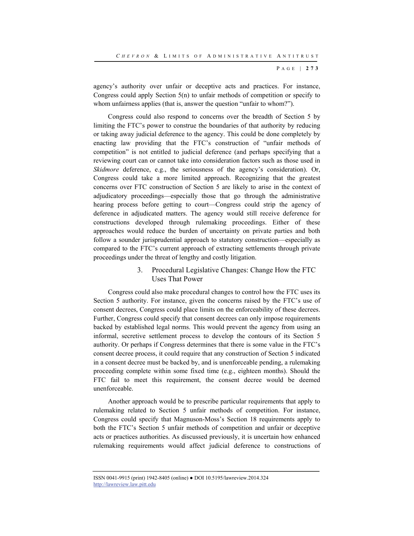agency's authority over unfair or deceptive acts and practices. For instance, Congress could apply Section 5(n) to unfair methods of competition or specify to whom unfairness applies (that is, answer the question "unfair to whom?").

Congress could also respond to concerns over the breadth of Section 5 by limiting the FTC's power to construe the boundaries of that authority by reducing or taking away judicial deference to the agency. This could be done completely by enacting law providing that the FTC's construction of "unfair methods of competition" is not entitled to judicial deference (and perhaps specifying that a reviewing court can or cannot take into consideration factors such as those used in *Skidmore* deference, e.g., the seriousness of the agency's consideration). Or, Congress could take a more limited approach. Recognizing that the greatest concerns over FTC construction of Section 5 are likely to arise in the context of adjudicatory proceedings—especially those that go through the administrative hearing process before getting to court—Congress could strip the agency of deference in adjudicated matters. The agency would still receive deference for constructions developed through rulemaking proceedings. Either of these approaches would reduce the burden of uncertainty on private parties and both follow a sounder jurisprudential approach to statutory construction—especially as compared to the FTC's current approach of extracting settlements through private proceedings under the threat of lengthy and costly litigation.

## 3. Procedural Legislative Changes: Change How the FTC Uses That Power

Congress could also make procedural changes to control how the FTC uses its Section 5 authority. For instance, given the concerns raised by the FTC's use of consent decrees, Congress could place limits on the enforceability of these decrees. Further, Congress could specify that consent decrees can only impose requirements backed by established legal norms. This would prevent the agency from using an informal, secretive settlement process to develop the contours of its Section 5 authority. Or perhaps if Congress determines that there is some value in the FTC's consent decree process, it could require that any construction of Section 5 indicated in a consent decree must be backed by, and is unenforceable pending, a rulemaking proceeding complete within some fixed time (e.g., eighteen months). Should the FTC fail to meet this requirement, the consent decree would be deemed unenforceable.

Another approach would be to prescribe particular requirements that apply to rulemaking related to Section 5 unfair methods of competition. For instance, Congress could specify that Magnuson-Moss's Section 18 requirements apply to both the FTC's Section 5 unfair methods of competition and unfair or deceptive acts or practices authorities. As discussed previously, it is uncertain how enhanced rulemaking requirements would affect judicial deference to constructions of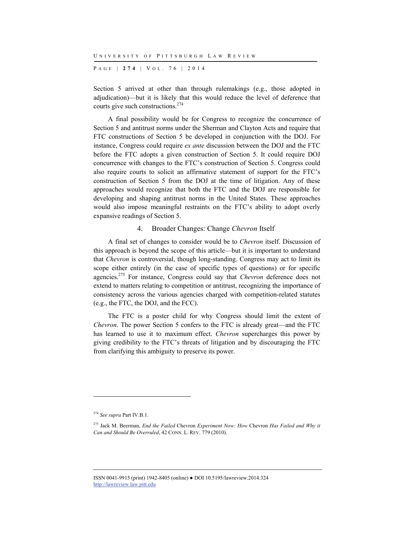P AGE | **274** | V O L . 7 6 | 2014

Section 5 arrived at other than through rulemakings (e.g., those adopted in adjudication)—but it is likely that this would reduce the level of deference that courts give such constructions. $274$ 

A final possibility would be for Congress to recognize the concurrence of Section 5 and antitrust norms under the Sherman and Clayton Acts and require that FTC constructions of Section 5 be developed in conjunction with the DOJ. For instance, Congress could require *ex ante* discussion between the DOJ and the FTC before the FTC adopts a given construction of Section 5. It could require DOJ concurrence with changes to the FTC's construction of Section 5. Congress could also require courts to solicit an affirmative statement of support for the FTC's construction of Section 5 from the DOJ at the time of litigation. Any of these approaches would recognize that both the FTC and the DOJ are responsible for developing and shaping antitrust norms in the United States. These approaches would also impose meaningful restraints on the FTC's ability to adopt overly expansive readings of Section 5.

#### 4. Broader Changes: Change *Chevron* Itself

A final set of changes to consider would be to *Chevron* itself. Discussion of this approach is beyond the scope of this article—but it is important to understand that *Chevron* is controversial, though long-standing. Congress may act to limit its scope either entirely (in the case of specific types of questions) or for specific agencies.275 For instance, Congress could say that *Chevron* deference does not extend to matters relating to competition or antitrust, recognizing the importance of consistency across the various agencies charged with competition-related statutes (e.g., the FTC, the DOJ, and the FCC).

The FTC is a poster child for why Congress should limit the extent of *Chevron*. The power Section 5 confers to the FTC is already great—and the FTC has learned to use it to maximum effect. *Chevron* supercharges this power by giving credibility to the FTC's threats of litigation and by discouraging the FTC from clarifying this ambiguity to preserve its power.

l

<sup>274</sup> *See supra* Part IV.B.1.

<sup>275</sup> Jack M. Beerman, *End the Failed* Chevron *Experiment Now: How* Chevron *Has Failed and Why it Can and Should Be Overruled*, 42 CONN. L. REV. 779 (2010).